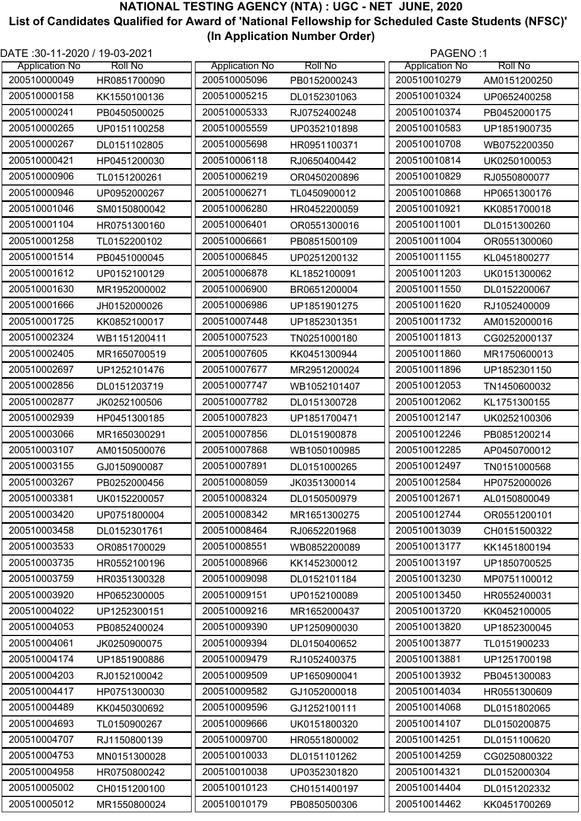| DATE: 30-11-2020 / 19-03-2021 |                |                              |                | PAGENO:1              |                |
|-------------------------------|----------------|------------------------------|----------------|-----------------------|----------------|
| <b>Application No</b>         | <b>Roll No</b> | <b>Application No</b>        | <b>Roll No</b> | <b>Application No</b> | <b>Roll No</b> |
| 200510000049                  | HR0851700090   | 200510005096                 | PB0152000243   | 200510010279          | AM0151200250   |
| 200510000158                  | KK1550100136   | 200510005215                 | DL0152301063   | 200510010324          | UP0652400258   |
| 200510000241                  | PB0450500025   | 200510005333                 | RJ0752400248   | 200510010374          | PB0452000175   |
| 200510000265                  | UP0151100258   | 200510005559                 | UP0352101898   | 200510010583          | UP1851900735   |
| 200510000267                  | DL0151102805   | 200510005698                 | HR0951100371   | 200510010708          | WB0752200350   |
| 200510000421                  | HP0451200030   | 200510006118                 | RJ0650400442   | 200510010814          | UK0250100053   |
| 200510000906                  | TL0151200261   | 200510006219                 | OR0450200896   | 200510010829          | RJ0550800077   |
| 200510000946                  | UP0952000267   | 200510006271                 | TL0450900012   | 200510010868          | HP0651300176   |
| 200510001046                  | SM0150800042   | 200510006280                 | HR0452200059   | 200510010921          | KK0851700018   |
| 200510001104                  | HR0751300160   | 200510006401                 | OR0551300016   | 200510011001          | DL0151300260   |
| 200510001258                  | TL0152200102   | 200510006661                 | PB0851500109   | 200510011004          | OR0551300060   |
| 200510001514                  | PB0451000045   | 200510006845                 | UP0251200132   | 200510011155          | KL0451800277   |
| 200510001612                  | UP0152100129   | 200510006878                 | KL1852100091   | 200510011203          | UK0151300062   |
| 200510001630                  | MR1952000002   | 200510006900                 | BR0651200004   | 200510011550          | DL0152200067   |
| 200510001666                  | JH0152000026   | 200510006986                 | UP1851901275   | 200510011620          | RJ1052400009   |
| 200510001725                  | KK0852100017   | 200510007448                 | UP1852301351   | 200510011732          | AM0152000016   |
| 200510002324                  | WB1151200411   | 200510007523                 | TN0251000180   | 200510011813          | CG0252000137   |
| 200510002405                  | MR1650700519   | 200510007605                 | KK0451300944   | 200510011860          | MR1750600013   |
| 200510002697                  | UP1252101476   | 200510007677                 | MR2951200024   | 200510011896          | UP1852301150   |
| 200510002856                  | DL0151203719   | 200510007747                 | WB1052101407   | 200510012053          | TN1450600032   |
| 200510002877                  |                | 200510007782                 |                | 200510012062          |                |
| 200510002939                  | JK0252100506   | 200510007823                 | DL0151300728   | 200510012147          | KL1751300155   |
|                               | HP0451300185   |                              | UP1851700471   |                       | UK0252100306   |
| 200510003066                  | MR1650300291   | 200510007856                 | DL0151900878   | 200510012246          | PB0851200214   |
| 200510003107                  | AM0150500076   | 200510007868<br>200510007891 | WB1050100985   | 200510012285          | AP0450700012   |
| 200510003155                  | GJ0150900087   |                              | DL0151000265   | 200510012497          | TN0151000568   |
| 200510003267                  | PB0252000456   | 200510008059                 | JK0351300014   | 200510012584          | HP0752000026   |
| 200510003381                  | UK0152200057   | 200510008324                 | DL0150500979   | 200510012671          | AL0150800049   |
| 200510003420                  | UP0751800004   | 200510008342                 | MR1651300275   | 200510012744          | OR0551200101   |
| 200510003458                  | DL0152301761   | 200510008464                 | RJ0652201968   | 200510013039          | CH0151500322   |
| 200510003533                  | OR0851700029   | 200510008551                 | WB0852200089   | 200510013177          | KK1451800194   |
| 200510003735                  | HR0552100196   | 200510008966                 | KK1452300012   | 200510013197          | UP1850700525   |
| 200510003759                  | HR0351300328   | 200510009098                 | DL0152101184   | 200510013230          | MP0751100012   |
| 200510003920                  | HP0652300005   | 200510009151                 | UP0152100089   | 200510013450          | HR0552400031   |
| 200510004022                  | UP1252300151   | 200510009216                 | MR1652000437   | 200510013720          | KK0452100005   |
| 200510004053                  | PB0852400024   | 200510009390                 | UP1250900030   | 200510013820          | UP1852300045   |
| 200510004061                  | JK0250900075   | 200510009394                 | DL0150400652   | 200510013877          | TL0151900233   |
| 200510004174                  | UP1851900886   | 200510009479                 | RJ1052400375   | 200510013881          | UP1251700198   |
| 200510004203                  | RJ0152100042   | 200510009509                 | UP1650900041   | 200510013932          | PB0451300083   |
| 200510004417                  | HP0751300030   | 200510009582                 | GJ1052000018   | 200510014034          | HR0551300609   |
| 200510004489                  | KK0450300692   | 200510009596                 | GJ1252100111   | 200510014068          | DL0151802065   |
| 200510004693                  | TL0150900267   | 200510009666                 | UK0151800320   | 200510014107          | DL0150200875   |
| 200510004707                  | RJ1150800139   | 200510009700                 | HR0551800002   | 200510014251          | DL0151100620   |
| 200510004753                  | MN0151300028   | 200510010033                 | DL0151101262   | 200510014259          | CG0250800322   |
| 200510004958                  | HR0750800242   | 200510010038                 | UP0352301820   | 200510014321          | DL0152000304   |
| 200510005002                  | CH0151200100   | 200510010123                 | CH0151400197   | 200510014404          | DL0151202332   |
| 200510005012                  | MR1550800024   | 200510010179                 | PB0850500306   | 200510014462          | KK0451700269   |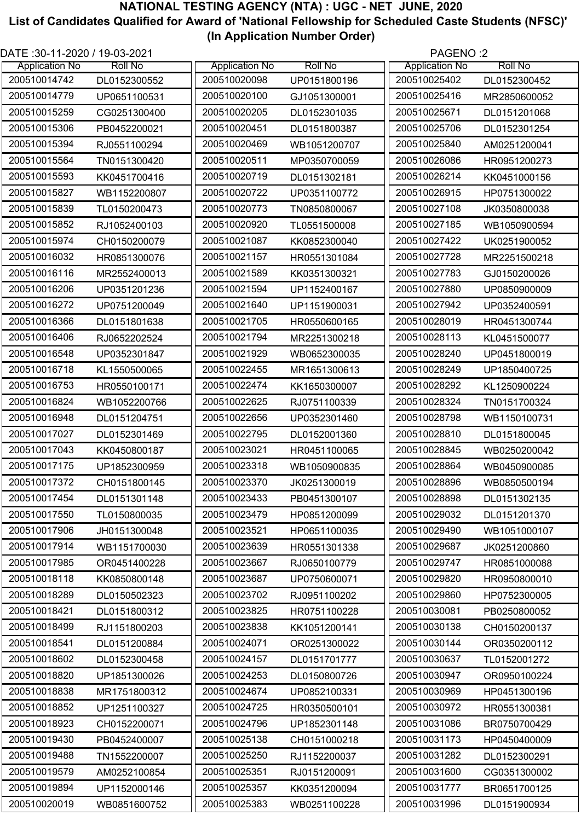| DATE: 30-11-2020 / 19-03-2021 |                |                       |                | PAGENO:2              |                |
|-------------------------------|----------------|-----------------------|----------------|-----------------------|----------------|
| <b>Application No</b>         | <b>Roll No</b> | <b>Application No</b> | <b>Roll No</b> | <b>Application No</b> | <b>Roll No</b> |
| 200510014742                  | DL0152300552   | 200510020098          | UP0151800196   | 200510025402          | DL0152300452   |
| 200510014779                  | UP0651100531   | 200510020100          | GJ1051300001   | 200510025416          | MR2850600052   |
| 200510015259                  | CG0251300400   | 200510020205          | DL0152301035   | 200510025671          | DL0151201068   |
| 200510015306                  | PB0452200021   | 200510020451          | DL0151800387   | 200510025706          | DL0152301254   |
| 200510015394                  | RJ0551100294   | 200510020469          | WB1051200707   | 200510025840          | AM0251200041   |
| 200510015564                  | TN0151300420   | 200510020511          | MP0350700059   | 200510026086          | HR0951200273   |
| 200510015593                  | KK0451700416   | 200510020719          | DL0151302181   | 200510026214          | KK0451000156   |
| 200510015827                  | WB1152200807   | 200510020722          | UP0351100772   | 200510026915          | HP0751300022   |
| 200510015839                  | TL0150200473   | 200510020773          | TN0850800067   | 200510027108          | JK0350800038   |
| 200510015852                  | RJ1052400103   | 200510020920          | TL0551500008   | 200510027185          | WB1050900594   |
| 200510015974                  | CH0150200079   | 200510021087          | KK0852300040   | 200510027422          | UK0251900052   |
| 200510016032                  | HR0851300076   | 200510021157          | HR0551301084   | 200510027728          | MR2251500218   |
| 200510016116                  | MR2552400013   | 200510021589          | KK0351300321   | 200510027783          | GJ0150200026   |
| 200510016206                  | UP0351201236   | 200510021594          | UP1152400167   | 200510027880          | UP0850900009   |
| 200510016272                  | UP0751200049   | 200510021640          | UP1151900031   | 200510027942          | UP0352400591   |
| 200510016366                  | DL0151801638   | 200510021705          | HR0550600165   | 200510028019          | HR0451300744   |
| 200510016406                  | RJ0652202524   | 200510021794          | MR2251300218   | 200510028113          | KL0451500077   |
| 200510016548                  | UP0352301847   | 200510021929          | WB0652300035   | 200510028240          | UP0451800019   |
| 200510016718                  | KL1550500065   | 200510022455          | MR1651300613   | 200510028249          | UP1850400725   |
| 200510016753                  | HR0550100171   | 200510022474          | KK1650300007   | 200510028292          | KL1250900224   |
| 200510016824                  | WB1052200766   | 200510022625          | RJ0751100339   | 200510028324          | TN0151700324   |
| 200510016948                  | DL0151204751   | 200510022656          | UP0352301460   | 200510028798          | WB1150100731   |
| 200510017027                  | DL0152301469   | 200510022795          | DL0152001360   | 200510028810          | DL0151800045   |
| 200510017043                  | KK0450800187   | 200510023021          | HR0451100065   | 200510028845          | WB0250200042   |
| 200510017175                  | UP1852300959   | 200510023318          | WB1050900835   | 200510028864          | WB0450900085   |
| 200510017372                  | CH0151800145   | 200510023370          | JK0251300019   | 200510028896          | WB0850500194   |
| 200510017454                  | DL0151301148   | 200510023433          | PB0451300107   | 200510028898          | DL0151302135   |
| 200510017550                  | TL0150800035   | 200510023479          | HP0851200099   | 200510029032          | DL0151201370   |
| 200510017906                  | JH0151300048   | 200510023521          | HP0651100035   | 200510029490          | WB1051000107   |
| 200510017914                  | WB1151700030   | 200510023639          | HR0551301338   | 200510029687          | JK0251200860   |
| 200510017985                  | OR0451400228   | 200510023667          | RJ0650100779   | 200510029747          | HR0851000088   |
| 200510018118                  | KK0850800148   | 200510023687          | UP0750600071   | 200510029820          | HR0950800010   |
| 200510018289                  | DL0150502323   | 200510023702          | RJ0951100202   | 200510029860          | HP0752300005   |
| 200510018421                  | DL0151800312   | 200510023825          | HR0751100228   | 200510030081          | PB0250800052   |
| 200510018499                  | RJ1151800203   | 200510023838          | KK1051200141   | 200510030138          | CH0150200137   |
| 200510018541                  | DL0151200884   | 200510024071          | OR0251300022   | 200510030144          | OR0350200112   |
| 200510018602                  | DL0152300458   | 200510024157          | DL0151701777   | 200510030637          | TL0152001272   |
| 200510018820                  | UP1851300026   | 200510024253          | DL0150800726   | 200510030947          | OR0950100224   |
| 200510018838                  | MR1751800312   | 200510024674          | UP0852100331   | 200510030969          | HP0451300196   |
| 200510018852                  | UP1251100327   | 200510024725          | HR0350500101   | 200510030972          | HR0551300381   |
| 200510018923                  | CH0152200071   | 200510024796          | UP1852301148   | 200510031086          | BR0750700429   |
| 200510019430                  | PB0452400007   | 200510025138          | CH0151000218   | 200510031173          | HP0450400009   |
| 200510019488                  | TN1552200007   | 200510025250          | RJ1152200037   | 200510031282          | DL0152300291   |
| 200510019579                  | AM0252100854   | 200510025351          | RJ0151200091   | 200510031600          | CG0351300002   |
| 200510019894                  | UP1152000146   | 200510025357          | KK0351200094   | 200510031777          | BR0651700125   |
| 200510020019                  | WB0851600752   | 200510025383          | WB0251100228   | 200510031996          | DL0151900934   |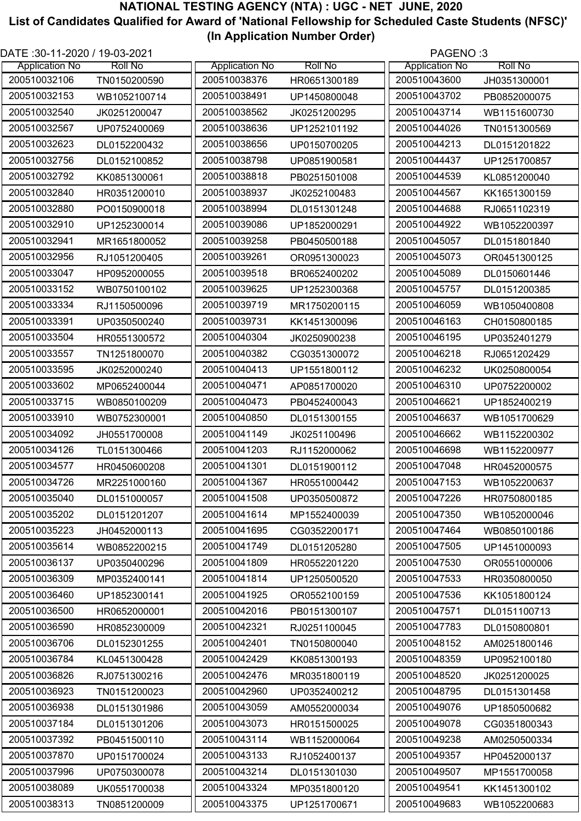| DATE :30-11-2020 / 19-03-2021 |                |                       |                | PAGENO:3              |                |
|-------------------------------|----------------|-----------------------|----------------|-----------------------|----------------|
| <b>Application No</b>         | <b>Roll No</b> | <b>Application No</b> | <b>Roll No</b> | <b>Application No</b> | <b>Roll No</b> |
| 200510032106                  | TN0150200590   | 200510038376          | HR0651300189   | 200510043600          | JH0351300001   |
| 200510032153                  | WB1052100714   | 200510038491          | UP1450800048   | 200510043702          | PB0852000075   |
| 200510032540                  | JK0251200047   | 200510038562          | JK0251200295   | 200510043714          | WB1151600730   |
| 200510032567                  | UP0752400069   | 200510038636          | UP1252101192   | 200510044026          | TN0151300569   |
| 200510032623                  | DL0152200432   | 200510038656          | UP0150700205   | 200510044213          | DL0151201822   |
| 200510032756                  | DL0152100852   | 200510038798          | UP0851900581   | 200510044437          | UP1251700857   |
| 200510032792                  | KK0851300061   | 200510038818          | PB0251501008   | 200510044539          | KL0851200040   |
| 200510032840                  | HR0351200010   | 200510038937          | JK0252100483   | 200510044567          | KK1651300159   |
| 200510032880                  | PO0150900018   | 200510038994          | DL0151301248   | 200510044688          | RJ0651102319   |
| 200510032910                  | UP1252300014   | 200510039086          | UP1852000291   | 200510044922          | WB1052200397   |
| 200510032941                  | MR1651800052   | 200510039258          | PB0450500188   | 200510045057          | DL0151801840   |
| 200510032956                  | RJ1051200405   | 200510039261          | OR0951300023   | 200510045073          | OR0451300125   |
| 200510033047                  | HP0952000055   | 200510039518          | BR0652400202   | 200510045089          | DL0150601446   |
| 200510033152                  | WB0750100102   | 200510039625          | UP1252300368   | 200510045757          | DL0151200385   |
| 200510033334                  | RJ1150500096   | 200510039719          | MR1750200115   | 200510046059          | WB1050400808   |
| 200510033391                  | UP0350500240   | 200510039731          | KK1451300096   | 200510046163          | CH0150800185   |
| 200510033504                  | HR0551300572   | 200510040304          | JK0250900238   | 200510046195          | UP0352401279   |
| 200510033557                  | TN1251800070   | 200510040382          | CG0351300072   | 200510046218          | RJ0651202429   |
| 200510033595                  | JK0252000240   | 200510040413          | UP1551800112   | 200510046232          | UK0250800054   |
| 200510033602                  | MP0652400044   | 200510040471          | AP0851700020   | 200510046310          | UP0752200002   |
| 200510033715                  | WB0850100209   | 200510040473          | PB0452400043   | 200510046621          | UP1852400219   |
| 200510033910                  | WB0752300001   | 200510040850          | DL0151300155   | 200510046637          | WB1051700629   |
| 200510034092                  | JH0551700008   | 200510041149          | JK0251100496   | 200510046662          | WB1152200302   |
| 200510034126                  | TL0151300466   | 200510041203          | RJ1152000062   | 200510046698          | WB1152200977   |
| 200510034577                  | HR0450600208   | 200510041301          | DL0151900112   | 200510047048          | HR0452000575   |
| 200510034726                  | MR2251000160   | 200510041367          | HR0551000442   | 200510047153          | WB1052200637   |
| 200510035040                  | DL0151000057   | 200510041508          | UP0350500872   | 200510047226          | HR0750800185   |
| 200510035202                  | DL0151201207   | 200510041614          | MP1552400039   | 200510047350          | WB1052000046   |
| 200510035223                  | JH0452000113   | 200510041695          | CG0352200171   | 200510047464          | WB0850100186   |
| 200510035614                  | WB0852200215   | 200510041749          | DL0151205280   | 200510047505          | UP1451000093   |
| 200510036137                  | UP0350400296   | 200510041809          | HR0552201220   | 200510047530          | OR0551000006   |
| 200510036309                  | MP0352400141   | 200510041814          | UP1250500520   | 200510047533          | HR0350800050   |
| 200510036460                  | UP1852300141   | 200510041925          | OR0552100159   | 200510047536          | KK1051800124   |
| 200510036500                  | HR0652000001   | 200510042016          | PB0151300107   | 200510047571          | DL0151100713   |
| 200510036590                  | HR0852300009   | 200510042321          | RJ0251100045   | 200510047783          | DL0150800801   |
| 200510036706                  | DL0152301255   | 200510042401          | TN0150800040   | 200510048152          | AM0251800146   |
| 200510036784                  | KL0451300428   | 200510042429          | KK0851300193   | 200510048359          | UP0952100180   |
| 200510036826                  | RJ0751300216   | 200510042476          | MR0351800119   | 200510048520          | JK0251200025   |
| 200510036923                  | TN0151200023   | 200510042960          | UP0352400212   | 200510048795          | DL0151301458   |
| 200510036938                  | DL0151301986   | 200510043059          | AM0552000034   | 200510049076          | UP1850500682   |
| 200510037184                  | DL0151301206   | 200510043073          | HR0151500025   | 200510049078          | CG0351800343   |
| 200510037392                  | PB0451500110   | 200510043114          | WB1152000064   | 200510049238          | AM0250500334   |
| 200510037870                  | UP0151700024   | 200510043133          | RJ1052400137   | 200510049357          | HP0452000137   |
| 200510037996                  | UP0750300078   | 200510043214          | DL0151301030   | 200510049507          | MP1551700058   |
| 200510038089                  | UK0551700038   | 200510043324          | MP0351800120   | 200510049541          | KK1451300102   |
| 200510038313                  | TN0851200009   | 200510043375          | UP1251700671   | 200510049683          | WB1052200683   |
|                               |                |                       |                |                       |                |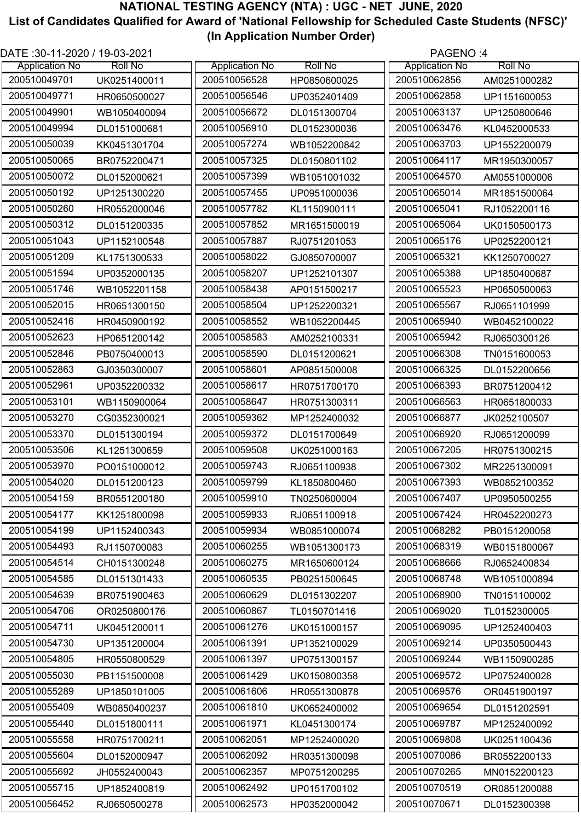| DATE: 30-11-2020 / 19-03-2021 |                |                       |                | PAGENO:4              |                |
|-------------------------------|----------------|-----------------------|----------------|-----------------------|----------------|
| <b>Application No</b>         | <b>Roll No</b> | <b>Application No</b> | <b>Roll No</b> | <b>Application No</b> | <b>Roll No</b> |
| 200510049701                  | UK0251400011   | 200510056528          | HP0850600025   | 200510062856          | AM0251000282   |
| 200510049771                  | HR0650500027   | 200510056546          | UP0352401409   | 200510062858          | UP1151600053   |
| 200510049901                  | WB1050400094   | 200510056672          | DL0151300704   | 200510063137          | UP1250800646   |
| 200510049994                  | DL0151000681   | 200510056910          | DL0152300036   | 200510063476          | KL0452000533   |
| 200510050039                  | KK0451301704   | 200510057274          | WB1052200842   | 200510063703          | UP1552200079   |
| 200510050065                  | BR0752200471   | 200510057325          | DL0150801102   | 200510064117          | MR1950300057   |
| 200510050072                  | DL0152000621   | 200510057399          | WB1051001032   | 200510064570          | AM0551000006   |
| 200510050192                  | UP1251300220   | 200510057455          | UP0951000036   | 200510065014          | MR1851500064   |
| 200510050260                  | HR0552000046   | 200510057782          | KL1150900111   | 200510065041          | RJ1052200116   |
| 200510050312                  | DL0151200335   | 200510057852          | MR1651500019   | 200510065064          | UK0150500173   |
| 200510051043                  | UP1152100548   | 200510057887          | RJ0751201053   | 200510065176          | UP0252200121   |
| 200510051209                  | KL1751300533   | 200510058022          | GJ0850700007   | 200510065321          | KK1250700027   |
| 200510051594                  | UP0352000135   | 200510058207          | UP1252101307   | 200510065388          | UP1850400687   |
| 200510051746                  | WB1052201158   | 200510058438          | AP0151500217   | 200510065523          | HP0650500063   |
| 200510052015                  | HR0651300150   | 200510058504          | UP1252200321   | 200510065567          | RJ0651101999   |
| 200510052416                  | HR0450900192   | 200510058552          | WB1052200445   | 200510065940          | WB0452100022   |
| 200510052623                  | HP0651200142   | 200510058583          | AM0252100331   | 200510065942          | RJ0650300126   |
| 200510052846                  | PB0750400013   | 200510058590          | DL0151200621   | 200510066308          | TN0151600053   |
| 200510052863                  | GJ0350300007   | 200510058601          | AP0851500008   | 200510066325          | DL0152200656   |
| 200510052961                  | UP0352200332   | 200510058617          | HR0751700170   | 200510066393          | BR0751200412   |
| 200510053101                  | WB1150900064   | 200510058647          | HR0751300311   | 200510066563          | HR0651800033   |
| 200510053270                  | CG0352300021   | 200510059362          | MP1252400032   | 200510066877          | JK0252100507   |
| 200510053370                  | DL0151300194   | 200510059372          | DL0151700649   | 200510066920          | RJ0651200099   |
| 200510053506                  | KL1251300659   | 200510059508          | UK0251000163   | 200510067205          | HR0751300215   |
| 200510053970                  | PO0151000012   | 200510059743          | RJ0651100938   | 200510067302          | MR2251300091   |
| 200510054020                  | DL0151200123   | 200510059799          | KL1850800460   | 200510067393          | WB0852100352   |
| 200510054159                  | BR0551200180   | 200510059910          | TN0250600004   | 200510067407          | UP0950500255   |
| 200510054177                  | KK1251800098   | 200510059933          | RJ0651100918   | 200510067424          | HR0452200273   |
| 200510054199                  | UP1152400343   | 200510059934          | WB0851000074   | 200510068282          | PB0151200058   |
| 200510054493                  | RJ1150700083   | 200510060255          | WB1051300173   | 200510068319          | WB0151800067   |
| 200510054514                  | CH0151300248   | 200510060275          | MR1650600124   | 200510068666          | RJ0652400834   |
| 200510054585                  | DL0151301433   | 200510060535          | PB0251500645   | 200510068748          | WB1051000894   |
| 200510054639                  | BR0751900463   | 200510060629          | DL0151302207   | 200510068900          | TN0151100002   |
| 200510054706                  | OR0250800176   | 200510060867          | TL0150701416   | 200510069020          | TL0152300005   |
| 200510054711                  | UK0451200011   | 200510061276          | UK0151000157   | 200510069095          | UP1252400403   |
| 200510054730                  | UP1351200004   | 200510061391          | UP1352100029   | 200510069214          | UP0350500443   |
| 200510054805                  | HR0550800529   | 200510061397          | UP0751300157   | 200510069244          | WB1150900285   |
| 200510055030                  | PB1151500008   | 200510061429          | UK0150800358   | 200510069572          | UP0752400028   |
| 200510055289                  | UP1850101005   | 200510061606          | HR0551300878   | 200510069576          | OR0451900197   |
| 200510055409                  | WB0850400237   | 200510061810          | UK0652400002   | 200510069654          | DL0151202591   |
| 200510055440                  | DL0151800111   | 200510061971          | KL0451300174   | 200510069787          | MP1252400092   |
| 200510055558                  | HR0751700211   | 200510062051          | MP1252400020   | 200510069808          | UK0251100436   |
| 200510055604                  | DL0152000947   | 200510062092          | HR0351300098   | 200510070086          | BR0552200133   |
| 200510055692                  | JH0552400043   | 200510062357          | MP0751200295   | 200510070265          | MN0152200123   |
| 200510055715                  | UP1852400819   | 200510062492          | UP0151700102   | 200510070519          | OR0851200088   |
| 200510056452                  | RJ0650500278   | 200510062573          | HP0352000042   | 200510070671          | DL0152300398   |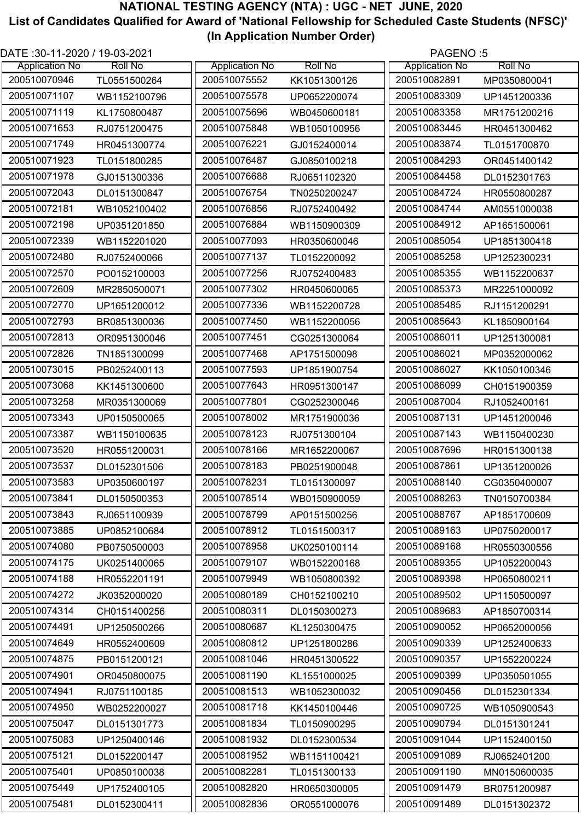| DATE: 30-11-2020 / 19-03-2021 |                |                       |                | PAGENO:5              |                |
|-------------------------------|----------------|-----------------------|----------------|-----------------------|----------------|
| <b>Application No</b>         | <b>Roll No</b> | <b>Application No</b> | <b>Roll No</b> | <b>Application No</b> | <b>Roll No</b> |
| 200510070946                  | TL0551500264   | 200510075552          | KK1051300126   | 200510082891          | MP0350800041   |
| 200510071107                  | WB1152100796   | 200510075578          | UP0652200074   | 200510083309          | UP1451200336   |
| 200510071119                  | KL1750800487   | 200510075696          | WB0450600181   | 200510083358          | MR1751200216   |
| 200510071653                  | RJ0751200475   | 200510075848          | WB1050100956   | 200510083445          | HR0451300462   |
| 200510071749                  | HR0451300774   | 200510076221          | GJ0152400014   | 200510083874          | TL0151700870   |
| 200510071923                  | TL0151800285   | 200510076487          | GJ0850100218   | 200510084293          | OR0451400142   |
| 200510071978                  | GJ0151300336   | 200510076688          | RJ0651102320   | 200510084458          | DL0152301763   |
| 200510072043                  | DL0151300847   | 200510076754          | TN0250200247   | 200510084724          | HR0550800287   |
| 200510072181                  | WB1052100402   | 200510076856          | RJ0752400492   | 200510084744          | AM0551000038   |
| 200510072198                  | UP0351201850   | 200510076884          | WB1150900309   | 200510084912          | AP1651500061   |
| 200510072339                  | WB1152201020   | 200510077093          | HR0350600046   | 200510085054          | UP1851300418   |
| 200510072480                  | RJ0752400066   | 200510077137          | TL0152200092   | 200510085258          | UP1252300231   |
| 200510072570                  | PO0152100003   | 200510077256          | RJ0752400483   | 200510085355          | WB1152200637   |
| 200510072609                  | MR2850500071   | 200510077302          | HR0450600065   | 200510085373          | MR2251000092   |
| 200510072770                  | UP1651200012   | 200510077336          | WB1152200728   | 200510085485          | RJ1151200291   |
| 200510072793                  | BR0851300036   | 200510077450          | WB1152200056   | 200510085643          | KL1850900164   |
| 200510072813                  | OR0951300046   | 200510077451          | CG0251300064   | 200510086011          | UP1251300081   |
| 200510072826                  | TN1851300099   | 200510077468          | AP1751500098   | 200510086021          | MP0352000062   |
| 200510073015                  | PB0252400113   | 200510077593          | UP1851900754   | 200510086027          | KK1050100346   |
| 200510073068                  | KK1451300600   | 200510077643          | HR0951300147   | 200510086099          | CH0151900359   |
| 200510073258                  | MR0351300069   | 200510077801          | CG0252300046   | 200510087004          | RJ1052400161   |
| 200510073343                  | UP0150500065   | 200510078002          | MR1751900036   | 200510087131          | UP1451200046   |
| 200510073387                  | WB1150100635   | 200510078123          | RJ0751300104   | 200510087143          | WB1150400230   |
| 200510073520                  | HR0551200031   | 200510078166          | MR1652200067   | 200510087696          | HR0151300138   |
| 200510073537                  | DL0152301506   | 200510078183          | PB0251900048   | 200510087861          | UP1351200026   |
| 200510073583                  | UP0350600197   | 200510078231          | TL0151300097   | 200510088140          | CG0350400007   |
| 200510073841                  | DL0150500353   | 200510078514          | WB0150900059   | 200510088263          | TN0150700384   |
| 200510073843                  | RJ0651100939   | 200510078799          | AP0151500256   | 200510088767          | AP1851700609   |
| 200510073885                  | UP0852100684   | 200510078912          | TL0151500317   | 200510089163          | UP0750200017   |
| 200510074080                  | PB0750500003   | 200510078958          | UK0250100114   | 200510089168          | HR0550300556   |
| 200510074175                  | UK0251400065   | 200510079107          | WB0152200168   | 200510089355          | UP1052200043   |
| 200510074188                  | HR0552201191   | 200510079949          | WB1050800392   | 200510089398          | HP0650800211   |
| 200510074272                  | JK0352000020   | 200510080189          | CH0152100210   | 200510089502          | UP1150500097   |
| 200510074314                  | CH0151400256   | 200510080311          | DL0150300273   | 200510089683          | AP1850700314   |
| 200510074491                  | UP1250500266   | 200510080687          | KL1250300475   | 200510090052          | HP0652000056   |
| 200510074649                  | HR0552400609   | 200510080812          | UP1251800286   | 200510090339          | UP1252400633   |
| 200510074875                  | PB0151200121   | 200510081046          | HR0451300522   | 200510090357          | UP1552200224   |
| 200510074901                  | OR0450800075   | 200510081190          | KL1551000025   | 200510090399          | UP0350501055   |
| 200510074941                  | RJ0751100185   | 200510081513          | WB1052300032   | 200510090456          | DL0152301334   |
| 200510074950                  | WB0252200027   | 200510081718          | KK1450100446   | 200510090725          | WB1050900543   |
| 200510075047                  | DL0151301773   | 200510081834          | TL0150900295   | 200510090794          | DL0151301241   |
| 200510075083                  | UP1250400146   | 200510081932          | DL0152300534   | 200510091044          | UP1152400150   |
| 200510075121                  | DL0152200147   | 200510081952          | WB1151100421   | 200510091089          | RJ0652401200   |
| 200510075401                  | UP0850100038   | 200510082281          | TL0151300133   | 200510091190          |                |
| 200510075449                  |                | 200510082820          |                | 200510091479          | MN0150600035   |
|                               | UP1752400105   |                       | HR0650300005   |                       | BR0751200987   |
| 200510075481                  | DL0152300411   | 200510082836          | OR0551000076   | 200510091489          | DL0151302372   |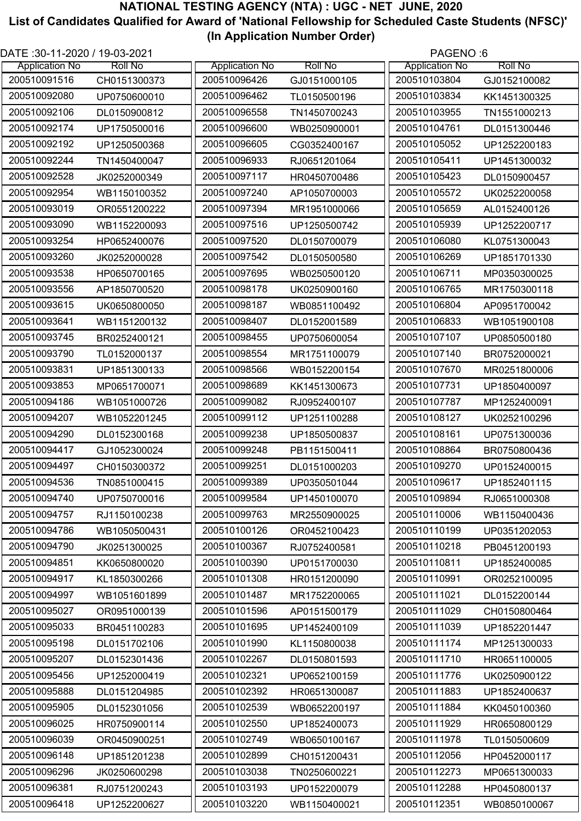| DATE :30-11-2020 / 19-03-2021 |                |                       |                | PAGENO:6              |                |
|-------------------------------|----------------|-----------------------|----------------|-----------------------|----------------|
| <b>Application No</b>         | <b>Roll No</b> | <b>Application No</b> | <b>Roll No</b> | <b>Application No</b> | <b>Roll No</b> |
| 200510091516                  | CH0151300373   | 200510096426          | GJ0151000105   | 200510103804          | GJ0152100082   |
| 200510092080                  | UP0750600010   | 200510096462          | TL0150500196   | 200510103834          | KK1451300325   |
| 200510092106                  | DL0150900812   | 200510096558          | TN1450700243   | 200510103955          | TN1551000213   |
| 200510092174                  | UP1750500016   | 200510096600          | WB0250900001   | 200510104761          | DL0151300446   |
| 200510092192                  | UP1250500368   | 200510096605          | CG0352400167   | 200510105052          | UP1252200183   |
| 200510092244                  | TN1450400047   | 200510096933          | RJ0651201064   | 200510105411          | UP1451300032   |
| 200510092528                  | JK0252000349   | 200510097117          | HR0450700486   | 200510105423          | DL0150900457   |
| 200510092954                  | WB1150100352   | 200510097240          | AP1050700003   | 200510105572          | UK0252200058   |
| 200510093019                  | OR0551200222   | 200510097394          | MR1951000066   | 200510105659          | AL0152400126   |
| 200510093090                  | WB1152200093   | 200510097516          | UP1250500742   | 200510105939          | UP1252200717   |
| 200510093254                  | HP0652400076   | 200510097520          | DL0150700079   | 200510106080          | KL0751300043   |
| 200510093260                  | JK0252000028   | 200510097542          | DL0150500580   | 200510106269          | UP1851701330   |
| 200510093538                  | HP0650700165   | 200510097695          | WB0250500120   | 200510106711          | MP0350300025   |
| 200510093556                  | AP1850700520   | 200510098178          | UK0250900160   | 200510106765          | MR1750300118   |
| 200510093615                  | UK0650800050   | 200510098187          | WB0851100492   | 200510106804          | AP0951700042   |
| 200510093641                  | WB1151200132   | 200510098407          | DL0152001589   | 200510106833          | WB1051900108   |
| 200510093745                  | BR0252400121   | 200510098455          | UP0750600054   | 200510107107          | UP0850500180   |
| 200510093790                  | TL0152000137   | 200510098554          | MR1751100079   | 200510107140          | BR0752000021   |
| 200510093831                  | UP1851300133   | 200510098566          | WB0152200154   | 200510107670          | MR0251800006   |
| 200510093853                  | MP0651700071   | 200510098689          | KK1451300673   | 200510107731          | UP1850400097   |
| 200510094186                  | WB1051000726   | 200510099082          | RJ0952400107   | 200510107787          | MP1252400091   |
| 200510094207                  | WB1052201245   | 200510099112          | UP1251100288   | 200510108127          | UK0252100296   |
| 200510094290                  | DL0152300168   | 200510099238          | UP1850500837   | 200510108161          | UP0751300036   |
| 200510094417                  | GJ1052300024   | 200510099248          | PB1151500411   | 200510108864          | BR0750800436   |
| 200510094497                  | CH0150300372   | 200510099251          | DL0151000203   | 200510109270          | UP0152400015   |
| 200510094536                  | TN0851000415   | 200510099389          | UP0350501044   | 200510109617          | UP1852401115   |
| 200510094740                  | UP0750700016   | 200510099584          | UP1450100070   | 200510109894          | RJ0651000308   |
| 200510094757                  | RJ1150100238   | 200510099763          | MR2550900025   | 200510110006          | WB1150400436   |
| 200510094786                  | WB1050500431   | 200510100126          | OR0452100423   | 200510110199          | UP0351202053   |
| 200510094790                  | JK0251300025   | 200510100367          | RJ0752400581   | 200510110218          | PB0451200193   |
| 200510094851                  | KK0650800020   | 200510100390          | UP0151700030   | 200510110811          | UP1852400085   |
| 200510094917                  | KL1850300266   | 200510101308          | HR0151200090   | 200510110991          | OR0252100095   |
| 200510094997                  | WB1051601899   | 200510101487          | MR1752200065   | 200510111021          | DL0152200144   |
| 200510095027                  | OR0951000139   | 200510101596          | AP0151500179   | 200510111029          | CH0150800464   |
| 200510095033                  | BR0451100283   | 200510101695          | UP1452400109   | 200510111039          | UP1852201447   |
| 200510095198                  | DL0151702106   | 200510101990          | KL1150800038   | 200510111174          | MP1251300033   |
| 200510095207                  | DL0152301436   | 200510102267          | DL0150801593   | 200510111710          | HR0651100005   |
| 200510095456                  | UP1252000419   | 200510102321          | UP0652100159   | 200510111776          | UK0250900122   |
| 200510095888                  | DL0151204985   | 200510102392          | HR0651300087   | 200510111883          | UP1852400637   |
| 200510095905                  | DL0152301056   | 200510102539          | WB0652200197   | 200510111884          | KK0450100360   |
| 200510096025                  | HR0750900114   | 200510102550          | UP1852400073   | 200510111929          | HR0650800129   |
| 200510096039                  | OR0450900251   | 200510102749          | WB0650100167   | 200510111978          | TL0150500609   |
| 200510096148                  | UP1851201238   | 200510102899          | CH0151200431   | 200510112056          | HP0452000117   |
| 200510096296                  | JK0250600298   | 200510103038          | TN0250600221   | 200510112273          | MP0651300033   |
| 200510096381                  | RJ0751200243   | 200510103193          | UP0152200079   | 200510112288          | HP0450800137   |
| 200510096418                  | UP1252200627   | 200510103220          | WB1150400021   | 200510112351          | WB0850100067   |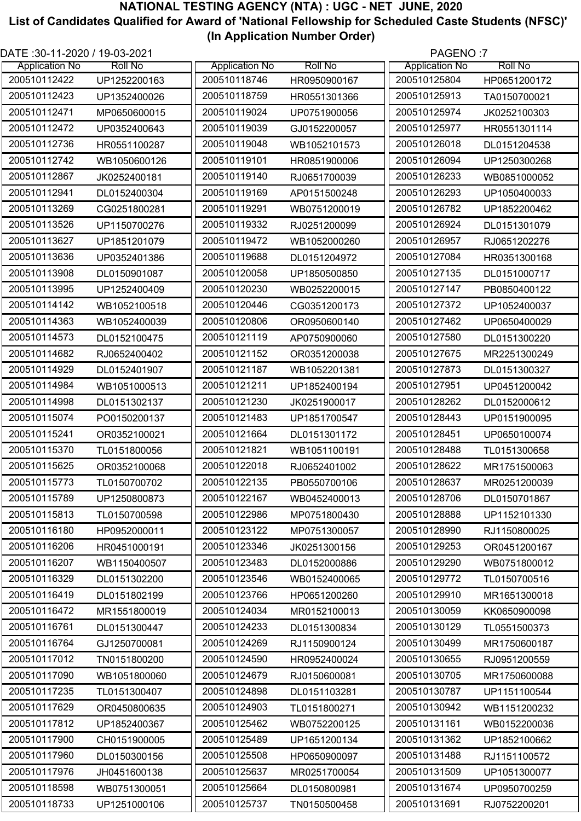| DATE: 30-11-2020 / 19-03-2021 |                |                       |                | PAGENO:7              |                |
|-------------------------------|----------------|-----------------------|----------------|-----------------------|----------------|
| <b>Application No</b>         | <b>Roll No</b> | <b>Application No</b> | <b>Roll No</b> | <b>Application No</b> | <b>Roll No</b> |
| 200510112422                  | UP1252200163   | 200510118746          | HR0950900167   | 200510125804          | HP0651200172   |
| 200510112423                  | UP1352400026   | 200510118759          | HR0551301366   | 200510125913          | TA0150700021   |
| 200510112471                  | MP0650600015   | 200510119024          | UP0751900056   | 200510125974          | JK0252100303   |
| 200510112472                  | UP0352400643   | 200510119039          | GJ0152200057   | 200510125977          | HR0551301114   |
| 200510112736                  | HR0551100287   | 200510119048          | WB1052101573   | 200510126018          | DL0151204538   |
| 200510112742                  | WB1050600126   | 200510119101          | HR0851900006   | 200510126094          | UP1250300268   |
| 200510112867                  | JK0252400181   | 200510119140          | RJ0651700039   | 200510126233          | WB0851000052   |
| 200510112941                  | DL0152400304   | 200510119169          | AP0151500248   | 200510126293          | UP1050400033   |
| 200510113269                  | CG0251800281   | 200510119291          | WB0751200019   | 200510126782          | UP1852200462   |
| 200510113526                  | UP1150700276   | 200510119332          | RJ0251200099   | 200510126924          | DL0151301079   |
| 200510113627                  | UP1851201079   | 200510119472          | WB1052000260   | 200510126957          | RJ0651202276   |
| 200510113636                  | UP0352401386   | 200510119688          | DL0151204972   | 200510127084          | HR0351300168   |
| 200510113908                  | DL0150901087   | 200510120058          | UP1850500850   | 200510127135          | DL0151000717   |
| 200510113995                  | UP1252400409   | 200510120230          | WB0252200015   | 200510127147          | PB0850400122   |
| 200510114142                  | WB1052100518   | 200510120446          | CG0351200173   | 200510127372          | UP1052400037   |
| 200510114363                  | WB1052400039   | 200510120806          | OR0950600140   | 200510127462          | UP0650400029   |
| 200510114573                  | DL0152100475   | 200510121119          | AP0750900060   | 200510127580          | DL0151300220   |
| 200510114682                  | RJ0652400402   | 200510121152          | OR0351200038   | 200510127675          | MR2251300249   |
| 200510114929                  | DL0152401907   | 200510121187          | WB1052201381   | 200510127873          | DL0151300327   |
| 200510114984                  | WB1051000513   | 200510121211          | UP1852400194   | 200510127951          | UP0451200042   |
| 200510114998                  | DL0151302137   | 200510121230          | JK0251900017   | 200510128262          | DL0152000612   |
| 200510115074                  | PO0150200137   | 200510121483          | UP1851700547   | 200510128443          | UP0151900095   |
| 200510115241                  | OR0352100021   | 200510121664          | DL0151301172   | 200510128451          | UP0650100074   |
| 200510115370                  | TL0151800056   | 200510121821          | WB1051100191   | 200510128488          | TL0151300658   |
| 200510115625                  | OR0352100068   | 200510122018          | RJ0652401002   | 200510128622          | MR1751500063   |
| 200510115773                  | TL0150700702   | 200510122135          | PB0550700106   | 200510128637          | MR0251200039   |
| 200510115789                  | UP1250800873   | 200510122167          | WB0452400013   | 200510128706          | DL0150701867   |
| 200510115813                  | TL0150700598   | 200510122986          | MP0751800430   | 200510128888          | UP1152101330   |
| 200510116180                  | HP0952000011   | 200510123122          | MP0751300057   | 200510128990          | RJ1150800025   |
| 200510116206                  | HR0451000191   | 200510123346          | JK0251300156   | 200510129253          | OR0451200167   |
| 200510116207                  | WB1150400507   | 200510123483          | DL0152000886   | 200510129290          | WB0751800012   |
| 200510116329                  | DL0151302200   | 200510123546          | WB0152400065   | 200510129772          | TL0150700516   |
| 200510116419                  | DL0151802199   | 200510123766          | HP0651200260   | 200510129910          | MR1651300018   |
| 200510116472                  | MR1551800019   | 200510124034          | MR0152100013   | 200510130059          | KK0650900098   |
| 200510116761                  | DL0151300447   | 200510124233          | DL0151300834   | 200510130129          | TL0551500373   |
| 200510116764                  | GJ1250700081   | 200510124269          | RJ1150900124   | 200510130499          | MR1750600187   |
| 200510117012                  | TN0151800200   | 200510124590          | HR0952400024   | 200510130655          | RJ0951200559   |
| 200510117090                  | WB1051800060   | 200510124679          | RJ0150600081   | 200510130705          | MR1750600088   |
| 200510117235                  | TL0151300407   | 200510124898          | DL0151103281   | 200510130787          | UP1151100544   |
| 200510117629                  | OR0450800635   | 200510124903          | TL0151800271   | 200510130942          | WB1151200232   |
| 200510117812                  | UP1852400367   | 200510125462          | WB0752200125   | 200510131161          | WB0152200036   |
| 200510117900                  | CH0151900005   | 200510125489          | UP1651200134   | 200510131362          | UP1852100662   |
| 200510117960                  | DL0150300156   | 200510125508          | HP0650900097   | 200510131488          | RJ1151100572   |
| 200510117976                  | JH0451600138   | 200510125637          | MR0251700054   | 200510131509          | UP1051300077   |
| 200510118598                  | WB0751300051   | 200510125664          | DL0150800981   | 200510131674          | UP0950700259   |
| 200510118733                  | UP1251000106   | 200510125737          | TN0150500458   | 200510131691          | RJ0752200201   |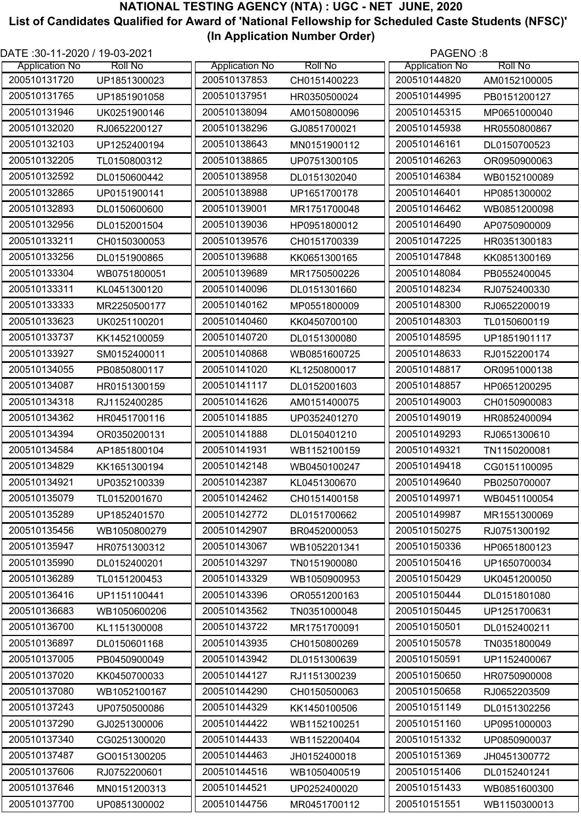| DATE: 30-11-2020 / 19-03-2021 |                |                       |                | PAGENO:8              |                |
|-------------------------------|----------------|-----------------------|----------------|-----------------------|----------------|
| <b>Application No</b>         | <b>Roll No</b> | <b>Application No</b> | <b>Roll No</b> | <b>Application No</b> | <b>Roll No</b> |
| 200510131720                  | UP1851300023   | 200510137853          | CH0151400223   | 200510144820          | AM0152100005   |
| 200510131765                  | UP1851901058   | 200510137951          | HR0350500024   | 200510144995          | PB0151200127   |
| 200510131946                  | UK0251900146   | 200510138094          | AM0150800096   | 200510145315          | MP0651000040   |
| 200510132020                  | RJ0652200127   | 200510138296          | GJ0851700021   | 200510145938          | HR0550800867   |
| 200510132103                  | UP1252400194   | 200510138643          | MN0151900112   | 200510146161          | DL0150700523   |
| 200510132205                  | TL0150800312   | 200510138865          | UP0751300105   | 200510146263          | OR0950900063   |
| 200510132592                  | DL0150600442   | 200510138958          | DL0151302040   | 200510146384          | WB0152100089   |
| 200510132865                  | UP0151900141   | 200510138988          | UP1651700178   | 200510146401          | HP0851300002   |
| 200510132893                  | DL0150600600   | 200510139001          | MR1751700048   | 200510146462          | WB0851200098   |
| 200510132956                  | DL0152001504   | 200510139036          | HP0951800012   | 200510146490          | AP0750900009   |
| 200510133211                  | CH0150300053   | 200510139576          | CH0151700339   | 200510147225          | HR0351300183   |
| 200510133256                  | DL0151900865   | 200510139688          | KK0651300165   | 200510147848          | KK0851300169   |
| 200510133304                  | WB0751800051   | 200510139689          | MR1750500226   | 200510148084          | PB0552400045   |
| 200510133311                  | KL0451300120   | 200510140096          | DL0151301660   | 200510148234          | RJ0752400330   |
| 200510133333                  | MR2250500177   | 200510140162          | MP0551800009   | 200510148300          | RJ0652200019   |
| 200510133623                  | UK0251100201   | 200510140460          | KK0450700100   | 200510148303          | TL0150600119   |
| 200510133737                  | KK1452100059   | 200510140720          | DL0151300080   | 200510148595          | UP1851901117   |
| 200510133927                  | SM0152400011   | 200510140868          | WB0851600725   | 200510148633          | RJ0152200174   |
| 200510134055                  | PB0850800117   | 200510141020          | KL1250800017   | 200510148817          | OR0951000138   |
| 200510134087                  | HR0151300159   | 200510141117          | DL0152001603   | 200510148857          | HP0651200295   |
| 200510134318                  | RJ1152400285   | 200510141626          | AM0151400075   | 200510149003          | CH0150900083   |
| 200510134362                  | HR0451700116   | 200510141885          | UP0352401270   | 200510149019          | HR0852400094   |
| 200510134394                  | OR0350200131   | 200510141888          | DL0150401210   | 200510149293          | RJ0651300610   |
| 200510134584                  | AP1851800104   | 200510141931          | WB1152100159   | 200510149321          | TN1150200081   |
| 200510134829                  | KK1651300194   | 200510142148          | WB0450100247   | 200510149418          | CG0151100095   |
| 200510134921                  | UP0352100339   | 200510142387          | KL0451300670   | 200510149640          | PB0250700007   |
| 200510135079                  | TL0152001670   | 200510142462          | CH0151400158   | 200510149971          | WB0451100054   |
| 200510135289                  | UP1852401570   | 200510142772          | DL0151700662   | 200510149987          | MR1551300069   |
| 200510135456                  | WB1050800279   | 200510142907          | BR0452000053   | 200510150275          | RJ0751300192   |
| 200510135947                  | HR0751300312   | 200510143067          | WB1052201341   | 200510150336          | HP0651800123   |
| 200510135990                  | DL0152400201   | 200510143297          | TN0151900080   | 200510150416          | UP1650700034   |
| 200510136289                  | TL0151200453   | 200510143329          | WB1050900953   | 200510150429          | UK0451200050   |
| 200510136416                  | UP1151100441   | 200510143396          | OR0551200163   | 200510150444          | DL0151801080   |
| 200510136683                  | WB1050600206   | 200510143562          | TN0351000048   | 200510150445          | UP1251700631   |
| 200510136700                  | KL1151300008   | 200510143722          | MR1751700091   | 200510150501          | DL0152400211   |
| 200510136897                  | DL0150601168   | 200510143935          | CH0150800269   | 200510150578          | TN0351800049   |
| 200510137005                  | PB0450900049   | 200510143942          | DL0151300639   | 200510150591          | UP1152400067   |
| 200510137020                  |                | 200510144127          |                | 200510150650          |                |
| 200510137080                  | KK0450700033   | 200510144290          | RJ1151300239   | 200510150658          | HR0750900008   |
| 200510137243                  | WB1052100167   | 200510144329          | CH0150500063   | 200510151149          | RJ0652203509   |
| 200510137290                  | UP0750500086   | 200510144422          | KK1450100506   | 200510151160          | DL0151302256   |
|                               | GJ0251300006   |                       | WB1152100251   |                       | UP0951000003   |
| 200510137340                  | CG0251300020   | 200510144433          | WB1152200404   | 200510151332          | UP0850900037   |
| 200510137487                  | GO0151300205   | 200510144463          | JH0152400018   | 200510151369          | JH0451300772   |
| 200510137606                  | RJ0752200601   | 200510144516          | WB1050400519   | 200510151406          | DL0152401241   |
| 200510137646                  | MN0151200313   | 200510144521          | UP0252400020   | 200510151433          | WB0851600300   |
| 200510137700                  | UP0851300002   | 200510144756          | MR0451700112   | 200510151551          | WB1150300013   |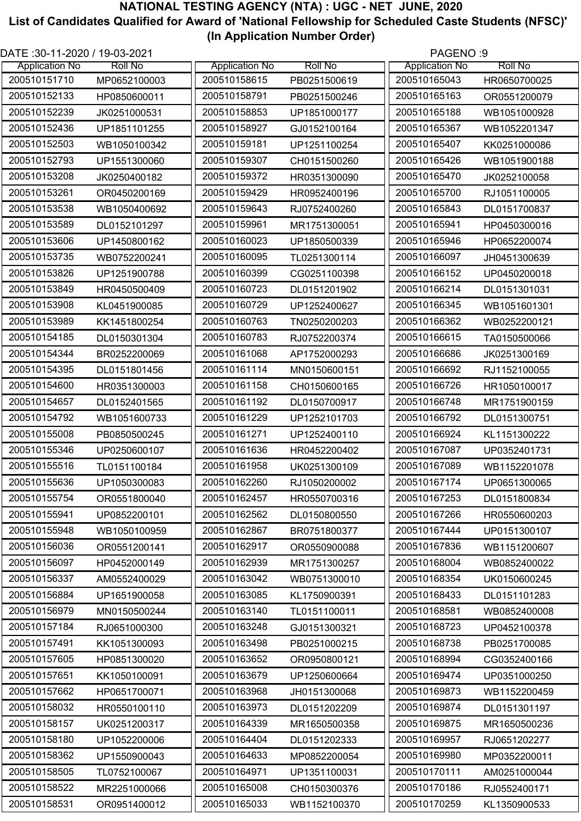| DATE: 30-11-2020 / 19-03-2021 |                |                       |                | PAGENO:9              |                |
|-------------------------------|----------------|-----------------------|----------------|-----------------------|----------------|
| <b>Application No</b>         | <b>Roll No</b> | <b>Application No</b> | <b>Roll No</b> | <b>Application No</b> | <b>Roll No</b> |
| 200510151710                  | MP0652100003   | 200510158615          | PB0251500619   | 200510165043          | HR0650700025   |
| 200510152133                  | HP0850600011   | 200510158791          | PB0251500246   | 200510165163          | OR0551200079   |
| 200510152239                  | JK0251000531   | 200510158853          | UP1851000177   | 200510165188          | WB1051000928   |
| 200510152436                  | UP1851101255   | 200510158927          | GJ0152100164   | 200510165367          | WB1052201347   |
| 200510152503                  | WB1050100342   | 200510159181          | UP1251100254   | 200510165407          | KK0251000086   |
| 200510152793                  | UP1551300060   | 200510159307          | CH0151500260   | 200510165426          | WB1051900188   |
| 200510153208                  | JK0250400182   | 200510159372          | HR0351300090   | 200510165470          | JK0252100058   |
| 200510153261                  | OR0450200169   | 200510159429          | HR0952400196   | 200510165700          | RJ1051100005   |
| 200510153538                  | WB1050400692   | 200510159643          | RJ0752400260   | 200510165843          | DL0151700837   |
| 200510153589                  | DL0152101297   | 200510159961          | MR1751300051   | 200510165941          | HP0450300016   |
| 200510153606                  | UP1450800162   | 200510160023          | UP1850500339   | 200510165946          | HP0652200074   |
| 200510153735                  | WB0752200241   | 200510160095          | TL0251300114   | 200510166097          | JH0451300639   |
| 200510153826                  | UP1251900788   | 200510160399          | CG0251100398   | 200510166152          | UP0450200018   |
| 200510153849                  | HR0450500409   | 200510160723          | DL0151201902   | 200510166214          | DL0151301031   |
| 200510153908                  | KL0451900085   | 200510160729          | UP1252400627   | 200510166345          | WB1051601301   |
| 200510153989                  | KK1451800254   | 200510160763          | TN0250200203   | 200510166362          | WB0252200121   |
| 200510154185                  | DL0150301304   | 200510160783          | RJ0752200374   | 200510166615          | TA0150500066   |
| 200510154344                  | BR0252200069   | 200510161068          | AP1752000293   | 200510166686          | JK0251300169   |
| 200510154395                  | DL0151801456   | 200510161114          | MN0150600151   | 200510166692          | RJ1152100055   |
| 200510154600                  | HR0351300003   | 200510161158          | CH0150600165   | 200510166726          | HR1050100017   |
| 200510154657                  |                | 200510161192          |                | 200510166748          |                |
| 200510154792                  | DL0152401565   | 200510161229          | DL0150700917   | 200510166792          | MR1751900159   |
|                               | WB1051600733   |                       | UP1252101703   |                       | DL0151300751   |
| 200510155008                  | PB0850500245   | 200510161271          | UP1252400110   | 200510166924          | KL1151300222   |
| 200510155346                  | UP0250600107   | 200510161636          | HR0452200402   | 200510167087          | UP0352401731   |
| 200510155516                  | TL0151100184   | 200510161958          | UK0251300109   | 200510167089          | WB1152201078   |
| 200510155636                  | UP1050300083   | 200510162260          | RJ1050200002   | 200510167174          | UP0651300065   |
| 200510155754                  | OR0551800040   | 200510162457          | HR0550700316   | 200510167253          | DL0151800834   |
| 200510155941                  | UP0852200101   | 200510162562          | DL0150800550   | 200510167266          | HR0550600203   |
| 200510155948                  | WB1050100959   | 200510162867          | BR0751800377   | 200510167444          | UP0151300107   |
| 200510156036                  | OR0551200141   | 200510162917          | OR0550900088   | 200510167836          | WB1151200607   |
| 200510156097                  | HP0452000149   | 200510162939          | MR1751300257   | 200510168004          | WB0852400022   |
| 200510156337                  | AM0552400029   | 200510163042          | WB0751300010   | 200510168354          | UK0150600245   |
| 200510156884                  | UP1651900058   | 200510163085          | KL1750900391   | 200510168433          | DL0151101283   |
| 200510156979                  | MN0150500244   | 200510163140          | TL0151100011   | 200510168581          | WB0852400008   |
| 200510157184                  | RJ0651000300   | 200510163248          | GJ0151300321   | 200510168723          | UP0452100378   |
| 200510157491                  | KK1051300093   | 200510163498          | PB0251000215   | 200510168738          | PB0251700085   |
| 200510157605                  | HP0851300020   | 200510163652          | OR0950800121   | 200510168994          | CG0352400166   |
| 200510157651                  | KK1050100091   | 200510163679          | UP1250600664   | 200510169474          | UP0351000250   |
| 200510157662                  | HP0651700071   | 200510163968          | JH0151300068   | 200510169873          | WB1152200459   |
| 200510158032                  | HR0550100110   | 200510163973          | DL0151202209   | 200510169874          | DL0151301197   |
| 200510158157                  | UK0251200317   | 200510164339          | MR1650500358   | 200510169875          | MR1650500236   |
| 200510158180                  | UP1052200006   | 200510164404          | DL0151202333   | 200510169957          | RJ0651202277   |
| 200510158362                  | UP1550900043   | 200510164633          | MP0852200054   | 200510169980          | MP0352200011   |
| 200510158505                  | TL0752100067   | 200510164971          | UP1351100031   | 200510170111          | AM0251000044   |
| 200510158522                  | MR2251000066   | 200510165008          | CH0150300376   | 200510170186          | RJ0552400171   |
| 200510158531                  | OR0951400012   | 200510165033          | WB1152100370   | 200510170259          | KL1350900533   |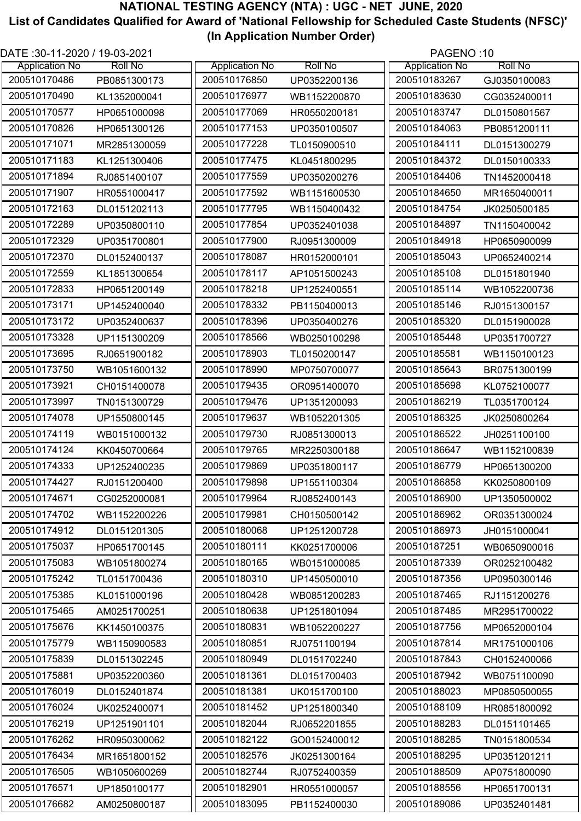| DATE: 30-11-2020 / 19-03-2021 |                |                       |                | PAGENO:10             |                |
|-------------------------------|----------------|-----------------------|----------------|-----------------------|----------------|
| <b>Application No</b>         | <b>Roll No</b> | <b>Application No</b> | <b>Roll No</b> | <b>Application No</b> | <b>Roll No</b> |
| 200510170486                  | PB0851300173   | 200510176850          | UP0352200136   | 200510183267          | GJ0350100083   |
| 200510170490                  | KL1352000041   | 200510176977          | WB1152200870   | 200510183630          | CG0352400011   |
| 200510170577                  | HP0651000098   | 200510177069          | HR0550200181   | 200510183747          | DL0150801567   |
| 200510170826                  | HP0651300126   | 200510177153          | UP0350100507   | 200510184063          | PB0851200111   |
| 200510171071                  | MR2851300059   | 200510177228          | TL0150900510   | 200510184111          | DL0151300279   |
| 200510171183                  | KL1251300406   | 200510177475          | KL0451800295   | 200510184372          | DL0150100333   |
| 200510171894                  | RJ0851400107   | 200510177559          | UP0350200276   | 200510184406          | TN1452000418   |
| 200510171907                  | HR0551000417   | 200510177592          | WB1151600530   | 200510184650          | MR1650400011   |
| 200510172163                  | DL0151202113   | 200510177795          | WB1150400432   | 200510184754          | JK0250500185   |
| 200510172289                  | UP0350800110   | 200510177854          | UP0352401038   | 200510184897          | TN1150400042   |
| 200510172329                  | UP0351700801   | 200510177900          | RJ0951300009   | 200510184918          | HP0650900099   |
| 200510172370                  | DL0152400137   | 200510178087          | HR0152000101   | 200510185043          | UP0652400214   |
| 200510172559                  | KL1851300654   | 200510178117          | AP1051500243   | 200510185108          | DL0151801940   |
| 200510172833                  | HP0651200149   | 200510178218          | UP1252400551   | 200510185114          | WB1052200736   |
| 200510173171                  | UP1452400040   | 200510178332          | PB1150400013   | 200510185146          | RJ0151300157   |
| 200510173172                  | UP0352400637   | 200510178396          | UP0350400276   | 200510185320          | DL0151900028   |
| 200510173328                  | UP1151300209   | 200510178566          | WB0250100298   | 200510185448          | UP0351700727   |
| 200510173695                  | RJ0651900182   | 200510178903          | TL0150200147   | 200510185581          | WB1150100123   |
| 200510173750                  | WB1051600132   | 200510178990          | MP0750700077   | 200510185643          | BR0751300199   |
| 200510173921                  | CH0151400078   | 200510179435          | OR0951400070   | 200510185698          | KL0752100077   |
| 200510173997                  | TN0151300729   | 200510179476          | UP1351200093   | 200510186219          | TL0351700124   |
| 200510174078                  | UP1550800145   | 200510179637          | WB1052201305   | 200510186325          | JK0250800264   |
| 200510174119                  | WB0151000132   | 200510179730          | RJ0851300013   | 200510186522          | JH0251100100   |
| 200510174124                  | KK0450700664   | 200510179765          | MR2250300188   | 200510186647          | WB1152100839   |
| 200510174333                  | UP1252400235   | 200510179869          | UP0351800117   | 200510186779          | HP0651300200   |
| 200510174427                  | RJ0151200400   | 200510179898          | UP1551100304   | 200510186858          | KK0250800109   |
| 200510174671                  | CG0252000081   | 200510179964          | RJ0852400143   | 200510186900          | UP1350500002   |
| 200510174702                  | WB1152200226   | 200510179981          | CH0150500142   | 200510186962          | OR0351300024   |
| 200510174912                  | DL0151201305   | 200510180068          | UP1251200728   | 200510186973          | JH0151000041   |
| 200510175037                  | HP0651700145   | 200510180111          | KK0251700006   | 200510187251          | WB0650900016   |
| 200510175083                  | WB1051800274   | 200510180165          | WB0151000085   | 200510187339          | OR0252100482   |
| 200510175242                  | TL0151700436   | 200510180310          | UP1450500010   | 200510187356          | UP0950300146   |
| 200510175385                  | KL0151000196   | 200510180428          | WB0851200283   | 200510187465          | RJ1151200276   |
| 200510175465                  | AM0251700251   | 200510180638          | UP1251801094   | 200510187485          | MR2951700022   |
| 200510175676                  | KK1450100375   | 200510180831          | WB1052200227   | 200510187756          | MP0652000104   |
| 200510175779                  | WB1150900583   | 200510180851          | RJ0751100194   | 200510187814          | MR1751000106   |
| 200510175839                  | DL0151302245   | 200510180949          | DL0151702240   | 200510187843          | CH0152400066   |
| 200510175881                  | UP0352200360   | 200510181361          | DL0151700403   | 200510187942          | WB0751100090   |
| 200510176019                  | DL0152401874   | 200510181381          | UK0151700100   | 200510188023          | MP0850500055   |
| 200510176024                  | UK0252400071   | 200510181452          | UP1251800340   | 200510188109          | HR0851800092   |
| 200510176219                  | UP1251901101   | 200510182044          | RJ0652201855   | 200510188283          | DL0151101465   |
| 200510176262                  | HR0950300062   | 200510182122          | GO0152400012   | 200510188285          | TN0151800534   |
| 200510176434                  | MR1651800152   | 200510182576          | JK0251300164   | 200510188295          | UP0351201211   |
| 200510176505                  | WB1050600269   | 200510182744          | RJ0752400359   | 200510188509          | AP0751800090   |
| 200510176571                  | UP1850100177   | 200510182901          | HR0551000057   | 200510188556          | HP0651700131   |
| 200510176682                  | AM0250800187   | 200510183095          | PB1152400030   | 200510189086          | UP0352401481   |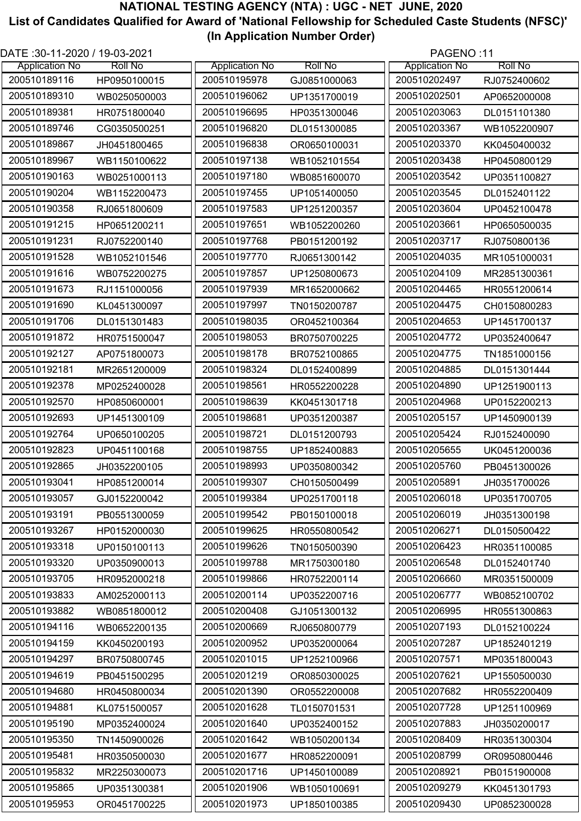| DATE :30-11-2020 / 19-03-2021 |                |                       |                | PAGENO:11             |                |
|-------------------------------|----------------|-----------------------|----------------|-----------------------|----------------|
| <b>Application No</b>         | <b>Roll No</b> | <b>Application No</b> | <b>Roll No</b> | <b>Application No</b> | <b>Roll No</b> |
| 200510189116                  | HP0950100015   | 200510195978          | GJ0851000063   | 200510202497          | RJ0752400602   |
| 200510189310                  | WB0250500003   | 200510196062          | UP1351700019   | 200510202501          | AP0652000008   |
| 200510189381                  | HR0751800040   | 200510196695          | HP0351300046   | 200510203063          | DL0151101380   |
| 200510189746                  | CG0350500251   | 200510196820          | DL0151300085   | 200510203367          | WB1052200907   |
| 200510189867                  | JH0451800465   | 200510196838          | OR0650100031   | 200510203370          | KK0450400032   |
| 200510189967                  | WB1150100622   | 200510197138          | WB1052101554   | 200510203438          | HP0450800129   |
| 200510190163                  | WB0251000113   | 200510197180          | WB0851600070   | 200510203542          | UP0351100827   |
| 200510190204                  | WB1152200473   | 200510197455          | UP1051400050   | 200510203545          | DL0152401122   |
| 200510190358                  | RJ0651800609   | 200510197583          | UP1251200357   | 200510203604          | UP0452100478   |
| 200510191215                  | HP0651200211   | 200510197651          | WB1052200260   | 200510203661          | HP0650500035   |
| 200510191231                  | RJ0752200140   | 200510197768          | PB0151200192   | 200510203717          | RJ0750800136   |
| 200510191528                  | WB1052101546   | 200510197770          | RJ0651300142   | 200510204035          | MR1051000031   |
| 200510191616                  | WB0752200275   | 200510197857          | UP1250800673   | 200510204109          | MR2851300361   |
| 200510191673                  | RJ1151000056   | 200510197939          | MR1652000662   | 200510204465          | HR0551200614   |
| 200510191690                  | KL0451300097   | 200510197997          | TN0150200787   | 200510204475          | CH0150800283   |
| 200510191706                  | DL0151301483   | 200510198035          | OR0452100364   | 200510204653          | UP1451700137   |
| 200510191872                  | HR0751500047   | 200510198053          | BR0750700225   | 200510204772          | UP0352400647   |
| 200510192127                  | AP0751800073   | 200510198178          | BR0752100865   | 200510204775          | TN1851000156   |
| 200510192181                  | MR2651200009   | 200510198324          | DL0152400899   | 200510204885          | DL0151301444   |
| 200510192378                  | MP0252400028   | 200510198561          | HR0552200228   | 200510204890          | UP1251900113   |
| 200510192570                  | HP0850600001   | 200510198639          | KK0451301718   | 200510204968          | UP0152200213   |
| 200510192693                  | UP1451300109   | 200510198681          | UP0351200387   | 200510205157          | UP1450900139   |
| 200510192764                  | UP0650100205   | 200510198721          | DL0151200793   | 200510205424          | RJ0152400090   |
| 200510192823                  | UP0451100168   | 200510198755          | UP1852400883   | 200510205655          | UK0451200036   |
| 200510192865                  | JH0352200105   | 200510198993          | UP0350800342   | 200510205760          | PB0451300026   |
| 200510193041                  | HP0851200014   | 200510199307          | CH0150500499   | 200510205891          | JH0351700026   |
| 200510193057                  | GJ0152200042   | 200510199384          | UP0251700118   | 200510206018          | UP0351700705   |
| 200510193191                  |                | 200510199542          |                | 200510206019          | JH0351300198   |
|                               | PB0551300059   | 200510199625          | PB0150100018   |                       |                |
| 200510193267                  | HP0152000030   |                       | HR0550800542   | 200510206271          | DL0150500422   |
| 200510193318                  | UP0150100113   | 200510199626          | TN0150500390   | 200510206423          | HR0351100085   |
| 200510193320                  | UP0350900013   | 200510199788          | MR1750300180   | 200510206548          | DL0152401740   |
| 200510193705                  | HR0952000218   | 200510199866          | HR0752200114   | 200510206660          | MR0351500009   |
| 200510193833                  | AM0252000113   | 200510200114          | UP0352200716   | 200510206777          | WB0852100702   |
| 200510193882                  | WB0851800012   | 200510200408          | GJ1051300132   | 200510206995          | HR0551300863   |
| 200510194116                  | WB0652200135   | 200510200669          | RJ0650800779   | 200510207193          | DL0152100224   |
| 200510194159                  | KK0450200193   | 200510200952          | UP0352000064   | 200510207287          | UP1852401219   |
| 200510194297                  | BR0750800745   | 200510201015          | UP1252100966   | 200510207571          | MP0351800043   |
| 200510194619                  | PB0451500295   | 200510201219          | OR0850300025   | 200510207621          | UP1550500030   |
| 200510194680                  | HR0450800034   | 200510201390          | OR0552200008   | 200510207682          | HR0552200409   |
| 200510194881                  | KL0751500057   | 200510201628          | TL0150701531   | 200510207728          | UP1251100969   |
| 200510195190                  | MP0352400024   | 200510201640          | UP0352400152   | 200510207883          | JH0350200017   |
| 200510195350                  | TN1450900026   | 200510201642          | WB1050200134   | 200510208409          | HR0351300304   |
| 200510195481                  | HR0350500030   | 200510201677          | HR0852200091   | 200510208799          | OR0950800446   |
| 200510195832                  | MR2250300073   | 200510201716          | UP1450100089   | 200510208921          | PB0151900008   |
| 200510195865                  | UP0351300381   | 200510201906          | WB1050100691   | 200510209279          | KK0451301793   |
| 200510195953                  | OR0451700225   | 200510201973          | UP1850100385   | 200510209430          | UP0852300028   |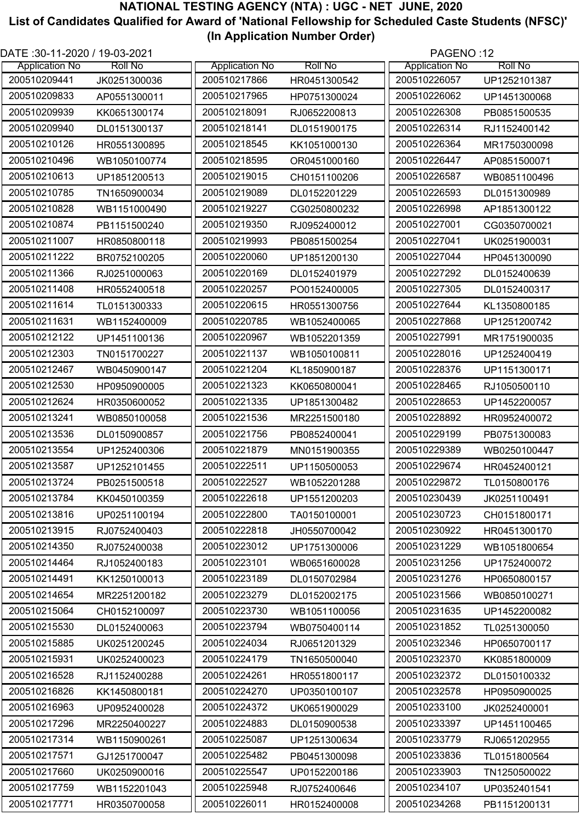| DATE: 30-11-2020 / 19-03-2021 |                |                       |                | PAGENO:12             |                |
|-------------------------------|----------------|-----------------------|----------------|-----------------------|----------------|
| <b>Application No</b>         | <b>Roll No</b> | <b>Application No</b> | <b>Roll No</b> | <b>Application No</b> | <b>Roll No</b> |
| 200510209441                  | JK0251300036   | 200510217866          | HR0451300542   | 200510226057          | UP1252101387   |
| 200510209833                  | AP0551300011   | 200510217965          | HP0751300024   | 200510226062          | UP1451300068   |
| 200510209939                  | KK0651300174   | 200510218091          | RJ0652200813   | 200510226308          | PB0851500535   |
| 200510209940                  | DL0151300137   | 200510218141          | DL0151900175   | 200510226314          | RJ1152400142   |
| 200510210126                  | HR0551300895   | 200510218545          | KK1051000130   | 200510226364          | MR1750300098   |
| 200510210496                  | WB1050100774   | 200510218595          | OR0451000160   | 200510226447          | AP0851500071   |
| 200510210613                  | UP1851200513   | 200510219015          | CH0151100206   | 200510226587          | WB0851100496   |
| 200510210785                  | TN1650900034   | 200510219089          | DL0152201229   | 200510226593          | DL0151300989   |
| 200510210828                  | WB1151000490   | 200510219227          | CG0250800232   | 200510226998          | AP1851300122   |
| 200510210874                  | PB1151500240   | 200510219350          | RJ0952400012   | 200510227001          | CG0350700021   |
| 200510211007                  | HR0850800118   | 200510219993          | PB0851500254   | 200510227041          | UK0251900031   |
| 200510211222                  | BR0752100205   | 200510220060          | UP1851200130   | 200510227044          | HP0451300090   |
| 200510211366                  | RJ0251000063   | 200510220169          | DL0152401979   | 200510227292          | DL0152400639   |
| 200510211408                  | HR0552400518   | 200510220257          | PO0152400005   | 200510227305          | DL0152400317   |
| 200510211614                  | TL0151300333   | 200510220615          | HR0551300756   | 200510227644          | KL1350800185   |
| 200510211631                  | WB1152400009   | 200510220785          | WB1052400065   | 200510227868          | UP1251200742   |
| 200510212122                  | UP1451100136   | 200510220967          | WB1052201359   | 200510227991          | MR1751900035   |
| 200510212303                  | TN0151700227   | 200510221137          | WB1050100811   | 200510228016          | UP1252400419   |
| 200510212467                  | WB0450900147   | 200510221204          | KL1850900187   | 200510228376          | UP1151300171   |
| 200510212530                  | HP0950900005   | 200510221323          | KK0650800041   | 200510228465          | RJ1050500110   |
| 200510212624                  | HR0350600052   | 200510221335          | UP1851300482   | 200510228653          | UP1452200057   |
| 200510213241                  | WB0850100058   | 200510221536          | MR2251500180   | 200510228892          | HR0952400072   |
| 200510213536                  | DL0150900857   | 200510221756          | PB0852400041   | 200510229199          | PB0751300083   |
| 200510213554                  | UP1252400306   | 200510221879          | MN0151900355   | 200510229389          | WB0250100447   |
| 200510213587                  | UP1252101455   | 200510222511          | UP1150500053   | 200510229674          | HR0452400121   |
| 200510213724                  | PB0251500518   | 200510222527          | WB1052201288   | 200510229872          | TL0150800176   |
| 200510213784                  | KK0450100359   | 200510222618          | UP1551200203   | 200510230439          | JK0251100491   |
| 200510213816                  | UP0251100194   | 200510222800          | TA0150100001   | 200510230723          | CH0151800171   |
| 200510213915                  | RJ0752400403   | 200510222818          | JH0550700042   | 200510230922          | HR0451300170   |
| 200510214350                  | RJ0752400038   | 200510223012          | UP1751300006   | 200510231229          | WB1051800654   |
| 200510214464                  | RJ1052400183   | 200510223101          | WB0651600028   | 200510231256          | UP1752400072   |
| 200510214491                  | KK1250100013   | 200510223189          | DL0150702984   | 200510231276          | HP0650800157   |
| 200510214654                  | MR2251200182   | 200510223279          | DL0152002175   | 200510231566          | WB0850100271   |
| 200510215064                  | CH0152100097   | 200510223730          | WB1051100056   | 200510231635          | UP1452200082   |
| 200510215530                  | DL0152400063   | 200510223794          | WB0750400114   | 200510231852          | TL0251300050   |
| 200510215885                  | UK0251200245   | 200510224034          | RJ0651201329   | 200510232346          | HP0650700117   |
| 200510215931                  | UK0252400023   | 200510224179          | TN1650500040   | 200510232370          | KK0851800009   |
| 200510216528                  | RJ1152400288   | 200510224261          | HR0551800117   | 200510232372          | DL0150100332   |
| 200510216826                  | KK1450800181   | 200510224270          | UP0350100107   | 200510232578          | HP0950900025   |
| 200510216963                  | UP0952400028   | 200510224372          | UK0651900029   | 200510233100          | JK0252400001   |
| 200510217296                  | MR2250400227   | 200510224883          | DL0150900538   | 200510233397          | UP1451100465   |
| 200510217314                  | WB1150900261   | 200510225087          | UP1251300634   | 200510233779          | RJ0651202955   |
| 200510217571                  | GJ1251700047   | 200510225482          | PB0451300098   | 200510233836          | TL0151800564   |
| 200510217660                  | UK0250900016   | 200510225547          | UP0152200186   | 200510233903          | TN1250500022   |
| 200510217759                  | WB1152201043   | 200510225948          | RJ0752400646   | 200510234107          | UP0352401541   |
| 200510217771                  | HR0350700058   | 200510226011          | HR0152400008   | 200510234268          | PB1151200131   |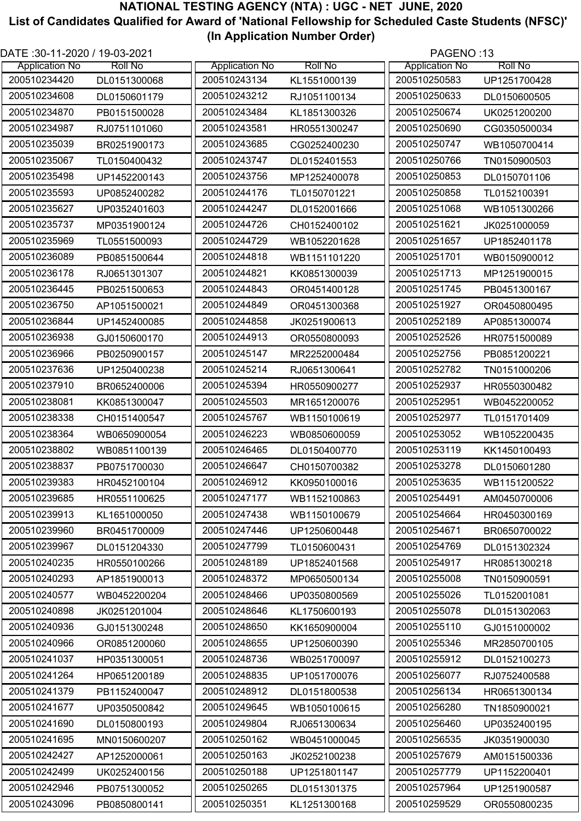| DATE :30-11-2020 / 19-03-2021 |                |                       |                | PAGENO:13             |                |
|-------------------------------|----------------|-----------------------|----------------|-----------------------|----------------|
| <b>Application No</b>         | <b>Roll No</b> | <b>Application No</b> | <b>Roll No</b> | <b>Application No</b> | <b>Roll No</b> |
| 200510234420                  | DL0151300068   | 200510243134          | KL1551000139   | 200510250583          | UP1251700428   |
| 200510234608                  | DL0150601179   | 200510243212          | RJ1051100134   | 200510250633          | DL0150600505   |
| 200510234870                  | PB0151500028   | 200510243484          | KL1851300326   | 200510250674          | UK0251200200   |
| 200510234987                  | RJ0751101060   | 200510243581          | HR0551300247   | 200510250690          | CG0350500034   |
| 200510235039                  | BR0251900173   | 200510243685          | CG0252400230   | 200510250747          | WB1050700414   |
| 200510235067                  | TL0150400432   | 200510243747          | DL0152401553   | 200510250766          | TN0150900503   |
| 200510235498                  | UP1452200143   | 200510243756          | MP1252400078   | 200510250853          | DL0150701106   |
| 200510235593                  | UP0852400282   | 200510244176          | TL0150701221   | 200510250858          | TL0152100391   |
| 200510235627                  | UP0352401603   | 200510244247          | DL0152001666   | 200510251068          | WB1051300266   |
| 200510235737                  | MP0351900124   | 200510244726          | CH0152400102   | 200510251621          | JK0251000059   |
| 200510235969                  | TL0551500093   | 200510244729          | WB1052201628   | 200510251657          | UP1852401178   |
| 200510236089                  | PB0851500644   | 200510244818          | WB1151101220   | 200510251701          | WB0150900012   |
| 200510236178                  | RJ0651301307   | 200510244821          | KK0851300039   | 200510251713          | MP1251900015   |
| 200510236445                  | PB0251500653   | 200510244843          | OR0451400128   | 200510251745          | PB0451300167   |
| 200510236750                  | AP1051500021   | 200510244849          | OR0451300368   | 200510251927          | OR0450800495   |
| 200510236844                  | UP1452400085   | 200510244858          | JK0251900613   | 200510252189          | AP0851300074   |
| 200510236938                  | GJ0150600170   | 200510244913          | OR0550800093   | 200510252526          | HR0751500089   |
| 200510236966                  | PB0250900157   | 200510245147          | MR2252000484   | 200510252756          | PB0851200221   |
| 200510237636                  | UP1250400238   | 200510245214          | RJ0651300641   | 200510252782          | TN0151000206   |
| 200510237910                  | BR0652400006   | 200510245394          | HR0550900277   | 200510252937          | HR0550300482   |
| 200510238081                  | KK0851300047   | 200510245503          | MR1651200076   | 200510252951          | WB0452200052   |
| 200510238338                  | CH0151400547   | 200510245767          | WB1150100619   | 200510252977          | TL0151701409   |
| 200510238364                  | WB0650900054   | 200510246223          | WB0850600059   | 200510253052          | WB1052200435   |
| 200510238802                  | WB0851100139   | 200510246465          | DL0150400770   | 200510253119          | KK1450100493   |
| 200510238837                  | PB0751700030   | 200510246647          | CH0150700382   | 200510253278          | DL0150601280   |
| 200510239383                  | HR0452100104   | 200510246912          | KK0950100016   | 200510253635          | WB1151200522   |
| 200510239685                  | HR0551100625   | 200510247177          | WB1152100863   | 200510254491          | AM0450700006   |
| 200510239913                  | KL1651000050   | 200510247438          | WB1150100679   | 200510254664          | HR0450300169   |
| 200510239960                  | BR0451700009   | 200510247446          | UP1250600448   | 200510254671          | BR0650700022   |
| 200510239967                  | DL0151204330   | 200510247799          | TL0150600431   | 200510254769          | DL0151302324   |
| 200510240235                  | HR0550100266   | 200510248189          | UP1852401568   | 200510254917          | HR0851300218   |
| 200510240293                  | AP1851900013   | 200510248372          | MP0650500134   | 200510255008          | TN0150900591   |
| 200510240577                  | WB0452200204   | 200510248466          | UP0350800569   | 200510255026          | TL0152001081   |
| 200510240898                  | JK0251201004   | 200510248646          | KL1750600193   | 200510255078          | DL0151302063   |
| 200510240936                  | GJ0151300248   | 200510248650          | KK1650900004   | 200510255110          | GJ0151000002   |
| 200510240966                  | OR0851200060   | 200510248655          | UP1250600390   | 200510255346          | MR2850700105   |
| 200510241037                  | HP0351300051   | 200510248736          | WB0251700097   | 200510255912          | DL0152100273   |
| 200510241264                  | HP0651200189   | 200510248835          | UP1051700076   | 200510256077          | RJ0752400588   |
| 200510241379                  | PB1152400047   | 200510248912          | DL0151800538   | 200510256134          | HR0651300134   |
| 200510241677                  | UP0350500842   | 200510249645          | WB1050100615   | 200510256280          | TN1850900021   |
| 200510241690                  | DL0150800193   | 200510249804          | RJ0651300634   | 200510256460          | UP0352400195   |
| 200510241695                  | MN0150600207   | 200510250162          | WB0451000045   | 200510256535          | JK0351900030   |
| 200510242427                  | AP1252000061   | 200510250163          | JK0252100238   | 200510257679          | AM0151500336   |
| 200510242499                  | UK0252400156   | 200510250188          | UP1251801147   | 200510257779          | UP1152200401   |
| 200510242946                  | PB0751300052   | 200510250265          | DL0151301375   | 200510257964          | UP1251900587   |
| 200510243096                  | PB0850800141   | 200510250351          | KL1251300168   | 200510259529          | OR0550800235   |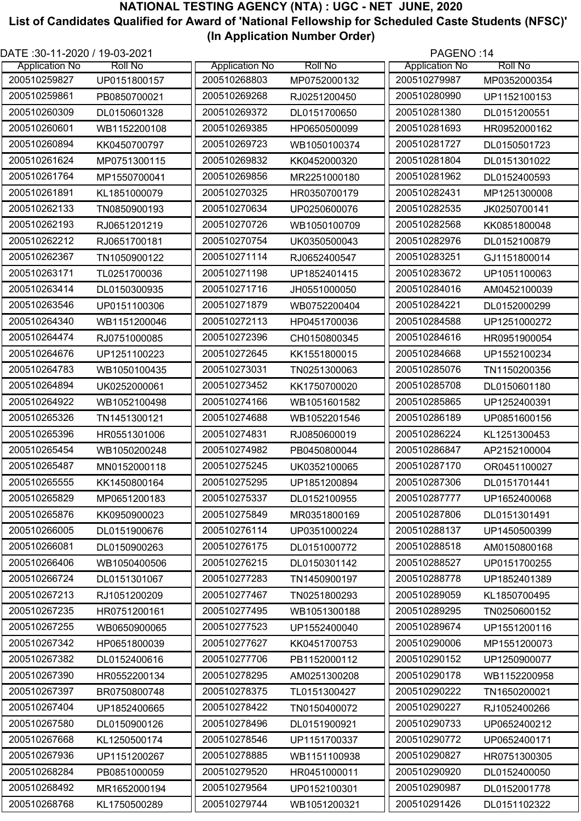| DATE :30-11-2020 / 19-03-2021 |                |                       |                | PAGENO:14             |                |
|-------------------------------|----------------|-----------------------|----------------|-----------------------|----------------|
| <b>Application No</b>         | <b>Roll No</b> | <b>Application No</b> | <b>Roll No</b> | <b>Application No</b> | <b>Roll No</b> |
| 200510259827                  | UP0151800157   | 200510268803          | MP0752000132   | 200510279987          | MP0352000354   |
| 200510259861                  | PB0850700021   | 200510269268          | RJ0251200450   | 200510280990          | UP1152100153   |
| 200510260309                  | DL0150601328   | 200510269372          | DL0151700650   | 200510281380          | DL0151200551   |
| 200510260601                  | WB1152200108   | 200510269385          | HP0650500099   | 200510281693          | HR0952000162   |
| 200510260894                  | KK0450700797   | 200510269723          | WB1050100374   | 200510281727          | DL0150501723   |
| 200510261624                  | MP0751300115   | 200510269832          | KK0452000320   | 200510281804          | DL0151301022   |
| 200510261764                  | MP1550700041   | 200510269856          | MR2251000180   | 200510281962          | DL0152400593   |
| 200510261891                  | KL1851000079   | 200510270325          | HR0350700179   | 200510282431          | MP1251300008   |
| 200510262133                  | TN0850900193   | 200510270634          | UP0250600076   | 200510282535          | JK0250700141   |
| 200510262193                  | RJ0651201219   | 200510270726          | WB1050100709   | 200510282568          | KK0851800048   |
| 200510262212                  | RJ0651700181   | 200510270754          | UK0350500043   | 200510282976          | DL0152100879   |
| 200510262367                  | TN1050900122   | 200510271114          | RJ0652400547   | 200510283251          | GJ1151800014   |
| 200510263171                  | TL0251700036   | 200510271198          | UP1852401415   | 200510283672          | UP1051100063   |
| 200510263414                  | DL0150300935   | 200510271716          | JH0551000050   | 200510284016          | AM0452100039   |
| 200510263546                  | UP0151100306   | 200510271879          | WB0752200404   | 200510284221          | DL0152000299   |
| 200510264340                  | WB1151200046   | 200510272113          | HP0451700036   | 200510284588          | UP1251000272   |
| 200510264474                  | RJ0751000085   | 200510272396          | CH0150800345   | 200510284616          | HR0951900054   |
| 200510264676                  | UP1251100223   | 200510272645          | KK1551800015   | 200510284668          | UP1552100234   |
| 200510264783                  | WB1050100435   | 200510273031          | TN0251300063   | 200510285076          | TN1150200356   |
| 200510264894                  | UK0252000061   | 200510273452          | KK1750700020   | 200510285708          | DL0150601180   |
| 200510264922                  | WB1052100498   | 200510274166          | WB1051601582   | 200510285865          | UP1252400391   |
| 200510265326                  | TN1451300121   | 200510274688          | WB1052201546   | 200510286189          | UP0851600156   |
| 200510265396                  | HR0551301006   | 200510274831          | RJ0850600019   | 200510286224          | KL1251300453   |
| 200510265454                  | WB1050200248   | 200510274982          | PB0450800044   | 200510286847          | AP2152100004   |
| 200510265487                  | MN0152000118   | 200510275245          | UK0352100065   | 200510287170          | OR0451100027   |
| 200510265555                  | KK1450800164   | 200510275295          | UP1851200894   | 200510287306          | DL0151701441   |
| 200510265829                  | MP0651200183   | 200510275337          | DL0152100955   | 200510287777          | UP1652400068   |
| 200510265876                  | KK0950900023   | 200510275849          | MR0351800169   | 200510287806          | DL0151301491   |
| 200510266005                  | DL0151900676   | 200510276114          | UP0351000224   | 200510288137          | UP1450500399   |
| 200510266081                  | DL0150900263   | 200510276175          | DL0151000772   | 200510288518          | AM0150800168   |
| 200510266406                  | WB1050400506   | 200510276215          | DL0150301142   | 200510288527          |                |
| 200510266724                  |                | 200510277283          |                | 200510288778          | UP0151700255   |
| 200510267213                  | DL0151301067   |                       | TN1450900197   |                       | UP1852401389   |
|                               | RJ1051200209   | 200510277467          | TN0251800293   | 200510289059          | KL1850700495   |
| 200510267235                  | HR0751200161   | 200510277495          | WB1051300188   | 200510289295          | TN0250600152   |
| 200510267255                  | WB0650900065   | 200510277523          | UP1552400040   | 200510289674          | UP1551200116   |
| 200510267342                  | HP0651800039   | 200510277627          | KK0451700753   | 200510290006          | MP1551200073   |
| 200510267382                  | DL0152400616   | 200510277706          | PB1152000112   | 200510290152          | UP1250900077   |
| 200510267390                  | HR0552200134   | 200510278295          | AM0251300208   | 200510290178          | WB1152200958   |
| 200510267397                  | BR0750800748   | 200510278375          | TL0151300427   | 200510290222          | TN1650200021   |
| 200510267404                  | UP1852400665   | 200510278422          | TN0150400072   | 200510290227          | RJ1052400266   |
| 200510267580                  | DL0150900126   | 200510278496          | DL0151900921   | 200510290733          | UP0652400212   |
| 200510267668                  | KL1250500174   | 200510278546          | UP1151700337   | 200510290772          | UP0652400171   |
| 200510267936                  | UP1151200267   | 200510278885          | WB1151100938   | 200510290827          | HR0751300305   |
| 200510268284                  | PB0851000059   | 200510279520          | HR0451000011   | 200510290920          | DL0152400050   |
| 200510268492                  | MR1652000194   | 200510279564          | UP0152100301   | 200510290987          | DL0152001778   |
| 200510268768                  | KL1750500289   | 200510279744          | WB1051200321   | 200510291426          | DL0151102322   |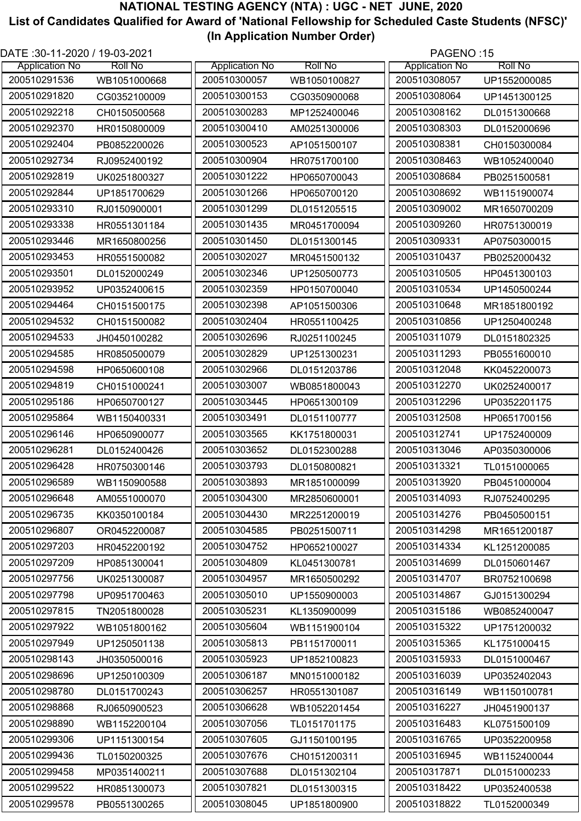| DATE :30-11-2020 / 19-03-2021 |                |                       | PAGENO:15      |                       |                |
|-------------------------------|----------------|-----------------------|----------------|-----------------------|----------------|
| <b>Application No</b>         | <b>Roll No</b> | <b>Application No</b> | <b>Roll No</b> | <b>Application No</b> | <b>Roll No</b> |
| 200510291536                  | WB1051000668   | 200510300057          | WB1050100827   | 200510308057          | UP1552000085   |
| 200510291820                  | CG0352100009   | 200510300153          | CG0350900068   | 200510308064          | UP1451300125   |
| 200510292218                  | CH0150500568   | 200510300283          | MP1252400046   | 200510308162          | DL0151300668   |
| 200510292370                  | HR0150800009   | 200510300410          | AM0251300006   | 200510308303          | DL0152000696   |
| 200510292404                  | PB0852200026   | 200510300523          | AP1051500107   | 200510308381          | CH0150300084   |
| 200510292734                  | RJ0952400192   | 200510300904          | HR0751700100   | 200510308463          | WB1052400040   |
| 200510292819                  | UK0251800327   | 200510301222          | HP0650700043   | 200510308684          | PB0251500581   |
| 200510292844                  | UP1851700629   | 200510301266          | HP0650700120   | 200510308692          | WB1151900074   |
| 200510293310                  | RJ0150900001   | 200510301299          | DL0151205515   | 200510309002          | MR1650700209   |
| 200510293338                  | HR0551301184   | 200510301435          | MR0451700094   | 200510309260          | HR0751300019   |
| 200510293446                  | MR1650800256   | 200510301450          | DL0151300145   | 200510309331          | AP0750300015   |
| 200510293453                  | HR0551500082   | 200510302027          | MR0451500132   | 200510310437          | PB0252000432   |
| 200510293501                  | DL0152000249   | 200510302346          | UP1250500773   | 200510310505          | HP0451300103   |
| 200510293952                  | UP0352400615   | 200510302359          | HP0150700040   | 200510310534          | UP1450500244   |
| 200510294464                  | CH0151500175   | 200510302398          | AP1051500306   | 200510310648          | MR1851800192   |
| 200510294532                  | CH0151500082   | 200510302404          | HR0551100425   | 200510310856          | UP1250400248   |
| 200510294533                  | JH0450100282   | 200510302696          | RJ0251100245   | 200510311079          | DL0151802325   |
| 200510294585                  | HR0850500079   | 200510302829          | UP1251300231   | 200510311293          | PB0551600010   |
| 200510294598                  | HP0650600108   | 200510302966          | DL0151203786   | 200510312048          | KK0452200073   |
| 200510294819                  | CH0151000241   | 200510303007          | WB0851800043   | 200510312270          | UK0252400017   |
| 200510295186                  | HP0650700127   | 200510303445          | HP0651300109   | 200510312296          | UP0352201175   |
| 200510295864                  | WB1150400331   | 200510303491          | DL0151100777   | 200510312508          | HP0651700156   |
| 200510296146                  | HP0650900077   | 200510303565          | KK1751800031   | 200510312741          | UP1752400009   |
| 200510296281                  | DL0152400426   | 200510303652          | DL0152300288   | 200510313046          | AP0350300006   |
| 200510296428                  | HR0750300146   | 200510303793          | DL0150800821   | 200510313321          | TL0151000065   |
| 200510296589                  | WB1150900588   | 200510303893          | MR1851000099   | 200510313920          | PB0451000004   |
| 200510296648                  | AM0551000070   | 200510304300          | MR2850600001   | 200510314093          | RJ0752400295   |
| 200510296735                  | KK0350100184   | 200510304430          | MR2251200019   | 200510314276          | PB0450500151   |
| 200510296807                  | OR0452200087   | 200510304585          | PB0251500711   | 200510314298          | MR1651200187   |
| 200510297203                  | HR0452200192   | 200510304752          | HP0652100027   | 200510314334          | KL1251200085   |
| 200510297209                  | HP0851300041   | 200510304809          | KL0451300781   | 200510314699          | DL0150601467   |
| 200510297756                  | UK0251300087   | 200510304957          | MR1650500292   | 200510314707          | BR0752100698   |
| 200510297798                  | UP0951700463   | 200510305010          | UP1550900003   | 200510314867          | GJ0151300294   |
| 200510297815                  | TN2051800028   | 200510305231          | KL1350900099   | 200510315186          | WB0852400047   |
| 200510297922                  | WB1051800162   | 200510305604          | WB1151900104   | 200510315322          | UP1751200032   |
| 200510297949                  | UP1250501138   | 200510305813          | PB1151700011   | 200510315365          | KL1751000415   |
| 200510298143                  | JH0350500016   | 200510305923          | UP1852100823   | 200510315933          | DL0151000467   |
| 200510298696                  | UP1250100309   | 200510306187          | MN0151000182   | 200510316039          | UP0352402043   |
| 200510298780                  | DL0151700243   | 200510306257          | HR0551301087   | 200510316149          | WB1150100781   |
| 200510298868                  | RJ0650900523   | 200510306628          | WB1052201454   | 200510316227          | JH0451900137   |
| 200510298890                  | WB1152200104   | 200510307056          | TL0151701175   | 200510316483          | KL0751500109   |
| 200510299306                  | UP1151300154   | 200510307605          | GJ1150100195   | 200510316765          | UP0352200958   |
| 200510299436                  | TL0150200325   | 200510307676          | CH0151200311   | 200510316945          | WB1152400044   |
| 200510299458                  | MP0351400211   | 200510307688          | DL0151302104   | 200510317871          | DL0151000233   |
| 200510299522                  | HR0851300073   | 200510307821          | DL0151300315   | 200510318422          | UP0352400538   |
| 200510299578                  | PB0551300265   | 200510308045          | UP1851800900   | 200510318822          | TL0152000349   |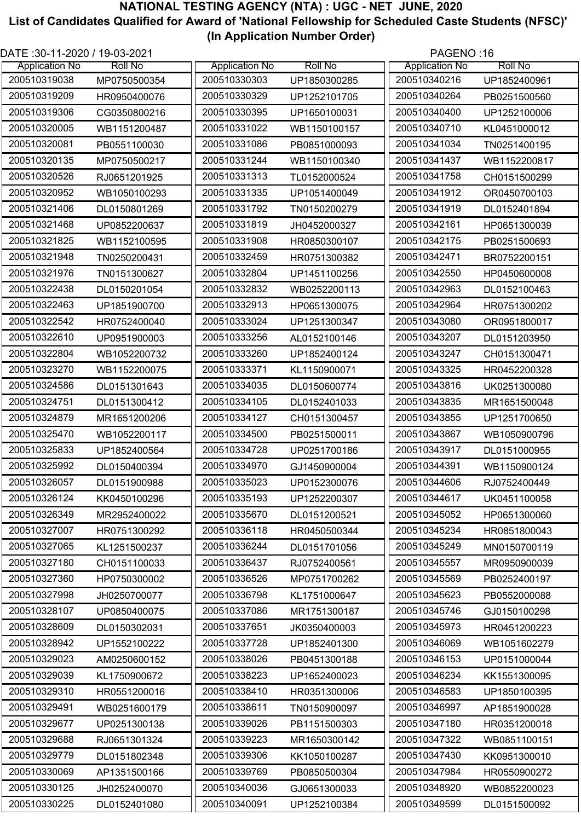| DATE: 30-11-2020 / 19-03-2021 |                |                       |                | PAGENO:16             |                |
|-------------------------------|----------------|-----------------------|----------------|-----------------------|----------------|
| <b>Application No</b>         | <b>Roll No</b> | <b>Application No</b> | <b>Roll No</b> | <b>Application No</b> | <b>Roll No</b> |
| 200510319038                  | MP0750500354   | 200510330303          | UP1850300285   | 200510340216          | UP1852400961   |
| 200510319209                  | HR0950400076   | 200510330329          | UP1252101705   | 200510340264          | PB0251500560   |
| 200510319306                  | CG0350800216   | 200510330395          | UP1650100031   | 200510340400          | UP1252100006   |
| 200510320005                  | WB1151200487   | 200510331022          | WB1150100157   | 200510340710          | KL0451000012   |
| 200510320081                  | PB0551100030   | 200510331086          | PB0851000093   | 200510341034          | TN0251400195   |
| 200510320135                  | MP0750500217   | 200510331244          | WB1150100340   | 200510341437          | WB1152200817   |
| 200510320526                  | RJ0651201925   | 200510331313          | TL0152000524   | 200510341758          | CH0151500299   |
| 200510320952                  | WB1050100293   | 200510331335          | UP1051400049   | 200510341912          | OR0450700103   |
| 200510321406                  | DL0150801269   | 200510331792          | TN0150200279   | 200510341919          | DL0152401894   |
| 200510321468                  | UP0852200637   | 200510331819          | JH0452000327   | 200510342161          | HP0651300039   |
| 200510321825                  | WB1152100595   | 200510331908          | HR0850300107   | 200510342175          | PB0251500693   |
| 200510321948                  | TN0250200431   | 200510332459          | HR0751300382   | 200510342471          | BR0752200151   |
| 200510321976                  | TN0151300627   | 200510332804          | UP1451100256   | 200510342550          | HP0450600008   |
| 200510322438                  | DL0150201054   | 200510332832          | WB0252200113   | 200510342963          | DL0152100463   |
| 200510322463                  | UP1851900700   | 200510332913          | HP0651300075   | 200510342964          | HR0751300202   |
| 200510322542                  | HR0752400040   | 200510333024          | UP1251300347   | 200510343080          | OR0951800017   |
| 200510322610                  | UP0951900003   | 200510333256          | AL0152100146   | 200510343207          | DL0151203950   |
| 200510322804                  | WB1052200732   | 200510333260          | UP1852400124   | 200510343247          | CH0151300471   |
| 200510323270                  | WB1152200075   | 200510333371          | KL1150900071   | 200510343325          | HR0452200328   |
| 200510324586                  | DL0151301643   | 200510334035          | DL0150600774   | 200510343816          | UK0251300080   |
| 200510324751                  | DL0151300412   | 200510334105          | DL0152401033   | 200510343835          | MR1651500048   |
| 200510324879                  | MR1651200206   | 200510334127          | CH0151300457   | 200510343855          | UP1251700650   |
| 200510325470                  | WB1052200117   | 200510334500          | PB0251500011   | 200510343867          | WB1050900796   |
| 200510325833                  | UP1852400564   | 200510334728          | UP0251700186   | 200510343917          | DL0151000955   |
| 200510325992                  | DL0150400394   | 200510334970          | GJ1450900004   | 200510344391          | WB1150900124   |
| 200510326057                  | DL0151900988   | 200510335023          | UP0152300076   | 200510344606          | RJ0752400449   |
| 200510326124                  | KK0450100296   | 200510335193          | UP1252200307   | 200510344617          | UK0451100058   |
| 200510326349                  | MR2952400022   | 200510335670          | DL0151200521   | 200510345052          | HP0651300060   |
| 200510327007                  | HR0751300292   | 200510336118          | HR0450500344   | 200510345234          | HR0851800043   |
| 200510327065                  | KL1251500237   | 200510336244          | DL0151701056   | 200510345249          | MN0150700119   |
| 200510327180                  | CH0151100033   | 200510336437          | RJ0752400561   | 200510345557          | MR0950900039   |
| 200510327360                  | HP0750300002   | 200510336526          | MP0751700262   | 200510345569          | PB0252400197   |
| 200510327998                  | JH0250700077   | 200510336798          | KL1751000647   | 200510345623          | PB0552000088   |
| 200510328107                  | UP0850400075   | 200510337086          | MR1751300187   | 200510345746          | GJ0150100298   |
| 200510328609                  | DL0150302031   | 200510337651          | JK0350400003   | 200510345973          | HR0451200223   |
| 200510328942                  | UP1552100222   | 200510337728          | UP1852401300   | 200510346069          | WB1051602279   |
| 200510329023                  | AM0250600152   | 200510338026          | PB0451300188   | 200510346153          | UP0151000044   |
| 200510329039                  | KL1750900672   | 200510338223          | UP1652400023   | 200510346234          | KK1551300095   |
| 200510329310                  | HR0551200016   | 200510338410          | HR0351300006   | 200510346583          | UP1850100395   |
| 200510329491                  | WB0251600179   | 200510338611          | TN0150900097   | 200510346997          | AP1851900028   |
| 200510329677                  |                | 200510339026          |                | 200510347180          |                |
| 200510329688                  | UP0251300138   | 200510339223          | PB1151500303   | 200510347322          | HR0351200018   |
| 200510329779                  | RJ0651301324   | 200510339306          | MR1650300142   | 200510347430          | WB0851100151   |
| 200510330069                  | DL0151802348   | 200510339769          | KK1050100287   | 200510347984          | KK0951300010   |
| 200510330125                  | AP1351500166   | 200510340036          | PB0850500304   | 200510348920          | HR0550900272   |
|                               | JH0252400070   |                       | GJ0651300033   |                       | WB0852200023   |
| 200510330225                  | DL0152401080   | 200510340091          | UP1252100384   | 200510349599          | DL0151500092   |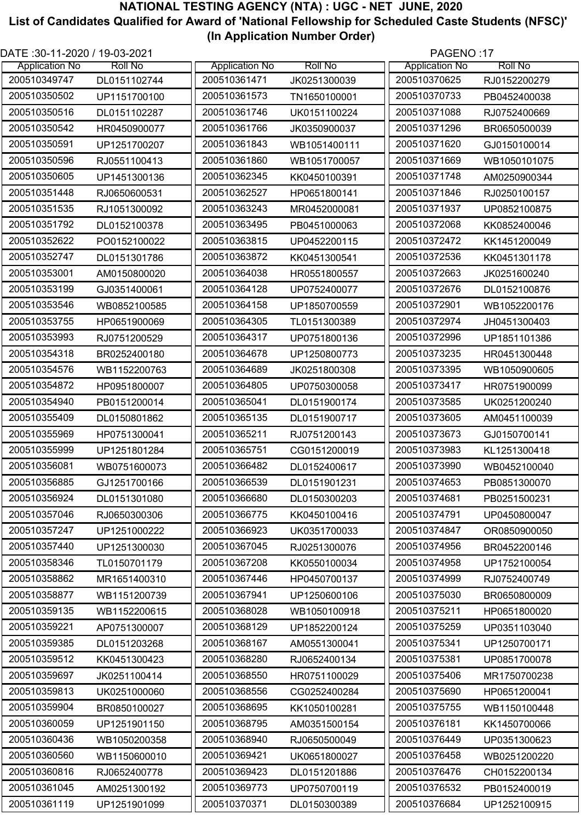| DATE :30-11-2020 / 19-03-2021 |                |                       |                | PAGENO:17             |                |
|-------------------------------|----------------|-----------------------|----------------|-----------------------|----------------|
| <b>Application No</b>         | <b>Roll No</b> | <b>Application No</b> | <b>Roll No</b> | <b>Application No</b> | <b>Roll No</b> |
| 200510349747                  | DL0151102744   | 200510361471          | JK0251300039   | 200510370625          | RJ0152200279   |
| 200510350502                  | UP1151700100   | 200510361573          | TN1650100001   | 200510370733          | PB0452400038   |
| 200510350516                  | DL0151102287   | 200510361746          | UK0151100224   | 200510371088          | RJ0752400669   |
| 200510350542                  | HR0450900077   | 200510361766          | JK0350900037   | 200510371296          | BR0650500039   |
| 200510350591                  | UP1251700207   | 200510361843          | WB1051400111   | 200510371620          | GJ0150100014   |
| 200510350596                  | RJ0551100413   | 200510361860          | WB1051700057   | 200510371669          | WB1050101075   |
| 200510350605                  | UP1451300136   | 200510362345          | KK0450100391   | 200510371748          | AM0250900344   |
| 200510351448                  | RJ0650600531   | 200510362527          | HP0651800141   | 200510371846          | RJ0250100157   |
| 200510351535                  | RJ1051300092   | 200510363243          | MR0452000081   | 200510371937          | UP0852100875   |
| 200510351792                  | DL0152100378   | 200510363495          | PB0451000063   | 200510372068          | KK0852400046   |
| 200510352622                  | PO0152100022   | 200510363815          | UP0452200115   | 200510372472          | KK1451200049   |
| 200510352747                  | DL0151301786   | 200510363872          | KK0451300541   | 200510372536          | KK0451301178   |
| 200510353001                  | AM0150800020   | 200510364038          | HR0551800557   | 200510372663          | JK0251600240   |
| 200510353199                  | GJ0351400061   | 200510364128          | UP0752400077   | 200510372676          | DL0152100876   |
| 200510353546                  | WB0852100585   | 200510364158          | UP1850700559   | 200510372901          | WB1052200176   |
| 200510353755                  | HP0651900069   | 200510364305          | TL0151300389   | 200510372974          | JH0451300403   |
| 200510353993                  | RJ0751200529   | 200510364317          | UP0751800136   | 200510372996          | UP1851101386   |
| 200510354318                  | BR0252400180   | 200510364678          | UP1250800773   | 200510373235          | HR0451300448   |
| 200510354576                  | WB1152200763   | 200510364689          | JK0251800308   | 200510373395          | WB1050900605   |
| 200510354872                  | HP0951800007   | 200510364805          | UP0750300058   | 200510373417          | HR0751900099   |
| 200510354940                  | PB0151200014   | 200510365041          | DL0151900174   | 200510373585          | UK0251200240   |
| 200510355409                  | DL0150801862   | 200510365135          | DL0151900717   | 200510373605          | AM0451100039   |
| 200510355969                  | HP0751300041   | 200510365211          | RJ0751200143   | 200510373673          | GJ0150700141   |
| 200510355999                  | UP1251801284   | 200510365751          | CG0151200019   | 200510373983          | KL1251300418   |
| 200510356081                  | WB0751600073   | 200510366482          | DL0152400617   | 200510373990          | WB0452100040   |
| 200510356885                  | GJ1251700166   | 200510366539          | DL0151901231   | 200510374653          | PB0851300070   |
| 200510356924                  | DL0151301080   | 200510366680          | DL0150300203   | 200510374681          | PB0251500231   |
| 200510357046                  | RJ0650300306   | 200510366775          | KK0450100416   | 200510374791          | UP0450800047   |
| 200510357247                  | UP1251000222   | 200510366923          | UK0351700033   | 200510374847          | OR0850900050   |
| 200510357440                  | UP1251300030   | 200510367045          | RJ0251300076   | 200510374956          | BR0452200146   |
| 200510358346                  | TL0150701179   | 200510367208          | KK0550100034   | 200510374958          | UP1752100054   |
| 200510358862                  |                | 200510367446          |                | 200510374999          |                |
|                               | MR1651400310   |                       | HP0450700137   |                       | RJ0752400749   |
| 200510358877                  | WB1151200739   | 200510367941          | UP1250600106   | 200510375030          | BR0650800009   |
| 200510359135                  | WB1152200615   | 200510368028          | WB1050100918   | 200510375211          | HP0651800020   |
| 200510359221                  | AP0751300007   | 200510368129          | UP1852200124   | 200510375259          | UP0351103040   |
| 200510359385                  | DL0151203268   | 200510368167          | AM0551300041   | 200510375341          | UP1250700171   |
| 200510359512                  | KK0451300423   | 200510368280          | RJ0652400134   | 200510375381          | UP0851700078   |
| 200510359697                  | JK0251100414   | 200510368550          | HR0751100029   | 200510375406          | MR1750700238   |
| 200510359813                  | UK0251000060   | 200510368556          | CG0252400284   | 200510375690          | HP0651200041   |
| 200510359904                  | BR0850100027   | 200510368695          | KK1050100281   | 200510375755          | WB1150100448   |
| 200510360059                  | UP1251901150   | 200510368795          | AM0351500154   | 200510376181          | KK1450700066   |
| 200510360436                  | WB1050200358   | 200510368940          | RJ0650500049   | 200510376449          | UP0351300623   |
| 200510360560                  | WB1150600010   | 200510369421          | UK0651800027   | 200510376458          | WB0251200220   |
| 200510360816                  | RJ0652400778   | 200510369423          | DL0151201886   | 200510376476          | CH0152200134   |
| 200510361045                  | AM0251300192   | 200510369773          | UP0750700119   | 200510376532          | PB0152400019   |
| 200510361119                  | UP1251901099   | 200510370371          | DL0150300389   | 200510376684          | UP1252100915   |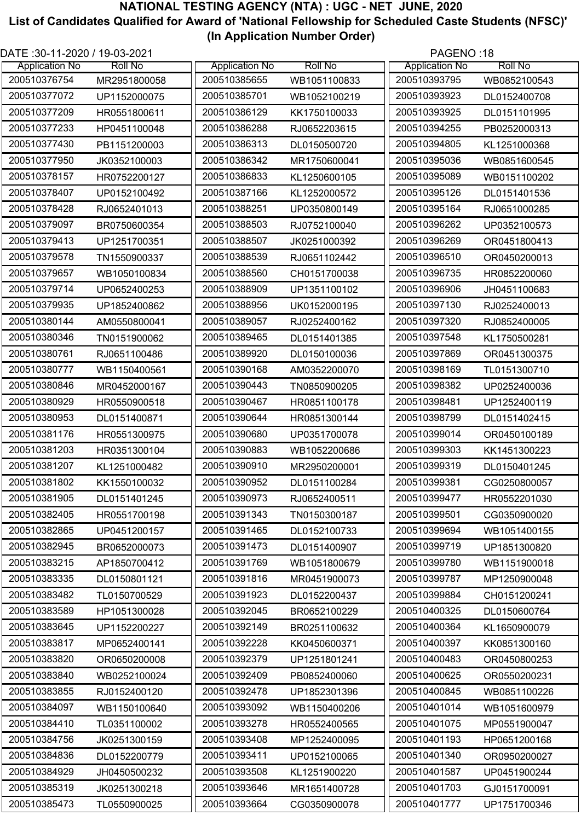| DATE: 30-11-2020 / 19-03-2021 |                |                       | PAGENO:18      |                       |                |
|-------------------------------|----------------|-----------------------|----------------|-----------------------|----------------|
| <b>Application No</b>         | <b>Roll No</b> | <b>Application No</b> | <b>Roll No</b> | <b>Application No</b> | <b>Roll No</b> |
| 200510376754                  | MR2951800058   | 200510385655          | WB1051100833   | 200510393795          | WB0852100543   |
| 200510377072                  | UP1152000075   | 200510385701          | WB1052100219   | 200510393923          | DL0152400708   |
| 200510377209                  | HR0551800611   | 200510386129          | KK1750100033   | 200510393925          | DL0151101995   |
| 200510377233                  | HP0451100048   | 200510386288          | RJ0652203615   | 200510394255          | PB0252000313   |
| 200510377430                  | PB1151200003   | 200510386313          | DL0150500720   | 200510394805          | KL1251000368   |
| 200510377950                  | JK0352100003   | 200510386342          | MR1750600041   | 200510395036          | WB0851600545   |
| 200510378157                  | HR0752200127   | 200510386833          | KL1250600105   | 200510395089          | WB0151100202   |
| 200510378407                  | UP0152100492   | 200510387166          | KL1252000572   | 200510395126          | DL0151401536   |
| 200510378428                  | RJ0652401013   | 200510388251          | UP0350800149   | 200510395164          | RJ0651000285   |
| 200510379097                  | BR0750600354   | 200510388503          | RJ0752100040   | 200510396262          | UP0352100573   |
| 200510379413                  | UP1251700351   | 200510388507          | JK0251000392   | 200510396269          | OR0451800413   |
| 200510379578                  | TN1550900337   | 200510388539          | RJ0651102442   | 200510396510          | OR0450200013   |
| 200510379657                  | WB1050100834   | 200510388560          | CH0151700038   | 200510396735          | HR0852200060   |
| 200510379714                  | UP0652400253   | 200510388909          | UP1351100102   | 200510396906          | JH0451100683   |
| 200510379935                  | UP1852400862   | 200510388956          | UK0152000195   | 200510397130          | RJ0252400013   |
| 200510380144                  | AM0550800041   | 200510389057          | RJ0252400162   | 200510397320          | RJ0852400005   |
| 200510380346                  | TN0151900062   | 200510389465          | DL0151401385   | 200510397548          | KL1750500281   |
| 200510380761                  | RJ0651100486   | 200510389920          | DL0150100036   | 200510397869          | OR0451300375   |
| 200510380777                  | WB1150400561   | 200510390168          | AM0352200070   | 200510398169          | TL0151300710   |
| 200510380846                  | MR0452000167   | 200510390443          | TN0850900205   | 200510398382          | UP0252400036   |
| 200510380929                  | HR0550900518   | 200510390467          | HR0851100178   | 200510398481          | UP1252400119   |
| 200510380953                  | DL0151400871   | 200510390644          | HR0851300144   | 200510398799          | DL0151402415   |
| 200510381176                  | HR0551300975   | 200510390680          | UP0351700078   | 200510399014          | OR0450100189   |
| 200510381203                  | HR0351300104   | 200510390883          | WB1052200686   | 200510399303          | KK1451300223   |
| 200510381207                  | KL1251000482   | 200510390910          | MR2950200001   | 200510399319          | DL0150401245   |
| 200510381802                  | KK1550100032   | 200510390952          | DL0151100284   | 200510399381          | CG0250800057   |
| 200510381905                  | DL0151401245   | 200510390973          | RJ0652400511   | 200510399477          | HR0552201030   |
| 200510382405                  | HR0551700198   | 200510391343          | TN0150300187   | 200510399501          | CG0350900020   |
| 200510382865                  | UP0451200157   | 200510391465          | DL0152100733   | 200510399694          | WB1051400155   |
| 200510382945                  | BR0652000073   | 200510391473          | DL0151400907   | 200510399719          | UP1851300820   |
| 200510383215                  | AP1850700412   | 200510391769          | WB1051800679   | 200510399780          | WB1151900018   |
| 200510383335                  | DL0150801121   | 200510391816          | MR0451900073   | 200510399787          | MP1250900048   |
| 200510383482                  | TL0150700529   | 200510391923          | DL0152200437   | 200510399884          | CH0151200241   |
| 200510383589                  | HP1051300028   | 200510392045          | BR0652100229   | 200510400325          | DL0150600764   |
| 200510383645                  | UP1152200227   | 200510392149          | BR0251100632   | 200510400364          | KL1650900079   |
| 200510383817                  | MP0652400141   | 200510392228          | KK0450600371   | 200510400397          | KK0851300160   |
| 200510383820                  | OR0650200008   | 200510392379          | UP1251801241   | 200510400483          | OR0450800253   |
| 200510383840                  | WB0252100024   | 200510392409          | PB0852400060   | 200510400625          | OR0550200231   |
| 200510383855                  | RJ0152400120   | 200510392478          | UP1852301396   | 200510400845          | WB0851100226   |
| 200510384097                  | WB1150100640   | 200510393092          | WB1150400206   | 200510401014          | WB1051600979   |
| 200510384410                  | TL0351100002   | 200510393278          | HR0552400565   | 200510401075          | MP0551900047   |
| 200510384756                  | JK0251300159   | 200510393408          | MP1252400095   | 200510401193          | HP0651200168   |
| 200510384836                  | DL0152200779   | 200510393411          | UP0152100065   | 200510401340          | OR0950200027   |
| 200510384929                  | JH0450500232   | 200510393508          | KL1251900220   | 200510401587          | UP0451900244   |
| 200510385319                  | JK0251300218   | 200510393646          | MR1651400728   | 200510401703          | GJ0151700091   |
| 200510385473                  | TL0550900025   | 200510393664          | CG0350900078   | 200510401777          | UP1751700346   |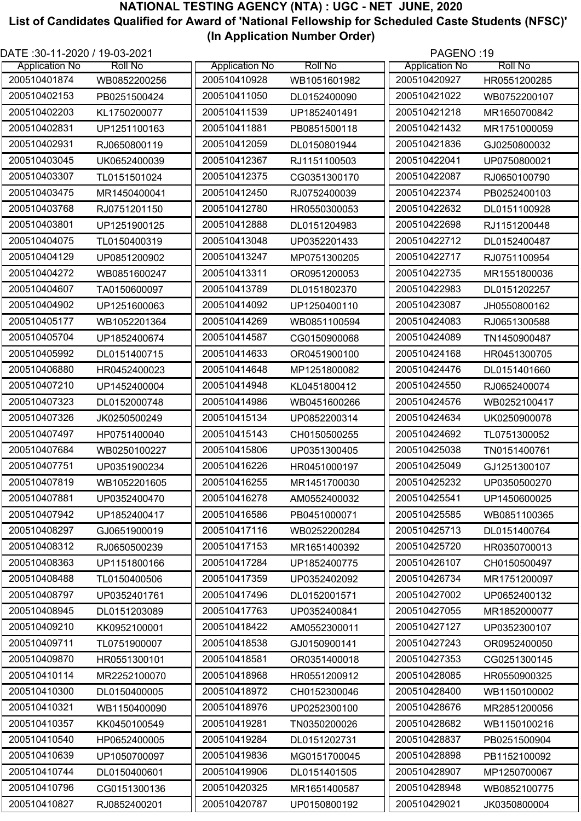| DATE :30-11-2020 / 19-03-2021 |                |                       |                | PAGENO:19             |                |
|-------------------------------|----------------|-----------------------|----------------|-----------------------|----------------|
| <b>Application No</b>         | <b>Roll No</b> | <b>Application No</b> | <b>Roll No</b> | <b>Application No</b> | <b>Roll No</b> |
| 200510401874                  | WB0852200256   | 200510410928          | WB1051601982   | 200510420927          | HR0551200285   |
| 200510402153                  | PB0251500424   | 200510411050          | DL0152400090   | 200510421022          | WB0752200107   |
| 200510402203                  | KL1750200077   | 200510411539          | UP1852401491   | 200510421218          | MR1650700842   |
| 200510402831                  | UP1251100163   | 200510411881          | PB0851500118   | 200510421432          | MR1751000059   |
| 200510402931                  | RJ0650800119   | 200510412059          | DL0150801944   | 200510421836          | GJ0250800032   |
| 200510403045                  | UK0652400039   | 200510412367          | RJ1151100503   | 200510422041          | UP0750800021   |
| 200510403307                  | TL0151501024   | 200510412375          | CG0351300170   | 200510422087          | RJ0650100790   |
| 200510403475                  | MR1450400041   | 200510412450          | RJ0752400039   | 200510422374          | PB0252400103   |
| 200510403768                  | RJ0751201150   | 200510412780          | HR0550300053   | 200510422632          | DL0151100928   |
| 200510403801                  | UP1251900125   | 200510412888          | DL0151204983   | 200510422698          | RJ1151200448   |
| 200510404075                  | TL0150400319   | 200510413048          | UP0352201433   | 200510422712          | DL0152400487   |
| 200510404129                  | UP0851200902   | 200510413247          | MP0751300205   | 200510422717          | RJ0751100954   |
| 200510404272                  | WB0851600247   | 200510413311          | OR0951200053   | 200510422735          | MR1551800036   |
| 200510404607                  | TA0150600097   | 200510413789          | DL0151802370   | 200510422983          | DL0151202257   |
| 200510404902                  | UP1251600063   | 200510414092          | UP1250400110   | 200510423087          | JH0550800162   |
| 200510405177                  | WB1052201364   | 200510414269          | WB0851100594   | 200510424083          | RJ0651300588   |
| 200510405704                  | UP1852400674   | 200510414587          | CG0150900068   | 200510424089          | TN1450900487   |
| 200510405992                  | DL0151400715   | 200510414633          | OR0451900100   | 200510424168          | HR0451300705   |
| 200510406880                  | HR0452400023   | 200510414648          | MP1251800082   | 200510424476          | DL0151401660   |
| 200510407210                  | UP1452400004   | 200510414948          | KL0451800412   | 200510424550          | RJ0652400074   |
| 200510407323                  | DL0152000748   | 200510414986          | WB0451600266   | 200510424576          | WB0252100417   |
| 200510407326                  | JK0250500249   | 200510415134          | UP0852200314   | 200510424634          | UK0250900078   |
| 200510407497                  | HP0751400040   | 200510415143          | CH0150500255   | 200510424692          | TL0751300052   |
| 200510407684                  | WB0250100227   | 200510415806          | UP0351300405   | 200510425038          | TN0151400761   |
| 200510407751                  | UP0351900234   | 200510416226          | HR0451000197   | 200510425049          | GJ1251300107   |
| 200510407819                  | WB1052201605   | 200510416255          | MR1451700030   | 200510425232          | UP0350500270   |
| 200510407881                  | UP0352400470   | 200510416278          | AM0552400032   | 200510425541          | UP1450600025   |
| 200510407942                  | UP1852400417   | 200510416586          | PB0451000071   | 200510425585          | WB0851100365   |
| 200510408297                  | GJ0651900019   | 200510417116          | WB0252200284   | 200510425713          | DL0151400764   |
| 200510408312                  | RJ0650500239   | 200510417153          | MR1651400392   | 200510425720          | HR0350700013   |
| 200510408363                  | UP1151800166   | 200510417284          | UP1852400775   | 200510426107          | CH0150500497   |
| 200510408488                  | TL0150400506   | 200510417359          | UP0352402092   | 200510426734          | MR1751200097   |
| 200510408797                  | UP0352401761   | 200510417496          | DL0152001571   | 200510427002          | UP0652400132   |
| 200510408945                  | DL0151203089   | 200510417763          | UP0352400841   | 200510427055          | MR1852000077   |
| 200510409210                  | KK0952100001   | 200510418422          | AM0552300011   | 200510427127          | UP0352300107   |
| 200510409711                  | TL0751900007   | 200510418538          | GJ0150900141   | 200510427243          | OR0952400050   |
| 200510409870                  | HR0551300101   | 200510418581          | OR0351400018   | 200510427353          | CG0251300145   |
| 200510410114                  | MR2252100070   | 200510418968          | HR0551200912   | 200510428085          | HR0550900325   |
| 200510410300                  | DL0150400005   | 200510418972          | CH0152300046   | 200510428400          | WB1150100002   |
| 200510410321                  | WB1150400090   | 200510418976          | UP0252300100   | 200510428676          | MR2851200056   |
| 200510410357                  | KK0450100549   | 200510419281          | TN0350200026   | 200510428682          | WB1150100216   |
| 200510410540                  | HP0652400005   | 200510419284          | DL0151202731   | 200510428837          | PB0251500904   |
|                               |                |                       |                |                       |                |
| 200510410639                  | UP1050700097   | 200510419836          | MG0151700045   | 200510428898          | PB1152100092   |
| 200510410744                  | DL0150400601   | 200510419906          | DL0151401505   | 200510428907          | MP1250700067   |
| 200510410796                  | CG0151300136   | 200510420325          | MR1651400587   | 200510428948          | WB0852100775   |
| 200510410827                  | RJ0852400201   | 200510420787          | UP0150800192   | 200510429021          | JK0350800004   |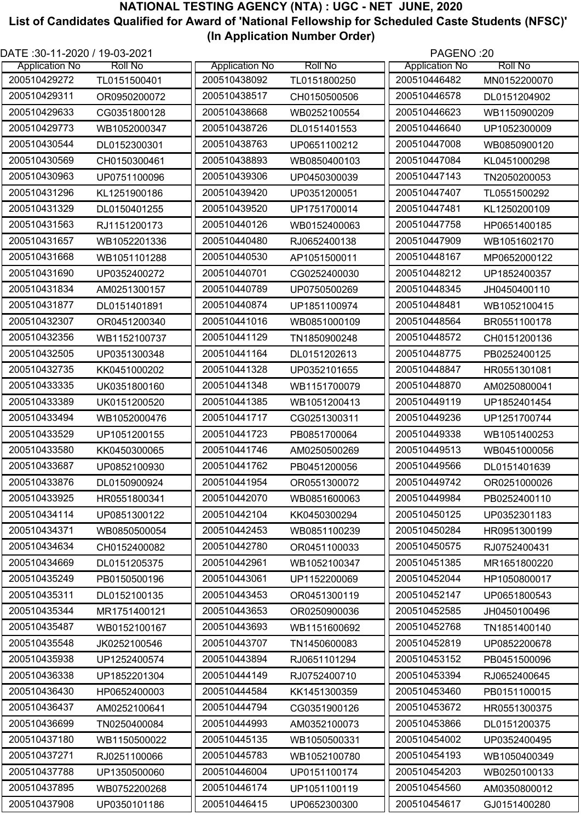| DATE: 30-11-2020 / 19-03-2021 |                |                       |                | PAGENO:20             |                |
|-------------------------------|----------------|-----------------------|----------------|-----------------------|----------------|
| <b>Application No</b>         | <b>Roll No</b> | <b>Application No</b> | <b>Roll No</b> | <b>Application No</b> | <b>Roll No</b> |
| 200510429272                  | TL0151500401   | 200510438092          | TL0151800250   | 200510446482          | MN0152200070   |
| 200510429311                  | OR0950200072   | 200510438517          | CH0150500506   | 200510446578          | DL0151204902   |
| 200510429633                  | CG0351800128   | 200510438668          | WB0252100554   | 200510446623          | WB1150900209   |
| 200510429773                  | WB1052000347   | 200510438726          | DL0151401553   | 200510446640          | UP1052300009   |
| 200510430544                  | DL0152300301   | 200510438763          | UP0651100212   | 200510447008          | WB0850900120   |
| 200510430569                  | CH0150300461   | 200510438893          | WB0850400103   | 200510447084          | KL0451000298   |
| 200510430963                  | UP0751100096   | 200510439306          | UP0450300039   | 200510447143          | TN2050200053   |
| 200510431296                  | KL1251900186   | 200510439420          | UP0351200051   | 200510447407          | TL0551500292   |
| 200510431329                  | DL0150401255   | 200510439520          | UP1751700014   | 200510447481          | KL1250200109   |
| 200510431563                  | RJ1151200173   | 200510440126          | WB0152400063   | 200510447758          | HP0651400185   |
| 200510431657                  | WB1052201336   | 200510440480          | RJ0652400138   | 200510447909          | WB1051602170   |
| 200510431668                  | WB1051101288   | 200510440530          | AP1051500011   | 200510448167          | MP0652000122   |
| 200510431690                  | UP0352400272   | 200510440701          | CG0252400030   | 200510448212          | UP1852400357   |
| 200510431834                  | AM0251300157   | 200510440789          | UP0750500269   | 200510448345          | JH0450400110   |
| 200510431877                  | DL0151401891   | 200510440874          | UP1851100974   | 200510448481          | WB1052100415   |
| 200510432307                  | OR0451200340   | 200510441016          | WB0851000109   | 200510448564          | BR0551100178   |
| 200510432356                  | WB1152100737   | 200510441129          | TN1850900248   | 200510448572          | CH0151200136   |
| 200510432505                  | UP0351300348   | 200510441164          | DL0151202613   | 200510448775          | PB0252400125   |
| 200510432735                  | KK0451000202   | 200510441328          | UP0352101655   | 200510448847          | HR0551301081   |
| 200510433335                  | UK0351800160   | 200510441348          | WB1151700079   | 200510448870          | AM0250800041   |
| 200510433389                  | UK0151200520   | 200510441385          | WB1051200413   | 200510449119          | UP1852401454   |
| 200510433494                  | WB1052000476   | 200510441717          | CG0251300311   | 200510449236          | UP1251700744   |
| 200510433529                  | UP1051200155   | 200510441723          | PB0851700064   | 200510449338          | WB1051400253   |
| 200510433580                  | KK0450300065   | 200510441746          | AM0250500269   | 200510449513          | WB0451000056   |
| 200510433687                  | UP0852100930   | 200510441762          | PB0451200056   | 200510449566          | DL0151401639   |
| 200510433876                  | DL0150900924   | 200510441954          | OR0551300072   | 200510449742          | OR0251000026   |
| 200510433925                  | HR0551800341   | 200510442070          | WB0851600063   | 200510449984          | PB0252400110   |
| 200510434114                  | UP0851300122   | 200510442104          | KK0450300294   | 200510450125          | UP0352301183   |
| 200510434371                  | WB0850500054   | 200510442453          | WB0851100239   | 200510450284          | HR0951300199   |
| 200510434634                  | CH0152400082   | 200510442780          | OR0451100033   | 200510450575          | RJ0752400431   |
| 200510434669                  | DL0151205375   | 200510442961          | WB1052100347   | 200510451385          | MR1651800220   |
| 200510435249                  | PB0150500196   | 200510443061          | UP1152200069   | 200510452044          | HP1050800017   |
| 200510435311                  | DL0152100135   | 200510443453          | OR0451300119   | 200510452147          | UP0651800543   |
| 200510435344                  | MR1751400121   | 200510443653          | OR0250900036   | 200510452585          | JH0450100496   |
| 200510435487                  | WB0152100167   | 200510443693          | WB1151600692   | 200510452768          | TN1851400140   |
| 200510435548                  | JK0252100546   | 200510443707          | TN1450600083   | 200510452819          | UP0852200678   |
| 200510435938                  | UP1252400574   | 200510443894          | RJ0651101294   | 200510453152          | PB0451500096   |
| 200510436338                  | UP1852201304   | 200510444149          | RJ0752400710   | 200510453394          | RJ0652400645   |
| 200510436430                  | HP0652400003   | 200510444584          | KK1451300359   | 200510453460          | PB0151100015   |
| 200510436437                  | AM0252100641   | 200510444794          | CG0351900126   | 200510453672          | HR0551300375   |
| 200510436699                  | TN0250400084   | 200510444993          | AM0352100073   | 200510453866          | DL0151200375   |
| 200510437180                  | WB1150500022   | 200510445135          | WB1050500331   | 200510454002          | UP0352400495   |
| 200510437271                  | RJ0251100066   | 200510445783          | WB1052100780   | 200510454193          | WB1050400349   |
| 200510437788                  | UP1350500060   | 200510446004          | UP0151100174   | 200510454203          | WB0250100133   |
| 200510437895                  | WB0752200268   | 200510446174          | UP1051100119   | 200510454560          | AM0350800012   |
| 200510437908                  | UP0350101186   | 200510446415          | UP0652300300   | 200510454617          | GJ0151400280   |
|                               |                |                       |                |                       |                |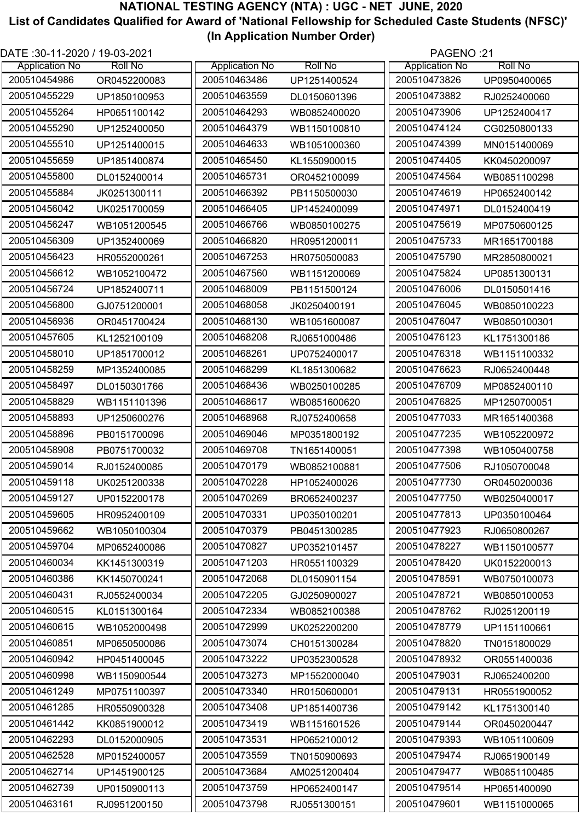| DATE :30-11-2020 / 19-03-2021 |                |                       |                | PAGENO:21             |                |
|-------------------------------|----------------|-----------------------|----------------|-----------------------|----------------|
| <b>Application No</b>         | <b>Roll No</b> | <b>Application No</b> | <b>Roll No</b> | <b>Application No</b> | <b>Roll No</b> |
| 200510454986                  | OR0452200083   | 200510463486          | UP1251400524   | 200510473826          | UP0950400065   |
| 200510455229                  | UP1850100953   | 200510463559          | DL0150601396   | 200510473882          | RJ0252400060   |
| 200510455264                  | HP0651100142   | 200510464293          | WB0852400020   | 200510473906          | UP1252400417   |
| 200510455290                  | UP1252400050   | 200510464379          | WB1150100810   | 200510474124          | CG0250800133   |
| 200510455510                  | UP1251400015   | 200510464633          | WB1051000360   | 200510474399          | MN0151400069   |
| 200510455659                  | UP1851400874   | 200510465450          | KL1550900015   | 200510474405          | KK0450200097   |
| 200510455800                  | DL0152400014   | 200510465731          | OR0452100099   | 200510474564          | WB0851100298   |
| 200510455884                  | JK0251300111   | 200510466392          | PB1150500030   | 200510474619          | HP0652400142   |
| 200510456042                  | UK0251700059   | 200510466405          | UP1452400099   | 200510474971          | DL0152400419   |
| 200510456247                  | WB1051200545   | 200510466766          | WB0850100275   | 200510475619          | MP0750600125   |
| 200510456309                  | UP1352400069   | 200510466820          | HR0951200011   | 200510475733          | MR1651700188   |
| 200510456423                  | HR0552000261   | 200510467253          | HR0750500083   | 200510475790          | MR2850800021   |
| 200510456612                  | WB1052100472   | 200510467560          | WB1151200069   | 200510475824          | UP0851300131   |
| 200510456724                  | UP1852400711   | 200510468009          | PB1151500124   | 200510476006          | DL0150501416   |
| 200510456800                  | GJ0751200001   | 200510468058          | JK0250400191   | 200510476045          | WB0850100223   |
| 200510456936                  | OR0451700424   | 200510468130          | WB1051600087   | 200510476047          | WB0850100301   |
| 200510457605                  | KL1252100109   | 200510468208          | RJ0651000486   | 200510476123          | KL1751300186   |
| 200510458010                  | UP1851700012   | 200510468261          | UP0752400017   | 200510476318          | WB1151100332   |
| 200510458259                  | MP1352400085   | 200510468299          | KL1851300682   | 200510476623          | RJ0652400448   |
| 200510458497                  | DL0150301766   | 200510468436          | WB0250100285   | 200510476709          | MP0852400110   |
| 200510458829                  | WB1151101396   | 200510468617          | WB0851600620   | 200510476825          | MP1250700051   |
| 200510458893                  | UP1250600276   | 200510468968          | RJ0752400658   | 200510477033          | MR1651400368   |
| 200510458896                  | PB0151700096   | 200510469046          | MP0351800192   | 200510477235          | WB1052200972   |
| 200510458908                  | PB0751700032   | 200510469708          | TN1651400051   | 200510477398          | WB1050400758   |
| 200510459014                  | RJ0152400085   | 200510470179          | WB0852100881   | 200510477506          | RJ1050700048   |
| 200510459118                  | UK0251200338   | 200510470228          | HP1052400026   | 200510477730          | OR0450200036   |
| 200510459127                  | UP0152200178   | 200510470269          | BR0652400237   | 200510477750          | WB0250400017   |
| 200510459605                  | HR0952400109   | 200510470331          | UP0350100201   | 200510477813          | UP0350100464   |
| 200510459662                  |                | 200510470379          |                | 200510477923          |                |
|                               | WB1050100304   |                       | PB0451300285   |                       | RJ0650800267   |
| 200510459704                  | MP0652400086   | 200510470827          | UP0352101457   | 200510478227          | WB1150100577   |
| 200510460034                  | KK1451300319   | 200510471203          | HR0551100329   | 200510478420          | UK0152200013   |
| 200510460386                  | KK1450700241   | 200510472068          | DL0150901154   | 200510478591          | WB0750100073   |
| 200510460431                  | RJ0552400034   | 200510472205          | GJ0250900027   | 200510478721          | WB0850100053   |
| 200510460515                  | KL0151300164   | 200510472334          | WB0852100388   | 200510478762          | RJ0251200119   |
| 200510460615                  | WB1052000498   | 200510472999          | UK0252200200   | 200510478779          | UP1151100661   |
| 200510460851                  | MP0650500086   | 200510473074          | CH0151300284   | 200510478820          | TN0151800029   |
| 200510460942                  | HP0451400045   | 200510473222          | UP0352300528   | 200510478932          | OR0551400036   |
| 200510460998                  | WB1150900544   | 200510473273          | MP1552000040   | 200510479031          | RJ0652400200   |
| 200510461249                  | MP0751100397   | 200510473340          | HR0150600001   | 200510479131          | HR0551900052   |
| 200510461285                  | HR0550900328   | 200510473408          | UP1851400736   | 200510479142          | KL1751300140   |
| 200510461442                  | KK0851900012   | 200510473419          | WB1151601526   | 200510479144          | OR0450200447   |
| 200510462293                  | DL0152000905   | 200510473531          | HP0652100012   | 200510479393          | WB1051100609   |
| 200510462528                  | MP0152400057   | 200510473559          | TN0150900693   | 200510479474          | RJ0651900149   |
| 200510462714                  | UP1451900125   | 200510473684          | AM0251200404   | 200510479477          | WB0851100485   |
| 200510462739                  | UP0150900113   | 200510473759          | HP0652400147   | 200510479514          | HP0651400090   |
| 200510463161                  | RJ0951200150   | 200510473798          | RJ0551300151   | 200510479601          | WB1151000065   |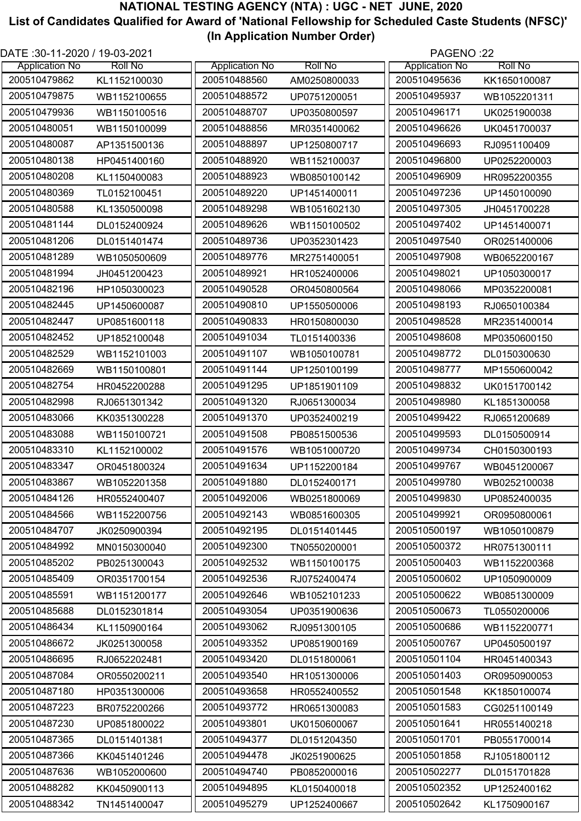| DATE: 30-11-2020 / 19-03-2021 |                |                       |                | PAGENO:22             |                |
|-------------------------------|----------------|-----------------------|----------------|-----------------------|----------------|
| <b>Application No</b>         | <b>Roll No</b> | <b>Application No</b> | <b>Roll No</b> | <b>Application No</b> | <b>Roll No</b> |
| 200510479862                  | KL1152100030   | 200510488560          | AM0250800033   | 200510495636          | KK1650100087   |
| 200510479875                  | WB1152100655   | 200510488572          | UP0751200051   | 200510495937          | WB1052201311   |
| 200510479936                  | WB1150100516   | 200510488707          | UP0350800597   | 200510496171          | UK0251900038   |
| 200510480051                  | WB1150100099   | 200510488856          | MR0351400062   | 200510496626          | UK0451700037   |
| 200510480087                  | AP1351500136   | 200510488897          | UP1250800717   | 200510496693          | RJ0951100409   |
| 200510480138                  | HP0451400160   | 200510488920          | WB1152100037   | 200510496800          | UP0252200003   |
| 200510480208                  | KL1150400083   | 200510488923          | WB0850100142   | 200510496909          | HR0952200355   |
| 200510480369                  | TL0152100451   | 200510489220          | UP1451400011   | 200510497236          | UP1450100090   |
| 200510480588                  | KL1350500098   | 200510489298          | WB1051602130   | 200510497305          | JH0451700228   |
| 200510481144                  | DL0152400924   | 200510489626          | WB1150100502   | 200510497402          | UP1451400071   |
| 200510481206                  | DL0151401474   | 200510489736          | UP0352301423   | 200510497540          | OR0251400006   |
| 200510481289                  | WB1050500609   | 200510489776          | MR2751400051   | 200510497908          | WB0652200167   |
| 200510481994                  | JH0451200423   | 200510489921          | HR1052400006   | 200510498021          | UP1050300017   |
| 200510482196                  | HP1050300023   | 200510490528          | OR0450800564   | 200510498066          | MP0352200081   |
| 200510482445                  | UP1450600087   | 200510490810          | UP1550500006   | 200510498193          | RJ0650100384   |
| 200510482447                  | UP0851600118   | 200510490833          | HR0150800030   | 200510498528          | MR2351400014   |
| 200510482452                  | UP1852100048   | 200510491034          | TL0151400336   | 200510498608          | MP0350600150   |
| 200510482529                  | WB1152101003   | 200510491107          | WB1050100781   | 200510498772          | DL0150300630   |
| 200510482669                  | WB1150100801   | 200510491144          | UP1250100199   | 200510498777          | MP1550600042   |
| 200510482754                  | HR0452200288   | 200510491295          | UP1851901109   | 200510498832          | UK0151700142   |
| 200510482998                  | RJ0651301342   | 200510491320          | RJ0651300034   | 200510498980          | KL1851300058   |
| 200510483066                  | KK0351300228   | 200510491370          | UP0352400219   | 200510499422          | RJ0651200689   |
| 200510483088                  | WB1150100721   | 200510491508          | PB0851500536   | 200510499593          | DL0150500914   |
| 200510483310                  | KL1152100002   | 200510491576          | WB1051000720   | 200510499734          | CH0150300193   |
| 200510483347                  | OR0451800324   | 200510491634          | UP1152200184   | 200510499767          | WB0451200067   |
| 200510483867                  | WB1052201358   | 200510491880          | DL0152400171   | 200510499780          | WB0252100038   |
| 200510484126                  | HR0552400407   | 200510492006          | WB0251800069   | 200510499830          | UP0852400035   |
| 200510484566                  | WB1152200756   | 200510492143          | WB0851600305   | 200510499921          | OR0950800061   |
| 200510484707                  | JK0250900394   | 200510492195          | DL0151401445   | 200510500197          | WB1050100879   |
| 200510484992                  | MN0150300040   | 200510492300          | TN0550200001   | 200510500372          | HR0751300111   |
| 200510485202                  | PB0251300043   | 200510492532          | WB1150100175   | 200510500403          | WB1152200368   |
| 200510485409                  | OR0351700154   | 200510492536          | RJ0752400474   | 200510500602          | UP1050900009   |
| 200510485591                  | WB1151200177   | 200510492646          | WB1052101233   | 200510500622          | WB0851300009   |
| 200510485688                  | DL0152301814   | 200510493054          | UP0351900636   | 200510500673          | TL0550200006   |
| 200510486434                  | KL1150900164   | 200510493062          | RJ0951300105   | 200510500686          | WB1152200771   |
| 200510486672                  | JK0251300058   | 200510493352          | UP0851900169   | 200510500767          | UP0450500197   |
| 200510486695                  | RJ0652202481   | 200510493420          | DL0151800061   | 200510501104          | HR0451400343   |
| 200510487084                  | OR0550200211   | 200510493540          | HR1051300006   | 200510501403          | OR0950900053   |
| 200510487180                  | HP0351300006   | 200510493658          | HR0552400552   | 200510501548          | KK1850100074   |
| 200510487223                  | BR0752200266   | 200510493772          | HR0651300083   | 200510501583          | CG0251100149   |
| 200510487230                  | UP0851800022   | 200510493801          | UK0150600067   | 200510501641          | HR0551400218   |
| 200510487365                  | DL0151401381   | 200510494377          | DL0151204350   | 200510501701          | PB0551700014   |
| 200510487366                  | KK0451401246   | 200510494478          | JK0251900625   | 200510501858          | RJ1051800112   |
| 200510487636                  | WB1052000600   | 200510494740          | PB0852000016   | 200510502277          | DL0151701828   |
| 200510488282                  | KK0450900113   | 200510494895          | KL0150400018   | 200510502352          | UP1252400162   |
| 200510488342                  | TN1451400047   | 200510495279          | UP1252400667   | 200510502642          | KL1750900167   |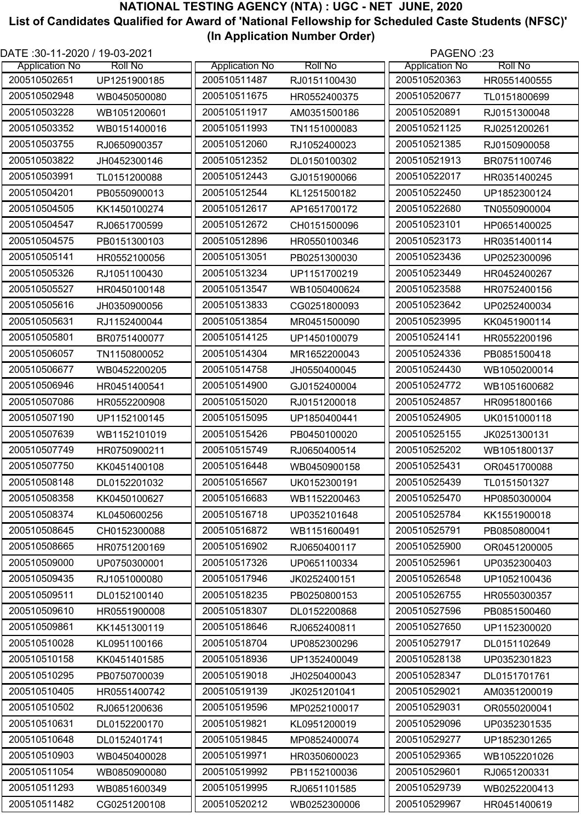| DATE :30-11-2020 / 19-03-2021 |                |                       |                | PAGENO:23             |                |
|-------------------------------|----------------|-----------------------|----------------|-----------------------|----------------|
| <b>Application No</b>         | <b>Roll No</b> | <b>Application No</b> | <b>Roll No</b> | <b>Application No</b> | <b>Roll No</b> |
| 200510502651                  | UP1251900185   | 200510511487          | RJ0151100430   | 200510520363          | HR0551400555   |
| 200510502948                  | WB0450500080   | 200510511675          | HR0552400375   | 200510520677          | TL0151800699   |
| 200510503228                  | WB1051200601   | 200510511917          | AM0351500186   | 200510520891          | RJ0151300048   |
| 200510503352                  | WB0151400016   | 200510511993          | TN1151000083   | 200510521125          | RJ0251200261   |
| 200510503755                  | RJ0650900357   | 200510512060          | RJ1052400023   | 200510521385          | RJ0150900058   |
| 200510503822                  | JH0452300146   | 200510512352          | DL0150100302   | 200510521913          | BR0751100746   |
| 200510503991                  | TL0151200088   | 200510512443          | GJ0151900066   | 200510522017          | HR0351400245   |
| 200510504201                  | PB0550900013   | 200510512544          | KL1251500182   | 200510522450          | UP1852300124   |
| 200510504505                  | KK1450100274   | 200510512617          | AP1651700172   | 200510522680          | TN0550900004   |
| 200510504547                  | RJ0651700599   | 200510512672          | CH0151500096   | 200510523101          | HP0651400025   |
| 200510504575                  | PB0151300103   | 200510512896          | HR0550100346   | 200510523173          | HR0351400114   |
| 200510505141                  | HR0552100056   | 200510513051          | PB0251300030   | 200510523436          | UP0252300096   |
| 200510505326                  | RJ1051100430   | 200510513234          | UP1151700219   | 200510523449          | HR0452400267   |
| 200510505527                  | HR0450100148   | 200510513547          | WB1050400624   | 200510523588          | HR0752400156   |
| 200510505616                  | JH0350900056   | 200510513833          | CG0251800093   | 200510523642          | UP0252400034   |
| 200510505631                  | RJ1152400044   | 200510513854          | MR0451500090   | 200510523995          | KK0451900114   |
| 200510505801                  | BR0751400077   | 200510514125          | UP1450100079   | 200510524141          | HR0552200196   |
| 200510506057                  | TN1150800052   | 200510514304          | MR1652200043   | 200510524336          | PB0851500418   |
| 200510506677                  | WB0452200205   | 200510514758          | JH0550400045   | 200510524430          | WB1050200014   |
| 200510506946                  | HR0451400541   | 200510514900          | GJ0152400004   | 200510524772          | WB1051600682   |
| 200510507086                  | HR0552200908   | 200510515020          | RJ0151200018   | 200510524857          | HR0951800166   |
| 200510507190                  | UP1152100145   | 200510515095          | UP1850400441   | 200510524905          | UK0151000118   |
| 200510507639                  |                | 200510515426          | PB0450100020   | 200510525155          | JK0251300131   |
| 200510507749                  | WB1152101019   | 200510515749          |                | 200510525202          |                |
|                               | HR0750900211   |                       | RJ0650400514   |                       | WB1051800137   |
| 200510507750                  | KK0451400108   | 200510516448          | WB0450900158   | 200510525431          | OR0451700088   |
| 200510508148                  | DL0152201032   | 200510516567          | UK0152300191   | 200510525439          | TL0151501327   |
| 200510508358                  | KK0450100627   | 200510516683          | WB1152200463   | 200510525470          | HP0850300004   |
| 200510508374                  | KL0450600256   | 200510516718          | UP0352101648   | 200510525784          | KK1551900018   |
| 200510508645                  | CH0152300088   | 200510516872          | WB1151600491   | 200510525791          | PB0850800041   |
| 200510508665                  | HR0751200169   | 200510516902          | RJ0650400117   | 200510525900          | OR0451200005   |
| 200510509000                  | UP0750300001   | 200510517326          | UP0651100334   | 200510525961          | UP0352300403   |
| 200510509435                  | RJ1051000080   | 200510517946          | JK0252400151   | 200510526548          | UP1052100436   |
| 200510509511                  | DL0152100140   | 200510518235          | PB0250800153   | 200510526755          | HR0550300357   |
| 200510509610                  | HR0551900008   | 200510518307          | DL0152200868   | 200510527596          | PB0851500460   |
| 200510509861                  | KK1451300119   | 200510518646          | RJ0652400811   | 200510527650          | UP1152300020   |
| 200510510028                  | KL0951100166   | 200510518704          | UP0852300296   | 200510527917          | DL0151102649   |
| 200510510158                  | KK0451401585   | 200510518936          | UP1352400049   | 200510528138          | UP0352301823   |
| 200510510295                  | PB0750700039   | 200510519018          | JH0250400043   | 200510528347          | DL0151701761   |
| 200510510405                  | HR0551400742   | 200510519139          | JK0251201041   | 200510529021          | AM0351200019   |
| 200510510502                  | RJ0651200636   | 200510519596          | MP0252100017   | 200510529031          | OR0550200041   |
| 200510510631                  | DL0152200170   | 200510519821          | KL0951200019   | 200510529096          | UP0352301535   |
| 200510510648                  | DL0152401741   | 200510519845          | MP0852400074   | 200510529277          | UP1852301265   |
| 200510510903                  | WB0450400028   | 200510519971          | HR0350600023   | 200510529365          | WB1052201026   |
| 200510511054                  | WB0850900080   | 200510519992          | PB1152100036   | 200510529601          | RJ0651200331   |
| 200510511293                  | WB0851600349   | 200510519995          | RJ0651101585   | 200510529739          | WB0252200413   |
| 200510511482                  | CG0251200108   | 200510520212          | WB0252300006   | 200510529967          | HR0451400619   |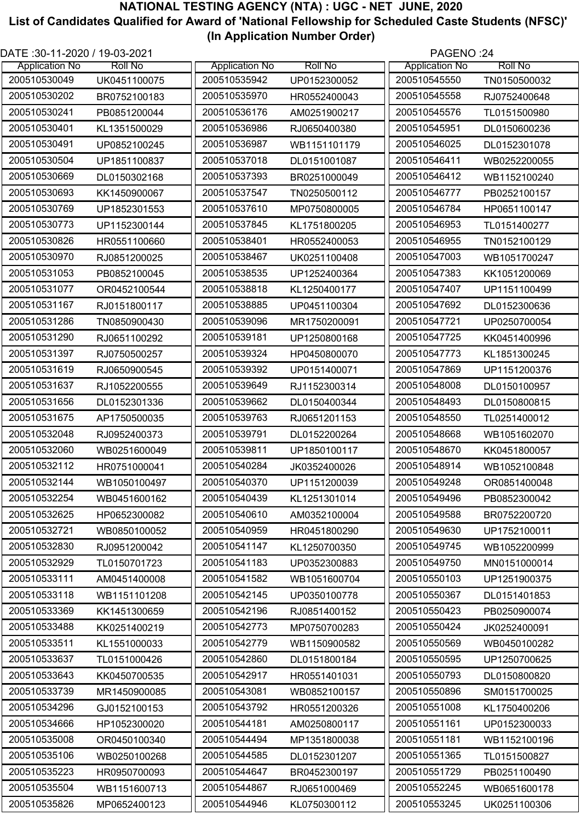| DATE: 30-11-2020 / 19-03-2021 |                |                       |                | PAGENO:24             |                |
|-------------------------------|----------------|-----------------------|----------------|-----------------------|----------------|
| <b>Application No</b>         | <b>Roll No</b> | <b>Application No</b> | <b>Roll No</b> | <b>Application No</b> | <b>Roll No</b> |
| 200510530049                  | UK0451100075   | 200510535942          | UP0152300052   | 200510545550          | TN0150500032   |
| 200510530202                  | BR0752100183   | 200510535970          | HR0552400043   | 200510545558          | RJ0752400648   |
| 200510530241                  | PB0851200044   | 200510536176          | AM0251900217   | 200510545576          | TL0151500980   |
| 200510530401                  | KL1351500029   | 200510536986          | RJ0650400380   | 200510545951          | DL0150600236   |
| 200510530491                  | UP0852100245   | 200510536987          | WB1151101179   | 200510546025          | DL0152301078   |
| 200510530504                  | UP1851100837   | 200510537018          | DL0151001087   | 200510546411          | WB0252200055   |
| 200510530669                  | DL0150302168   | 200510537393          | BR0251000049   | 200510546412          | WB1152100240   |
| 200510530693                  | KK1450900067   | 200510537547          | TN0250500112   | 200510546777          | PB0252100157   |
| 200510530769                  | UP1852301553   | 200510537610          | MP0750800005   | 200510546784          | HP0651100147   |
| 200510530773                  | UP1152300144   | 200510537845          | KL1751800205   | 200510546953          | TL0151400277   |
| 200510530826                  | HR0551100660   | 200510538401          | HR0552400053   | 200510546955          | TN0152100129   |
| 200510530970                  | RJ0851200025   | 200510538467          | UK0251100408   | 200510547003          | WB1051700247   |
| 200510531053                  | PB0852100045   | 200510538535          | UP1252400364   | 200510547383          | KK1051200069   |
| 200510531077                  | OR0452100544   | 200510538818          | KL1250400177   | 200510547407          | UP1151100499   |
| 200510531167                  | RJ0151800117   | 200510538885          | UP0451100304   | 200510547692          | DL0152300636   |
| 200510531286                  | TN0850900430   | 200510539096          | MR1750200091   | 200510547721          | UP0250700054   |
| 200510531290                  | RJ0651100292   | 200510539181          | UP1250800168   | 200510547725          | KK0451400996   |
| 200510531397                  | RJ0750500257   | 200510539324          | HP0450800070   | 200510547773          | KL1851300245   |
| 200510531619                  | RJ0650900545   | 200510539392          | UP0151400071   | 200510547869          | UP1151200376   |
| 200510531637                  | RJ1052200555   | 200510539649          | RJ1152300314   | 200510548008          | DL0150100957   |
| 200510531656                  | DL0152301336   | 200510539662          | DL0150400344   | 200510548493          | DL0150800815   |
| 200510531675                  | AP1750500035   | 200510539763          | RJ0651201153   | 200510548550          | TL0251400012   |
| 200510532048                  | RJ0952400373   | 200510539791          | DL0152200264   | 200510548668          | WB1051602070   |
| 200510532060                  | WB0251600049   | 200510539811          | UP1850100117   | 200510548670          | KK0451800057   |
| 200510532112                  | HR0751000041   | 200510540284          | JK0352400026   | 200510548914          | WB1052100848   |
| 200510532144                  | WB1050100497   | 200510540370          | UP1151200039   | 200510549248          | OR0851400048   |
| 200510532254                  | WB0451600162   | 200510540439          | KL1251301014   | 200510549496          | PB0852300042   |
| 200510532625                  | HP0652300082   | 200510540610          | AM0352100004   | 200510549588          | BR0752200720   |
| 200510532721                  | WB0850100052   | 200510540959          | HR0451800290   | 200510549630          | UP1752100011   |
| 200510532830                  | RJ0951200042   | 200510541147          | KL1250700350   | 200510549745          | WB1052200999   |
| 200510532929                  | TL0150701723   | 200510541183          | UP0352300883   | 200510549750          | MN0151000014   |
| 200510533111                  | AM0451400008   | 200510541582          | WB1051600704   | 200510550103          | UP1251900375   |
| 200510533118                  | WB1151101208   | 200510542145          | UP0350100778   | 200510550367          | DL0151401853   |
| 200510533369                  | KK1451300659   | 200510542196          | RJ0851400152   | 200510550423          | PB0250900074   |
| 200510533488                  | KK0251400219   | 200510542773          | MP0750700283   | 200510550424          | JK0252400091   |
| 200510533511                  | KL1551000033   | 200510542779          | WB1150900582   | 200510550569          | WB0450100282   |
| 200510533637                  | TL0151000426   | 200510542860          | DL0151800184   | 200510550595          | UP1250700625   |
| 200510533643                  | KK0450700535   | 200510542917          | HR0551401031   | 200510550793          | DL0150800820   |
| 200510533739                  | MR1450900085   | 200510543081          | WB0852100157   | 200510550896          | SM0151700025   |
| 200510534296                  | GJ0152100153   | 200510543792          | HR0551200326   | 200510551008          | KL1750400206   |
| 200510534666                  | HP1052300020   | 200510544181          | AM0250800117   | 200510551161          | UP0152300033   |
| 200510535008                  | OR0450100340   | 200510544494          | MP1351800038   | 200510551181          | WB1152100196   |
| 200510535106                  | WB0250100268   | 200510544585          | DL0152301207   | 200510551365          | TL0151500827   |
| 200510535223                  | HR0950700093   | 200510544647          | BR0452300197   | 200510551729          | PB0251100490   |
| 200510535504                  | WB1151600713   | 200510544867          | RJ0651000469   | 200510552245          | WB0651600178   |
| 200510535826                  | MP0652400123   | 200510544946          | KL0750300112   | 200510553245          | UK0251100306   |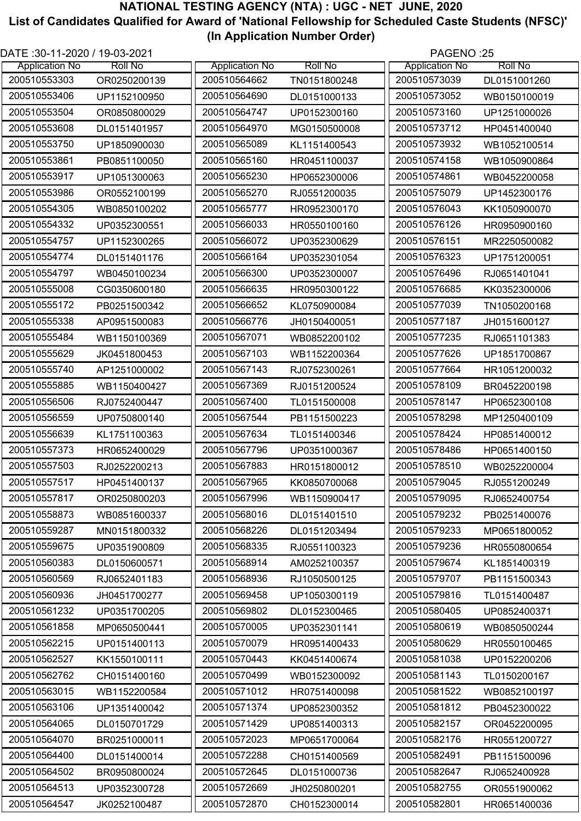| DATE: 30-11-2020 / 19-03-2021 |                |                       |                | PAGENO:25             |                |
|-------------------------------|----------------|-----------------------|----------------|-----------------------|----------------|
| <b>Application No</b>         | <b>Roll No</b> | <b>Application No</b> | <b>Roll No</b> | <b>Application No</b> | <b>Roll No</b> |
| 200510553303                  | OR0250200139   | 200510564662          | TN0151800248   | 200510573039          | DL0151001260   |
| 200510553406                  | UP1152100950   | 200510564690          | DL0151000133   | 200510573052          | WB0150100019   |
| 200510553504                  | OR0850800029   | 200510564747          | UP0152300160   | 200510573160          | UP1251000026   |
| 200510553608                  | DL0151401957   | 200510564970          | MG0150500008   | 200510573712          | HP0451400040   |
| 200510553750                  | UP1850900030   | 200510565089          | KL1151400543   | 200510573932          | WB1052100514   |
| 200510553861                  | PB0851100050   | 200510565160          | HR0451100037   | 200510574158          | WB1050900864   |
| 200510553917                  | UP1051300063   | 200510565230          | HP0652300006   | 200510574861          | WB0452200058   |
| 200510553986                  | OR0552100199   | 200510565270          | RJ0551200035   | 200510575079          | UP1452300176   |
| 200510554305                  | WB0850100202   | 200510565777          | HR0952300170   | 200510576043          | KK1050900070   |
| 200510554332                  | UP0352300551   | 200510566033          | HR0550100160   | 200510576126          | HR0950900160   |
| 200510554757                  | UP1152300265   | 200510566072          | UP0352300629   | 200510576151          | MR2250500082   |
| 200510554774                  | DL0151401176   | 200510566164          | UP0352301054   | 200510576323          | UP1751200051   |
| 200510554797                  | WB0450100234   | 200510566300          | UP0352300007   | 200510576496          | RJ0651401041   |
| 200510555008                  | CG0350600180   | 200510566635          | HR0950300122   | 200510576685          | KK0352300006   |
| 200510555172                  | PB0251500342   | 200510566652          | KL0750900084   | 200510577039          | TN1050200168   |
| 200510555338                  | AP0951500083   | 200510566776          | JH0150400051   | 200510577187          | JH0151600127   |
| 200510555484                  | WB1150100369   | 200510567071          | WB0852200102   | 200510577235          | RJ0651101383   |
| 200510555629                  | JK0451800453   | 200510567103          | WB1152200364   | 200510577626          | UP1851700867   |
| 200510555740                  | AP1251000002   | 200510567143          | RJ0752300261   | 200510577664          | HR1051200032   |
| 200510555885                  | WB1150400427   | 200510567369          | RJ0151200524   | 200510578109          | BR0452200198   |
| 200510556506                  | RJ0752400447   | 200510567400          | TL0151500008   | 200510578147          | HP0652300108   |
| 200510556559                  | UP0750800140   | 200510567544          | PB1151500223   | 200510578298          | MP1250400109   |
| 200510556639                  | KL1751100363   | 200510567634          | TL0151400346   | 200510578424          | HP0851400012   |
| 200510557373                  | HR0652400029   | 200510567796          | UP0351000367   | 200510578486          | HP0651400150   |
| 200510557503                  | RJ0252200213   | 200510567883          | HR0151800012   | 200510578510          | WB0252200004   |
| 200510557517                  | HP0451400137   | 200510567965          | KK0850700068   | 200510579045          | RJ0551200249   |
| 200510557817                  | OR0250800203   | 200510567996          | WB1150900417   | 200510579095          | RJ0652400754   |
| 200510558873                  | WB0851600337   | 200510568016          | DL0151401510   | 200510579232          | PB0251400076   |
| 200510559287                  | MN0151800332   | 200510568226          | DL0151203494   | 200510579233          | MP0651800052   |
| 200510559675                  | UP0351900809   | 200510568335          | RJ0551100323   | 200510579236          | HR0550800654   |
| 200510560383                  | DL0150600571   | 200510568914          | AM0252100357   | 200510579674          | KL1851400319   |
| 200510560569                  | RJ0652401183   | 200510568936          | RJ1050500125   | 200510579707          | PB1151500343   |
| 200510560936                  | JH0451700277   | 200510569458          | UP1050300119   | 200510579816          | TL0151400487   |
| 200510561232                  | UP0351700205   | 200510569802          | DL0152300465   | 200510580405          | UP0852400371   |
| 200510561858                  | MP0650500441   | 200510570005          | UP0352301141   | 200510580619          | WB0850500244   |
| 200510562215                  | UP0151400113   | 200510570079          | HR0951400433   | 200510580629          | HR0550100465   |
| 200510562527                  | KK1550100111   | 200510570443          | KK0451400674   | 200510581038          | UP0152200206   |
| 200510562762                  | CH0151400160   | 200510570499          | WB0152300092   | 200510581143          | TL0150200167   |
| 200510563015                  | WB1152200584   | 200510571012          | HR0751400098   | 200510581522          | WB0852100197   |
| 200510563106                  | UP1351400042   | 200510571374          | UP0852300352   | 200510581812          | PB0452300022   |
| 200510564065                  | DL0150701729   | 200510571429          | UP0851400313   | 200510582157          | OR0452200095   |
| 200510564070                  | BR0251000011   | 200510572023          | MP0651700064   | 200510582176          | HR0551200727   |
| 200510564400                  | DL0151400014   | 200510572288          | CH0151400569   | 200510582491          | PB1151500096   |
| 200510564502                  | BR0950800024   | 200510572645          |                | 200510582647          | RJ0652400928   |
| 200510564513                  |                | 200510572669          | DL0151000736   | 200510582755          |                |
|                               | UP0352300728   |                       | JH0250800201   |                       | OR0551900062   |
| 200510564547                  | JK0252100487   | 200510572870          | CH0152300014   | 200510582801          | HR0651400036   |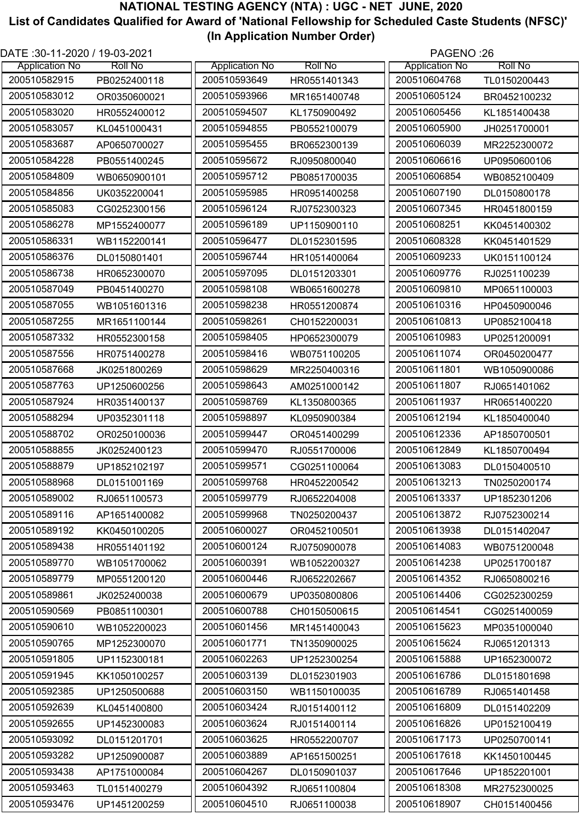| DATE: 30-11-2020 / 19-03-2021 |                |                       |                | PAGENO:26             |                |
|-------------------------------|----------------|-----------------------|----------------|-----------------------|----------------|
| <b>Application No</b>         | <b>Roll No</b> | <b>Application No</b> | <b>Roll No</b> | <b>Application No</b> | <b>Roll No</b> |
| 200510582915                  | PB0252400118   | 200510593649          | HR0551401343   | 200510604768          | TL0150200443   |
| 200510583012                  | OR0350600021   | 200510593966          | MR1651400748   | 200510605124          | BR0452100232   |
| 200510583020                  | HR0552400012   | 200510594507          | KL1750900492   | 200510605456          | KL1851400438   |
| 200510583057                  | KL0451000431   | 200510594855          | PB0552100079   | 200510605900          | JH0251700001   |
| 200510583687                  | AP0650700027   | 200510595455          | BR0652300139   | 200510606039          | MR2252300072   |
| 200510584228                  | PB0551400245   | 200510595672          | RJ0950800040   | 200510606616          | UP0950600106   |
| 200510584809                  | WB0650900101   | 200510595712          | PB0851700035   | 200510606854          | WB0852100409   |
| 200510584856                  | UK0352200041   | 200510595985          | HR0951400258   | 200510607190          | DL0150800178   |
| 200510585083                  | CG0252300156   | 200510596124          | RJ0752300323   | 200510607345          | HR0451800159   |
| 200510586278                  | MP1552400077   | 200510596189          | UP1150900110   | 200510608251          | KK0451400302   |
| 200510586331                  | WB1152200141   | 200510596477          | DL0152301595   | 200510608328          | KK0451401529   |
| 200510586376                  | DL0150801401   | 200510596744          | HR1051400064   | 200510609233          | UK0151100124   |
| 200510586738                  | HR0652300070   | 200510597095          | DL0151203301   | 200510609776          | RJ0251100239   |
| 200510587049                  | PB0451400270   | 200510598108          | WB0651600278   | 200510609810          | MP0651100003   |
| 200510587055                  | WB1051601316   | 200510598238          | HR0551200874   | 200510610316          | HP0450900046   |
| 200510587255                  | MR1651100144   | 200510598261          | CH0152200031   | 200510610813          | UP0852100418   |
| 200510587332                  | HR0552300158   | 200510598405          | HP0652300079   | 200510610983          | UP0251200091   |
| 200510587556                  | HR0751400278   | 200510598416          | WB0751100205   | 200510611074          | OR0450200477   |
| 200510587668                  | JK0251800269   | 200510598629          | MR2250400316   | 200510611801          | WB1050900086   |
| 200510587763                  | UP1250600256   | 200510598643          | AM0251000142   | 200510611807          | RJ0651401062   |
| 200510587924                  | HR0351400137   | 200510598769          | KL1350800365   | 200510611937          | HR0651400220   |
| 200510588294                  | UP0352301118   | 200510598897          | KL0950900384   | 200510612194          | KL1850400040   |
| 200510588702                  | OR0250100036   | 200510599447          | OR0451400299   | 200510612336          | AP1850700501   |
| 200510588855                  | JK0252400123   | 200510599470          | RJ0551700006   | 200510612849          | KL1850700494   |
| 200510588879                  | UP1852102197   | 200510599571          | CG0251100064   | 200510613083          | DL0150400510   |
| 200510588968                  | DL0151001169   | 200510599768          | HR0452200542   | 200510613213          | TN0250200174   |
| 200510589002                  | RJ0651100573   | 200510599779          | RJ0652204008   | 200510613337          | UP1852301206   |
| 200510589116                  | AP1651400082   | 200510599968          | TN0250200437   | 200510613872          | RJ0752300214   |
| 200510589192                  | KK0450100205   | 200510600027          | OR0452100501   | 200510613938          | DL0151402047   |
| 200510589438                  | HR0551401192   | 200510600124          | RJ0750900078   | 200510614083          | WB0751200048   |
| 200510589770                  | WB1051700062   | 200510600391          | WB1052200327   | 200510614238          | UP0251700187   |
| 200510589779                  | MP0551200120   | 200510600446          | RJ0652202667   | 200510614352          | RJ0650800216   |
| 200510589861                  | JK0252400038   | 200510600679          | UP0350800806   | 200510614406          | CG0252300259   |
| 200510590569                  | PB0851100301   | 200510600788          | CH0150500615   | 200510614541          | CG0251400059   |
| 200510590610                  | WB1052200023   | 200510601456          | MR1451400043   | 200510615623          | MP0351000040   |
| 200510590765                  | MP1252300070   | 200510601771          | TN1350900025   | 200510615624          | RJ0651201313   |
| 200510591805                  | UP1152300181   | 200510602263          | UP1252300254   | 200510615888          | UP1652300072   |
| 200510591945                  | KK1050100257   | 200510603139          | DL0152301903   | 200510616786          | DL0151801698   |
| 200510592385                  | UP1250500688   | 200510603150          | WB1150100035   | 200510616789          | RJ0651401458   |
| 200510592639                  | KL0451400800   | 200510603424          | RJ0151400112   | 200510616809          | DL0151402209   |
| 200510592655                  | UP1452300083   | 200510603624          | RJ0151400114   | 200510616826          | UP0152100419   |
| 200510593092                  |                | 200510603625          |                | 200510617173          |                |
| 200510593282                  | DL0151201701   | 200510603889          | HR0552200707   | 200510617618          | UP0250700141   |
| 200510593438                  | UP1250900087   | 200510604267          | AP1651500251   | 200510617646          | KK1450100445   |
|                               | AP1751000084   |                       | DL0150901037   | 200510618308          | UP1852201001   |
| 200510593463                  | TL0151400279   | 200510604392          | RJ0651100804   |                       | MR2752300025   |
| 200510593476                  | UP1451200259   | 200510604510          | RJ0651100038   | 200510618907          | CH0151400456   |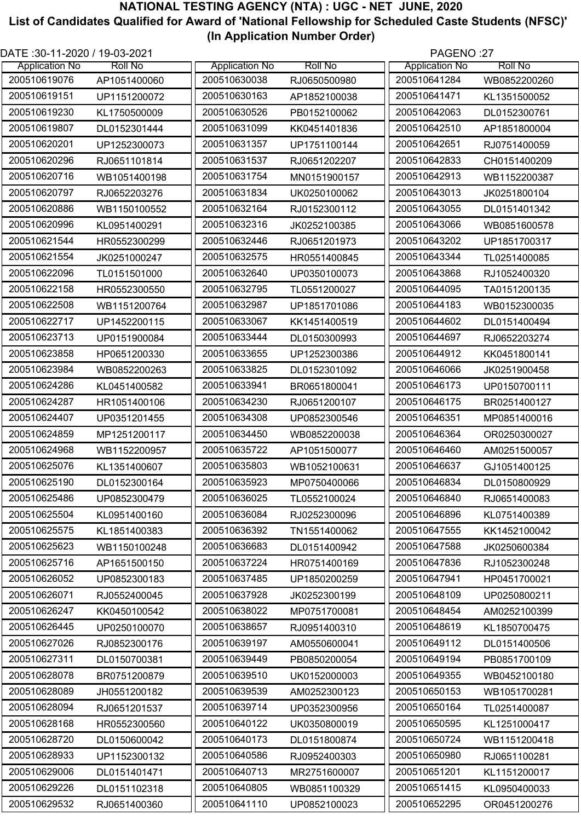| DATE: 30-11-2020 / 19-03-2021 |                |                       |                | PAGENO:27             |                |
|-------------------------------|----------------|-----------------------|----------------|-----------------------|----------------|
| <b>Application No</b>         | <b>Roll No</b> | <b>Application No</b> | <b>Roll No</b> | <b>Application No</b> | <b>Roll No</b> |
| 200510619076                  | AP1051400060   | 200510630038          | RJ0650500980   | 200510641284          | WB0852200260   |
| 200510619151                  | UP1151200072   | 200510630163          | AP1852100038   | 200510641471          | KL1351500052   |
| 200510619230                  | KL1750500009   | 200510630526          | PB0152100062   | 200510642063          | DL0152300761   |
| 200510619807                  | DL0152301444   | 200510631099          | KK0451401836   | 200510642510          | AP1851800004   |
| 200510620201                  | UP1252300073   | 200510631357          | UP1751100144   | 200510642651          | RJ0751400059   |
| 200510620296                  | RJ0651101814   | 200510631537          | RJ0651202207   | 200510642833          | CH0151400209   |
| 200510620716                  | WB1051400198   | 200510631754          | MN0151900157   | 200510642913          | WB1152200387   |
| 200510620797                  | RJ0652203276   | 200510631834          | UK0250100062   | 200510643013          | JK0251800104   |
| 200510620886                  | WB1150100552   | 200510632164          | RJ0152300112   | 200510643055          | DL0151401342   |
| 200510620996                  | KL0951400291   | 200510632316          | JK0252100385   | 200510643066          | WB0851600578   |
| 200510621544                  | HR0552300299   | 200510632446          | RJ0651201973   | 200510643202          | UP1851700317   |
| 200510621554                  | JK0251000247   | 200510632575          | HR0551400845   | 200510643344          | TL0251400085   |
| 200510622096                  | TL0151501000   | 200510632640          | UP0350100073   | 200510643868          | RJ1052400320   |
| 200510622158                  | HR0552300550   | 200510632795          | TL0551200027   | 200510644095          | TA0151200135   |
| 200510622508                  | WB1151200764   | 200510632987          | UP1851701086   | 200510644183          | WB0152300035   |
| 200510622717                  | UP1452200115   | 200510633067          | KK1451400519   | 200510644602          | DL0151400494   |
| 200510623713                  | UP0151900084   | 200510633444          | DL0150300993   | 200510644697          | RJ0652203274   |
| 200510623858                  | HP0651200330   | 200510633655          | UP1252300386   | 200510644912          | KK0451800141   |
| 200510623984                  | WB0852200263   | 200510633825          | DL0152301092   | 200510646066          | JK0251900458   |
| 200510624286                  | KL0451400582   | 200510633941          | BR0651800041   | 200510646173          | UP0150700111   |
| 200510624287                  | HR1051400106   | 200510634230          | RJ0651200107   | 200510646175          | BR0251400127   |
| 200510624407                  | UP0351201455   | 200510634308          | UP0852300546   | 200510646351          | MP0851400016   |
| 200510624859                  | MP1251200117   | 200510634450          | WB0852200038   | 200510646364          | OR0250300027   |
| 200510624968                  | WB1152200957   | 200510635722          | AP1051500077   | 200510646460          | AM0251500057   |
| 200510625076                  | KL1351400607   | 200510635803          | WB1052100631   | 200510646637          | GJ1051400125   |
| 200510625190                  | DL0152300164   | 200510635923          | MP0750400066   | 200510646834          | DL0150800929   |
| 200510625486                  | UP0852300479   | 200510636025          | TL0552100024   | 200510646840          | RJ0651400083   |
| 200510625504                  | KL0951400160   | 200510636084          | RJ0252300096   | 200510646896          | KL0751400389   |
| 200510625575                  | KL1851400383   | 200510636392          | TN1551400062   | 200510647555          | KK1452100042   |
| 200510625623                  | WB1150100248   | 200510636683          | DL0151400942   | 200510647588          | JK0250600384   |
| 200510625716                  | AP1651500150   | 200510637224          | HR0751400169   | 200510647836          | RJ1052300248   |
| 200510626052                  | UP0852300183   | 200510637485          | UP1850200259   | 200510647941          | HP0451700021   |
| 200510626071                  | RJ0552400045   | 200510637928          | JK0252300199   | 200510648109          | UP0250800211   |
| 200510626247                  | KK0450100542   | 200510638022          | MP0751700081   | 200510648454          | AM0252100399   |
| 200510626445                  | UP0250100070   | 200510638657          | RJ0951400310   | 200510648619          | KL1850700475   |
| 200510627026                  | RJ0852300176   | 200510639197          | AM0550600041   | 200510649112          | DL0151400506   |
| 200510627311                  | DL0150700381   | 200510639449          | PB0850200054   | 200510649194          | PB0851700109   |
| 200510628078                  | BR0751200879   | 200510639510          | UK0152000003   | 200510649355          | WB0452100180   |
| 200510628089                  | JH0551200182   | 200510639539          | AM0252300123   | 200510650153          | WB1051700281   |
| 200510628094                  | RJ0651201537   | 200510639714          | UP0352300956   | 200510650164          | TL0251400087   |
| 200510628168                  | HR0552300560   | 200510640122          | UK0350800019   | 200510650595          | KL1251000417   |
| 200510628720                  | DL0150600042   | 200510640173          | DL0151800874   | 200510650724          | WB1151200418   |
| 200510628933                  | UP1152300132   | 200510640586          | RJ0952400303   | 200510650980          | RJ0651100281   |
| 200510629006                  | DL0151401471   | 200510640713          | MR2751600007   | 200510651201          | KL1151200017   |
| 200510629226                  | DL0151102318   | 200510640805          | WB0851100329   | 200510651415          | KL0950400033   |
| 200510629532                  |                | 200510641110          |                | 200510652295          |                |
|                               | RJ0651400360   |                       | UP0852100023   |                       | OR0451200276   |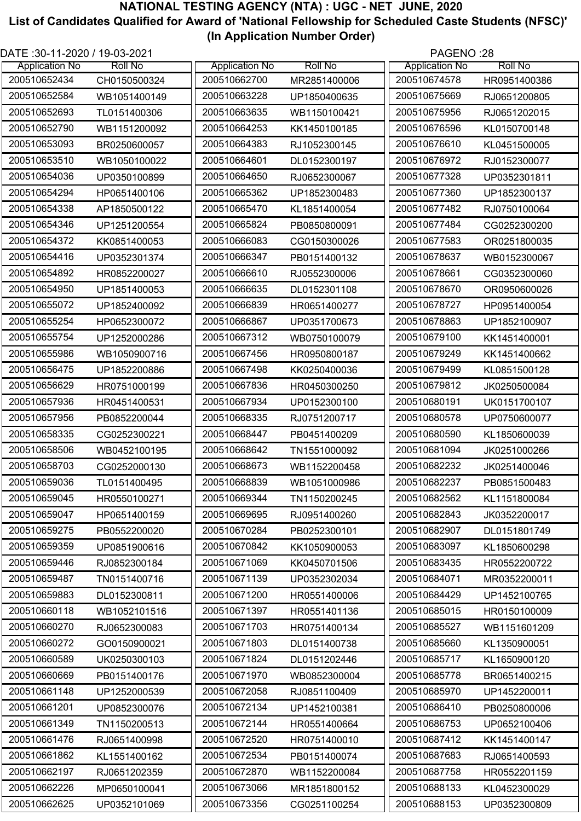| DATE: 30-11-2020 / 19-03-2021 |                |                       |                | PAGENO:28             |                |
|-------------------------------|----------------|-----------------------|----------------|-----------------------|----------------|
| <b>Application No</b>         | <b>Roll No</b> | <b>Application No</b> | <b>Roll No</b> | <b>Application No</b> | <b>Roll No</b> |
| 200510652434                  | CH0150500324   | 200510662700          | MR2851400006   | 200510674578          | HR0951400386   |
| 200510652584                  | WB1051400149   | 200510663228          | UP1850400635   | 200510675669          | RJ0651200805   |
| 200510652693                  | TL0151400306   | 200510663635          | WB1150100421   | 200510675956          | RJ0651202015   |
| 200510652790                  | WB1151200092   | 200510664253          | KK1450100185   | 200510676596          | KL0150700148   |
| 200510653093                  | BR0250600057   | 200510664383          | RJ1052300145   | 200510676610          | KL0451500005   |
| 200510653510                  | WB1050100022   | 200510664601          | DL0152300197   | 200510676972          | RJ0152300077   |
| 200510654036                  | UP0350100899   | 200510664650          | RJ0652300067   | 200510677328          | UP0352301811   |
| 200510654294                  | HP0651400106   | 200510665362          | UP1852300483   | 200510677360          | UP1852300137   |
| 200510654338                  | AP1850500122   | 200510665470          | KL1851400054   | 200510677482          | RJ0750100064   |
| 200510654346                  | UP1251200554   | 200510665824          | PB0850800091   | 200510677484          | CG0252300200   |
| 200510654372                  | KK0851400053   | 200510666083          | CG0150300026   | 200510677583          | OR0251800035   |
| 200510654416                  | UP0352301374   | 200510666347          | PB0151400132   | 200510678637          | WB0152300067   |
| 200510654892                  | HR0852200027   | 200510666610          | RJ0552300006   | 200510678661          | CG0352300060   |
| 200510654950                  | UP1851400053   | 200510666635          | DL0152301108   | 200510678670          | OR0950600026   |
| 200510655072                  | UP1852400092   | 200510666839          | HR0651400277   | 200510678727          | HP0951400054   |
| 200510655254                  | HP0652300072   | 200510666867          | UP0351700673   | 200510678863          | UP1852100907   |
| 200510655754                  | UP1252000286   | 200510667312          | WB0750100079   | 200510679100          | KK1451400001   |
| 200510655986                  | WB1050900716   | 200510667456          | HR0950800187   | 200510679249          | KK1451400662   |
| 200510656475                  | UP1852200886   | 200510667498          | KK0250400036   | 200510679499          | KL0851500128   |
| 200510656629                  | HR0751000199   | 200510667836          | HR0450300250   | 200510679812          | JK0250500084   |
| 200510657936                  | HR0451400531   | 200510667934          | UP0152300100   | 200510680191          | UK0151700107   |
| 200510657956                  | PB0852200044   | 200510668335          | RJ0751200717   | 200510680578          | UP0750600077   |
| 200510658335                  | CG0252300221   | 200510668447          | PB0451400209   | 200510680590          | KL1850600039   |
| 200510658506                  | WB0452100195   | 200510668642          | TN1551000092   | 200510681094          | JK0251000266   |
| 200510658703                  | CG0252000130   | 200510668673          | WB1152200458   | 200510682232          | JK0251400046   |
| 200510659036                  | TL0151400495   | 200510668839          | WB1051000986   | 200510682237          | PB0851500483   |
| 200510659045                  | HR0550100271   | 200510669344          | TN1150200245   | 200510682562          | KL1151800084   |
| 200510659047                  | HP0651400159   | 200510669695          | RJ0951400260   | 200510682843          | JK0352200017   |
| 200510659275                  | PB0552200020   | 200510670284          | PB0252300101   | 200510682907          | DL0151801749   |
| 200510659359                  | UP0851900616   | 200510670842          | KK1050900053   | 200510683097          | KL1850600298   |
| 200510659446                  | RJ0852300184   | 200510671069          | KK0450701506   | 200510683435          | HR0552200722   |
| 200510659487                  | TN0151400716   | 200510671139          | UP0352302034   | 200510684071          | MR0352200011   |
| 200510659883                  | DL0152300811   | 200510671200          | HR0551400006   | 200510684429          | UP1452100765   |
| 200510660118                  | WB1052101516   | 200510671397          | HR0551401136   | 200510685015          | HR0150100009   |
| 200510660270                  | RJ0652300083   | 200510671703          | HR0751400134   | 200510685527          | WB1151601209   |
| 200510660272                  | GO0150900021   | 200510671803          | DL0151400738   | 200510685660          | KL1350900051   |
| 200510660589                  | UK0250300103   | 200510671824          | DL0151202446   | 200510685717          | KL1650900120   |
| 200510660669                  | PB0151400176   | 200510671970          | WB0852300004   | 200510685778          | BR0651400215   |
| 200510661148                  | UP1252000539   | 200510672058          | RJ0851100409   | 200510685970          | UP1452200011   |
| 200510661201                  | UP0852300076   | 200510672134          | UP1452100381   | 200510686410          | PB0250800006   |
| 200510661349                  | TN1150200513   | 200510672144          | HR0551400664   | 200510686753          | UP0652100406   |
| 200510661476                  | RJ0651400998   | 200510672520          | HR0751400010   | 200510687412          | KK1451400147   |
| 200510661862                  | KL1551400162   | 200510672534          | PB0151400074   | 200510687683          | RJ0651400593   |
| 200510662197                  | RJ0651202359   | 200510672870          | WB1152200084   | 200510687758          | HR0552201159   |
| 200510662226                  | MP0650100041   | 200510673066          | MR1851800152   | 200510688133          | KL0452300029   |
| 200510662625                  | UP0352101069   | 200510673356          | CG0251100254   | 200510688153          | UP0352300809   |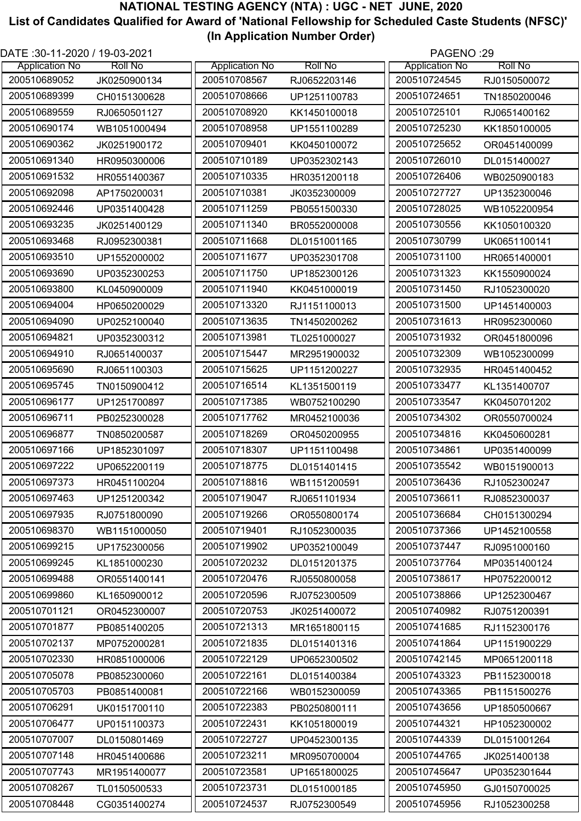| DATE: 30-11-2020 / 19-03-2021 |                |                       |                |                       | PAGENO:29      |  |
|-------------------------------|----------------|-----------------------|----------------|-----------------------|----------------|--|
| <b>Application No</b>         | <b>Roll No</b> | <b>Application No</b> | <b>Roll No</b> | <b>Application No</b> | <b>Roll No</b> |  |
| 200510689052                  | JK0250900134   | 200510708567          | RJ0652203146   | 200510724545          | RJ0150500072   |  |
| 200510689399                  | CH0151300628   | 200510708666          | UP1251100783   | 200510724651          | TN1850200046   |  |
| 200510689559                  | RJ0650501127   | 200510708920          | KK1450100018   | 200510725101          | RJ0651400162   |  |
| 200510690174                  | WB1051000494   | 200510708958          | UP1551100289   | 200510725230          | KK1850100005   |  |
| 200510690362                  | JK0251900172   | 200510709401          | KK0450100072   | 200510725652          | OR0451400099   |  |
| 200510691340                  | HR0950300006   | 200510710189          | UP0352302143   | 200510726010          | DL0151400027   |  |
| 200510691532                  | HR0551400367   | 200510710335          | HR0351200118   | 200510726406          | WB0250900183   |  |
| 200510692098                  | AP1750200031   | 200510710381          | JK0352300009   | 200510727727          | UP1352300046   |  |
| 200510692446                  | UP0351400428   | 200510711259          | PB0551500330   | 200510728025          | WB1052200954   |  |
| 200510693235                  | JK0251400129   | 200510711340          | BR0552000008   | 200510730556          | KK1050100320   |  |
| 200510693468                  | RJ0952300381   | 200510711668          | DL0151001165   | 200510730799          | UK0651100141   |  |
| 200510693510                  | UP1552000002   | 200510711677          | UP0352301708   | 200510731100          | HR0651400001   |  |
| 200510693690                  | UP0352300253   | 200510711750          | UP1852300126   | 200510731323          | KK1550900024   |  |
| 200510693800                  | KL0450900009   | 200510711940          | KK0451000019   | 200510731450          | RJ1052300020   |  |
| 200510694004                  | HP0650200029   | 200510713320          | RJ1151100013   | 200510731500          | UP1451400003   |  |
| 200510694090                  | UP0252100040   | 200510713635          | TN1450200262   | 200510731613          | HR0952300060   |  |
| 200510694821                  | UP0352300312   | 200510713981          | TL0251000027   | 200510731932          | OR0451800096   |  |
| 200510694910                  | RJ0651400037   | 200510715447          | MR2951900032   | 200510732309          | WB1052300099   |  |
| 200510695690                  | RJ0651100303   | 200510715625          | UP1151200227   | 200510732935          | HR0451400452   |  |
| 200510695745                  | TN0150900412   | 200510716514          | KL1351500119   | 200510733477          | KL1351400707   |  |
| 200510696177                  | UP1251700897   | 200510717385          | WB0752100290   | 200510733547          | KK0450701202   |  |
| 200510696711                  | PB0252300028   | 200510717762          | MR0452100036   | 200510734302          | OR0550700024   |  |
| 200510696877                  | TN0850200587   | 200510718269          | OR0450200955   | 200510734816          | KK0450600281   |  |
| 200510697166                  | UP1852301097   | 200510718307          | UP1151100498   | 200510734861          | UP0351400099   |  |
| 200510697222                  | UP0652200119   | 200510718775          | DL0151401415   | 200510735542          | WB0151900013   |  |
| 200510697373                  | HR0451100204   | 200510718816          | WB1151200591   | 200510736436          | RJ1052300247   |  |
| 200510697463                  | UP1251200342   | 200510719047          | RJ0651101934   | 200510736611          | RJ0852300037   |  |
| 200510697935                  | RJ0751800090   | 200510719266          | OR0550800174   | 200510736684          | CH0151300294   |  |
| 200510698370                  | WB1151000050   | 200510719401          | RJ1052300035   | 200510737366          | UP1452100558   |  |
| 200510699215                  | UP1752300056   | 200510719902          | UP0352100049   | 200510737447          | RJ0951000160   |  |
| 200510699245                  | KL1851000230   | 200510720232          | DL0151201375   | 200510737764          | MP0351400124   |  |
| 200510699488                  | OR0551400141   | 200510720476          | RJ0550800058   | 200510738617          | HP0752200012   |  |
| 200510699860                  | KL1650900012   | 200510720596          | RJ0752300509   | 200510738866          | UP1252300467   |  |
| 200510701121                  | OR0452300007   | 200510720753          | JK0251400072   | 200510740982          | RJ0751200391   |  |
| 200510701877                  | PB0851400205   | 200510721313          | MR1651800115   | 200510741685          | RJ1152300176   |  |
| 200510702137                  | MP0752000281   | 200510721835          | DL0151401316   | 200510741864          | UP1151900229   |  |
| 200510702330                  | HR0851000006   | 200510722129          | UP0652300502   | 200510742145          | MP0651200118   |  |
| 200510705078                  | PB0852300060   | 200510722161          | DL0151400384   | 200510743323          | PB1152300018   |  |
| 200510705703                  | PB0851400081   | 200510722166          | WB0152300059   | 200510743365          | PB1151500276   |  |
| 200510706291                  | UK0151700110   | 200510722383          | PB0250800111   | 200510743656          | UP1850500667   |  |
| 200510706477                  |                | 200510722431          |                | 200510744321          |                |  |
| 200510707007                  | UP0151100373   | 200510722727          | KK1051800019   | 200510744339          | HP1052300002   |  |
| 200510707148                  | DL0150801469   | 200510723211          | UP0452300135   | 200510744765          | DL0151001264   |  |
| 200510707743                  | HR0451400686   | 200510723581          | MR0950700004   | 200510745647          | JK0251400138   |  |
| 200510708267                  | MR1951400077   | 200510723731          | UP1651800025   |                       | UP0352301644   |  |
|                               | TL0150500533   |                       | DL0151000185   | 200510745950          | GJ0150700025   |  |
| 200510708448                  | CG0351400274   | 200510724537          | RJ0752300549   | 200510745956          | RJ1052300258   |  |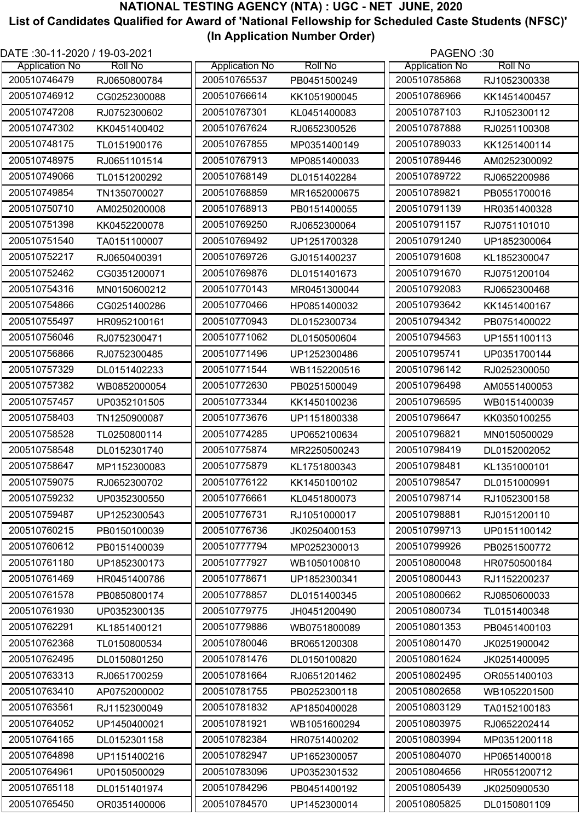| DATE: 30-11-2020 / 19-03-2021 |                |                       |                | PAGENO:30             |                |
|-------------------------------|----------------|-----------------------|----------------|-----------------------|----------------|
| <b>Application No</b>         | <b>Roll No</b> | <b>Application No</b> | <b>Roll No</b> | <b>Application No</b> | <b>Roll No</b> |
| 200510746479                  | RJ0650800784   | 200510765537          | PB0451500249   | 200510785868          | RJ1052300338   |
| 200510746912                  | CG0252300088   | 200510766614          | KK1051900045   | 200510786966          | KK1451400457   |
| 200510747208                  | RJ0752300602   | 200510767301          | KL0451400083   | 200510787103          | RJ1052300112   |
| 200510747302                  | KK0451400402   | 200510767624          | RJ0652300526   | 200510787888          | RJ0251100308   |
| 200510748175                  | TL0151900176   | 200510767855          | MP0351400149   | 200510789033          | KK1251400114   |
| 200510748975                  | RJ0651101514   | 200510767913          | MP0851400033   | 200510789446          | AM0252300092   |
| 200510749066                  | TL0151200292   | 200510768149          | DL0151402284   | 200510789722          | RJ0652200986   |
| 200510749854                  | TN1350700027   | 200510768859          | MR1652000675   | 200510789821          | PB0551700016   |
| 200510750710                  | AM0250200008   | 200510768913          | PB0151400055   | 200510791139          | HR0351400328   |
| 200510751398                  | KK0452200078   | 200510769250          | RJ0652300064   | 200510791157          | RJ0751101010   |
| 200510751540                  | TA0151100007   | 200510769492          | UP1251700328   | 200510791240          | UP1852300064   |
| 200510752217                  | RJ0650400391   | 200510769726          | GJ0151400237   | 200510791608          | KL1852300047   |
| 200510752462                  | CG0351200071   | 200510769876          | DL0151401673   | 200510791670          | RJ0751200104   |
| 200510754316                  | MN0150600212   | 200510770143          | MR0451300044   | 200510792083          | RJ0652300468   |
| 200510754866                  | CG0251400286   | 200510770466          | HP0851400032   | 200510793642          | KK1451400167   |
| 200510755497                  | HR0952100161   | 200510770943          | DL0152300734   | 200510794342          | PB0751400022   |
| 200510756046                  | RJ0752300471   | 200510771062          | DL0150500604   | 200510794563          | UP1551100113   |
| 200510756866                  | RJ0752300485   | 200510771496          | UP1252300486   | 200510795741          | UP0351700144   |
| 200510757329                  | DL0151402233   | 200510771544          | WB1152200516   | 200510796142          | RJ0252300050   |
| 200510757382                  | WB0852000054   | 200510772630          | PB0251500049   | 200510796498          | AM0551400053   |
| 200510757457                  |                | 200510773344          |                | 200510796595          | WB0151400039   |
| 200510758403                  | UP0352101505   | 200510773676          | KK1450100236   | 200510796647          |                |
|                               | TN1250900087   |                       | UP1151800338   |                       | KK0350100255   |
| 200510758528                  | TL0250800114   | 200510774285          | UP0652100634   | 200510796821          | MN0150500029   |
| 200510758548                  | DL0152301740   | 200510775874          | MR2250500243   | 200510798419          | DL0152002052   |
| 200510758647                  | MP1152300083   | 200510775879          | KL1751800343   | 200510798481          | KL1351000101   |
| 200510759075                  | RJ0652300702   | 200510776122          | KK1450100102   | 200510798547          | DL0151000991   |
| 200510759232                  | UP0352300550   | 200510776661          | KL0451800073   | 200510798714          | RJ1052300158   |
| 200510759487                  | UP1252300543   | 200510776731          | RJ1051000017   | 200510798881          | RJ0151200110   |
| 200510760215                  | PB0150100039   | 200510776736          | JK0250400153   | 200510799713          | UP0151100142   |
| 200510760612                  | PB0151400039   | 200510777794          | MP0252300013   | 200510799926          | PB0251500772   |
| 200510761180                  | UP1852300173   | 200510777927          | WB1050100810   | 200510800048          | HR0750500184   |
| 200510761469                  | HR0451400786   | 200510778671          | UP1852300341   | 200510800443          | RJ1152200237   |
| 200510761578                  | PB0850800174   | 200510778857          | DL0151400345   | 200510800662          | RJ0850600033   |
| 200510761930                  | UP0352300135   | 200510779775          | JH0451200490   | 200510800734          | TL0151400348   |
| 200510762291                  | KL1851400121   | 200510779886          | WB0751800089   | 200510801353          | PB0451400103   |
| 200510762368                  | TL0150800534   | 200510780046          | BR0651200308   | 200510801470          | JK0251900042   |
| 200510762495                  | DL0150801250   | 200510781476          | DL0150100820   | 200510801624          | JK0251400095   |
| 200510763313                  | RJ0651700259   | 200510781664          | RJ0651201462   | 200510802495          | OR0551400103   |
| 200510763410                  | AP0752000002   | 200510781755          | PB0252300118   | 200510802658          | WB1052201500   |
| 200510763561                  | RJ1152300049   | 200510781832          | AP1850400028   | 200510803129          | TA0152100183   |
| 200510764052                  | UP1450400021   | 200510781921          | WB1051600294   | 200510803975          | RJ0652202414   |
| 200510764165                  | DL0152301158   | 200510782384          | HR0751400202   | 200510803994          | MP0351200118   |
| 200510764898                  | UP1151400216   | 200510782947          | UP1652300057   | 200510804070          | HP0651400018   |
| 200510764961                  | UP0150500029   | 200510783096          | UP0352301532   | 200510804656          | HR0551200712   |
| 200510765118                  | DL0151401974   | 200510784296          | PB0451400192   | 200510805439          | JK0250900530   |
| 200510765450                  | OR0351400006   | 200510784570          | UP1452300014   | 200510805825          | DL0150801109   |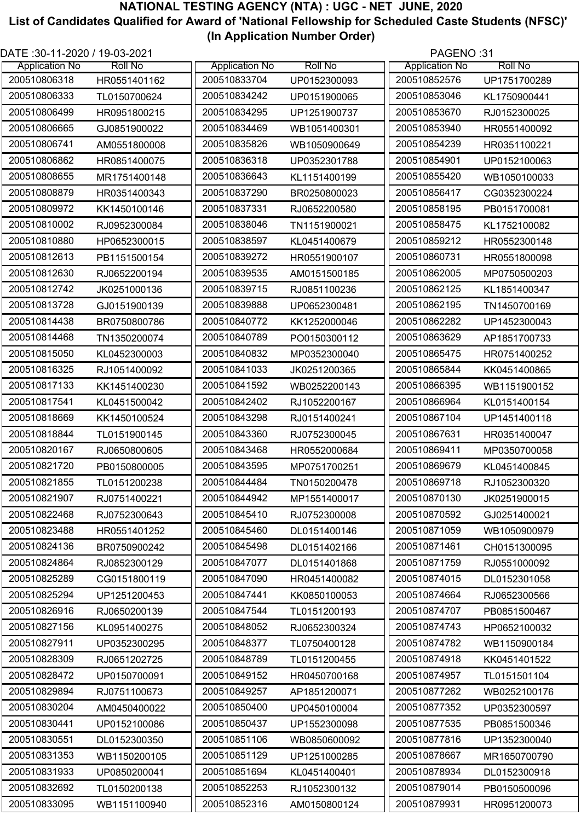| DATE: 30-11-2020 / 19-03-2021 |                |                       |                | PAGENO:31             |                |
|-------------------------------|----------------|-----------------------|----------------|-----------------------|----------------|
| <b>Application No</b>         | <b>Roll No</b> | <b>Application No</b> | <b>Roll No</b> | <b>Application No</b> | <b>Roll No</b> |
| 200510806318                  | HR0551401162   | 200510833704          | UP0152300093   | 200510852576          | UP1751700289   |
| 200510806333                  | TL0150700624   | 200510834242          | UP0151900065   | 200510853046          | KL1750900441   |
| 200510806499                  | HR0951800215   | 200510834295          | UP1251900737   | 200510853670          | RJ0152300025   |
| 200510806665                  | GJ0851900022   | 200510834469          | WB1051400301   | 200510853940          | HR0551400092   |
| 200510806741                  | AM0551800008   | 200510835826          | WB1050900649   | 200510854239          | HR0351100221   |
| 200510806862                  | HR0851400075   | 200510836318          | UP0352301788   | 200510854901          | UP0152100063   |
| 200510808655                  | MR1751400148   | 200510836643          | KL1151400199   | 200510855420          | WB1050100033   |
| 200510808879                  | HR0351400343   | 200510837290          | BR0250800023   | 200510856417          | CG0352300224   |
| 200510809972                  | KK1450100146   | 200510837331          | RJ0652200580   | 200510858195          | PB0151700081   |
| 200510810002                  | RJ0952300084   | 200510838046          | TN1151900021   | 200510858475          | KL1752100082   |
| 200510810880                  | HP0652300015   | 200510838597          | KL0451400679   | 200510859212          | HR0552300148   |
| 200510812613                  | PB1151500154   | 200510839272          | HR0551900107   | 200510860731          | HR0551800098   |
| 200510812630                  | RJ0652200194   | 200510839535          | AM0151500185   | 200510862005          | MP0750500203   |
| 200510812742                  | JK0251000136   | 200510839715          | RJ0851100236   | 200510862125          | KL1851400347   |
| 200510813728                  | GJ0151900139   | 200510839888          | UP0652300481   | 200510862195          | TN1450700169   |
| 200510814438                  | BR0750800786   | 200510840772          | KK1252000046   | 200510862282          | UP1452300043   |
| 200510814468                  | TN1350200074   | 200510840789          | PO0150300112   | 200510863629          | AP1851700733   |
| 200510815050                  | KL0452300003   | 200510840832          | MP0352300040   | 200510865475          | HR0751400252   |
| 200510816325                  | RJ1051400092   | 200510841033          | JK0251200365   | 200510865844          | KK0451400865   |
| 200510817133                  | KK1451400230   | 200510841592          | WB0252200143   | 200510866395          | WB1151900152   |
| 200510817541                  | KL0451500042   | 200510842402          | RJ1052200167   | 200510866964          | KL0151400154   |
| 200510818669                  | KK1450100524   | 200510843298          | RJ0151400241   | 200510867104          | UP1451400118   |
| 200510818844                  | TL0151900145   | 200510843360          | RJ0752300045   | 200510867631          | HR0351400047   |
| 200510820167                  | RJ0650800605   | 200510843468          | HR0552000684   | 200510869411          | MP0350700058   |
| 200510821720                  | PB0150800005   | 200510843595          | MP0751700251   | 200510869679          | KL0451400845   |
| 200510821855                  | TL0151200238   | 200510844484          | TN0150200478   | 200510869718          | RJ1052300320   |
| 200510821907                  | RJ0751400221   | 200510844942          | MP1551400017   | 200510870130          | JK0251900015   |
| 200510822468                  | RJ0752300643   | 200510845410          | RJ0752300008   | 200510870592          | GJ0251400021   |
| 200510823488                  | HR0551401252   | 200510845460          | DL0151400146   | 200510871059          | WB1050900979   |
| 200510824136                  | BR0750900242   | 200510845498          | DL0151402166   | 200510871461          | CH0151300095   |
| 200510824864                  | RJ0852300129   | 200510847077          | DL0151401868   | 200510871759          | RJ0551000092   |
| 200510825289                  | CG0151800119   | 200510847090          | HR0451400082   | 200510874015          | DL0152301058   |
| 200510825294                  | UP1251200453   | 200510847441          | KK0850100053   | 200510874664          | RJ0652300566   |
| 200510826916                  | RJ0650200139   | 200510847544          | TL0151200193   | 200510874707          | PB0851500467   |
| 200510827156                  | KL0951400275   | 200510848052          | RJ0652300324   | 200510874743          | HP0652100032   |
| 200510827911                  | UP0352300295   | 200510848377          | TL0750400128   | 200510874782          | WB1150900184   |
| 200510828309                  | RJ0651202725   | 200510848789          | TL0151200455   | 200510874918          | KK0451401522   |
| 200510828472                  | UP0150700091   | 200510849152          | HR0450700168   | 200510874957          | TL0151501104   |
| 200510829894                  | RJ0751100673   | 200510849257          | AP1851200071   | 200510877262          | WB0252100176   |
| 200510830204                  | AM0450400022   | 200510850400          | UP0450100004   | 200510877352          | UP0352300597   |
| 200510830441                  | UP0152100086   | 200510850437          | UP1552300098   | 200510877535          | PB0851500346   |
| 200510830551                  | DL0152300350   | 200510851106          | WB0850600092   | 200510877816          | UP1352300040   |
| 200510831353                  | WB1150200105   | 200510851129          | UP1251000285   | 200510878667          | MR1650700790   |
| 200510831933                  | UP0850200041   | 200510851694          | KL0451400401   | 200510878934          | DL0152300918   |
| 200510832692                  | TL0150200138   | 200510852253          | RJ1052300132   | 200510879014          | PB0150500096   |
| 200510833095                  | WB1151100940   | 200510852316          | AM0150800124   | 200510879931          | HR0951200073   |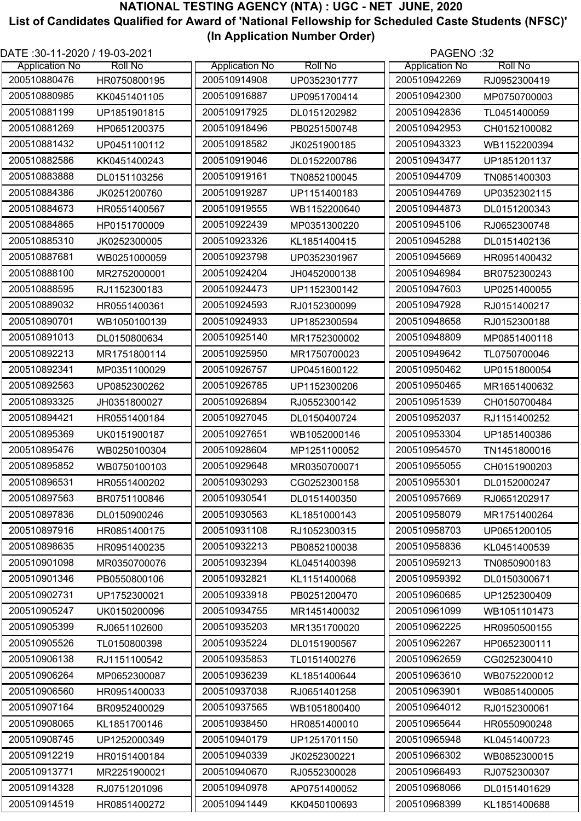| DATE :30-11-2020 / 19-03-2021 |                |                       |                | PAGENO:32             |                |
|-------------------------------|----------------|-----------------------|----------------|-----------------------|----------------|
| <b>Application No</b>         | <b>Roll No</b> | <b>Application No</b> | <b>Roll No</b> | <b>Application No</b> | <b>Roll No</b> |
| 200510880476                  | HR0750800195   | 200510914908          | UP0352301777   | 200510942269          | RJ0952300419   |
| 200510880985                  | KK0451401105   | 200510916887          | UP0951700414   | 200510942300          | MP0750700003   |
| 200510881199                  | UP1851901815   | 200510917925          | DL0151202982   | 200510942836          | TL0451400059   |
| 200510881269                  | HP0651200375   | 200510918496          | PB0251500748   | 200510942953          | CH0152100082   |
| 200510881432                  | UP0451100112   | 200510918582          | JK0251900185   | 200510943323          | WB1152200394   |
| 200510882586                  | KK0451400243   | 200510919046          | DL0152200786   | 200510943477          | UP1851201137   |
| 200510883888                  | DL0151103256   | 200510919161          | TN0852100045   | 200510944709          | TN0851400303   |
| 200510884386                  | JK0251200760   | 200510919287          | UP1151400183   | 200510944769          | UP0352302115   |
| 200510884673                  | HR0551400567   | 200510919555          | WB1152200640   | 200510944873          | DL0151200343   |
| 200510884865                  | HP0151700009   | 200510922439          | MP0351300220   | 200510945106          | RJ0652300748   |
| 200510885310                  | JK0252300005   | 200510923326          | KL1851400415   | 200510945288          | DL0151402136   |
| 200510887681                  | WB0251000059   | 200510923798          | UP0352301967   | 200510945669          | HR0951400432   |
| 200510888100                  | MR2752000001   | 200510924204          | JH0452000138   | 200510946984          | BR0752300243   |
| 200510888595                  | RJ1152300183   | 200510924473          | UP1152300142   | 200510947603          | UP0251400055   |
| 200510889032                  | HR0551400361   | 200510924593          | RJ0152300099   | 200510947928          | RJ0151400217   |
| 200510890701                  | WB1050100139   | 200510924933          | UP1852300594   | 200510948658          | RJ0152300188   |
| 200510891013                  | DL0150800634   | 200510925140          | MR1752300002   | 200510948809          | MP0851400118   |
| 200510892213                  | MR1751800114   | 200510925950          | MR1750700023   | 200510949642          | TL0750700046   |
| 200510892341                  | MP0351100029   | 200510926757          | UP0451600122   | 200510950462          | UP0151800054   |
| 200510892563                  | UP0852300262   | 200510926785          | UP1152300206   | 200510950465          | MR1651400632   |
| 200510893325                  | JH0351800027   | 200510926894          | RJ0552300142   | 200510951539          | CH0150700484   |
| 200510894421                  | HR0551400184   | 200510927045          | DL0150400724   | 200510952037          | RJ1151400252   |
| 200510895369                  | UK0151900187   | 200510927651          | WB1052000146   | 200510953304          | UP1851400386   |
| 200510895476                  | WB0250100304   | 200510928604          | MP1251100052   | 200510954570          | TN1451800016   |
| 200510895852                  | WB0750100103   | 200510929648          | MR0350700071   | 200510955055          | CH0151900203   |
| 200510896531                  | HR0551400202   | 200510930293          | CG0252300158   | 200510955301          | DL0152000247   |
| 200510897563                  | BR0751100846   | 200510930541          | DL0151400350   | 200510957669          | RJ0651202917   |
| 200510897836                  | DL0150900246   | 200510930563          | KL1851000143   | 200510958079          | MR1751400264   |
| 200510897916                  | HR0851400175   | 200510931108          | RJ1052300315   | 200510958703          | UP0651200105   |
| 200510898635                  | HR0951400235   | 200510932213          | PB0852100038   | 200510958836          | KL0451400539   |
| 200510901098                  | MR0350700076   | 200510932394          | KL0451400398   | 200510959213          | TN0850900183   |
| 200510901346                  | PB0550800106   | 200510932821          |                | 200510959392          |                |
| 200510902731                  |                | 200510933918          | KL1151400068   | 200510960685          | DL0150300671   |
| 200510905247                  | UP1752300021   | 200510934755          | PB0251200470   | 200510961099          | UP1252300409   |
|                               | UK0150200096   |                       | MR1451400032   |                       | WB1051101473   |
| 200510905399                  | RJ0651102600   | 200510935203          | MR1351700020   | 200510962225          | HR0950500155   |
| 200510905526                  | TL0150800398   | 200510935224          | DL0151900567   | 200510962267          | HP0652300111   |
| 200510906138                  | RJ1151100542   | 200510935853          | TL0151400276   | 200510962659          | CG0252300410   |
| 200510906264                  | MP0652300087   | 200510936239          | KL1851400644   | 200510963610          | WB0752200012   |
| 200510906560                  | HR0951400033   | 200510937038          | RJ0651401258   | 200510963901          | WB0851400005   |
| 200510907164                  | BR0952400029   | 200510937565          | WB1051800400   | 200510964012          | RJ0152300061   |
| 200510908065                  | KL1851700146   | 200510938450          | HR0851400010   | 200510965644          | HR0550900248   |
| 200510908745                  | UP1252000349   | 200510940179          | UP1251701150   | 200510965948          | KL0451400723   |
| 200510912219                  | HR0151400184   | 200510940339          | JK0252300221   | 200510966302          | WB0852300015   |
| 200510913771                  | MR2251900021   | 200510940670          | RJ0552300028   | 200510966493          | RJ0752300307   |
| 200510914328                  | RJ0751201096   | 200510940978          | AP0751400052   | 200510968066          | DL0151401629   |
| 200510914519                  | HR0851400272   | 200510941449          | KK0450100693   | 200510968399          | KL1851400688   |